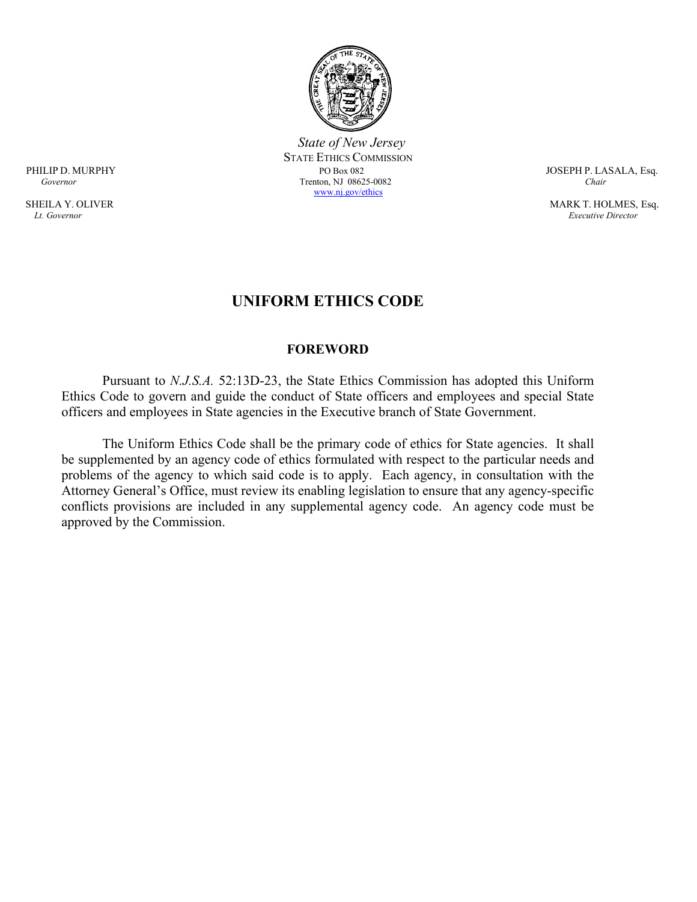

 *State of New Jersey* STATE ETHICS COMMISSION<br>PO Box 082 PHILIP D. MURPHY PO Box 082 JOSEPH P. LASALA, Esq.  *Governor* Trenton, NJ 08625-0082 *Chair* [www.nj.gov/ethics](http://www.nj.gov/ethics)

SHEILA Y. OLIVER MARK T. HOLMES, Esq. *Lt. Governor Executive Director*

# **UNIFORM ETHICS CODE**

#### **FOREWORD**

Pursuant to *N.J.S.A.* 52:13D-23, the State Ethics Commission has adopted this Uniform Ethics Code to govern and guide the conduct of State officers and employees and special State officers and employees in State agencies in the Executive branch of State Government.

The Uniform Ethics Code shall be the primary code of ethics for State agencies. It shall be supplemented by an agency code of ethics formulated with respect to the particular needs and problems of the agency to which said code is to apply. Each agency, in consultation with the Attorney General's Office, must review its enabling legislation to ensure that any agency-specific conflicts provisions are included in any supplemental agency code. An agency code must be approved by the Commission.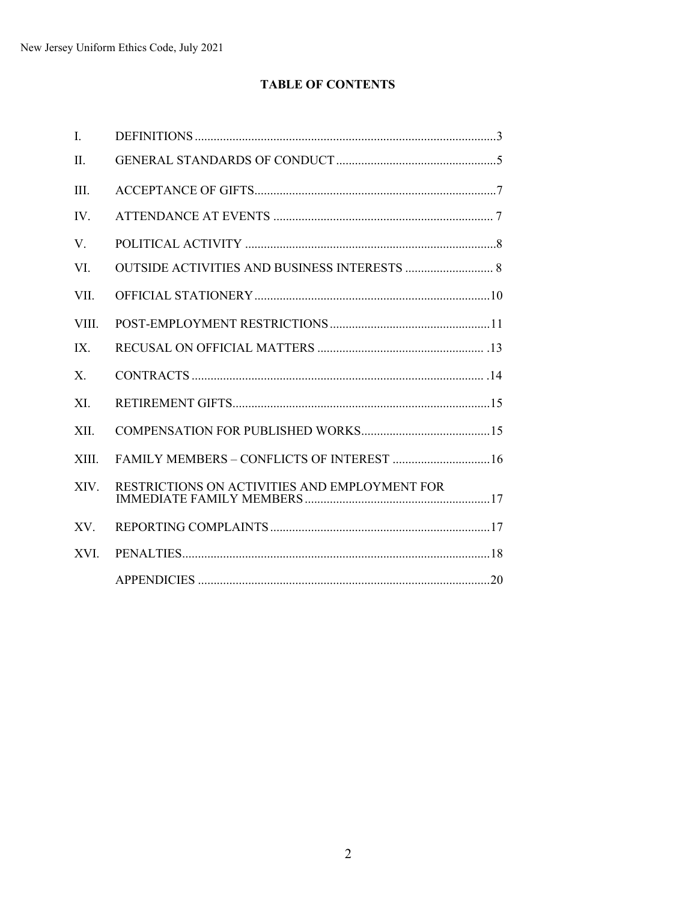# **TABLE OF CONTENTS**

| I.             |                                               |
|----------------|-----------------------------------------------|
| II.            |                                               |
| III.           |                                               |
| IV.            |                                               |
| V.             |                                               |
| VI.            |                                               |
| VII.           |                                               |
| VIII.          |                                               |
| IX.            |                                               |
| $\mathbf{X}$ . |                                               |
| XI.            |                                               |
| XII.           |                                               |
| XIII.          | FAMILY MEMBERS - CONFLICTS OF INTEREST  16    |
| XIV.           | RESTRICTIONS ON ACTIVITIES AND EMPLOYMENT FOR |
| XV.            |                                               |
| XVI.           |                                               |
|                |                                               |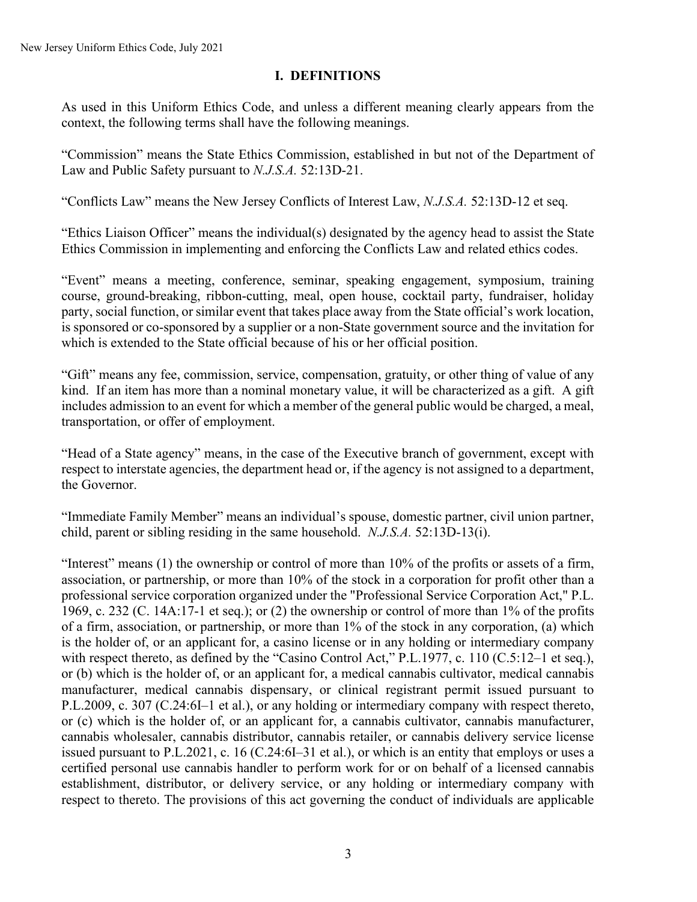# **I. DEFINITIONS**

As used in this Uniform Ethics Code, and unless a different meaning clearly appears from the context, the following terms shall have the following meanings.

"Commission" means the State Ethics Commission, established in but not of the Department of Law and Public Safety pursuant to *N.J.S.A.* 52:13D-21.

"Conflicts Law" means the New Jersey Conflicts of Interest Law, *N.J.S.A.* 52:13D-12 et seq.

"Ethics Liaison Officer" means the individual(s) designated by the agency head to assist the State Ethics Commission in implementing and enforcing the Conflicts Law and related ethics codes.

"Event" means a meeting, conference, seminar, speaking engagement, symposium, training course, ground-breaking, ribbon-cutting, meal, open house, cocktail party, fundraiser, holiday party, social function, or similar event that takes place away from the State official's work location, is sponsored or co-sponsored by a supplier or a non-State government source and the invitation for which is extended to the State official because of his or her official position.

"Gift" means any fee, commission, service, compensation, gratuity, or other thing of value of any kind. If an item has more than a nominal monetary value, it will be characterized as a gift. A gift includes admission to an event for which a member of the general public would be charged, a meal, transportation, or offer of employment.

"Head of a State agency" means, in the case of the Executive branch of government, except with respect to interstate agencies, the department head or, if the agency is not assigned to a department, the Governor.

"Immediate Family Member" means an individual's spouse, domestic partner, civil union partner, child, parent or sibling residing in the same household. *N.J.S.A.* 52:13D-13(i).

"Interest" means (1) the ownership or control of more than 10% of the profits or assets of a firm, association, or partnership, or more than 10% of the stock in a corporation for profit other than a professional service corporation organized under the "Professional Service Corporation Act," P.L. 1969, c. 232 (C. 14A:17-1 et seq.); or (2) the ownership or control of more than 1% of the profits of a firm, association, or partnership, or more than 1% of the stock in any corporation, (a) which is the holder of, or an applicant for, a casino license or in any holding or intermediary company with respect thereto, as defined by the "Casino Control Act," P.L.1977, c. 110 (C.5:12-1 et seq.), or (b) which is the holder of, or an applicant for, a medical cannabis cultivator, medical cannabis manufacturer, medical cannabis dispensary, or clinical registrant permit issued pursuant to P.L.2009, c. 307 (C.24:6I–1 et al.), or any holding or intermediary company with respect thereto, or (c) which is the holder of, or an applicant for, a cannabis cultivator, cannabis manufacturer, cannabis wholesaler, cannabis distributor, cannabis retailer, or cannabis delivery service license issued pursuant to P.L.2021, c. 16 (C.24:6I–31 et al.), or which is an entity that employs or uses a certified personal use cannabis handler to perform work for or on behalf of a licensed cannabis establishment, distributor, or delivery service, or any holding or intermediary company with respect to thereto. The provisions of this act governing the conduct of individuals are applicable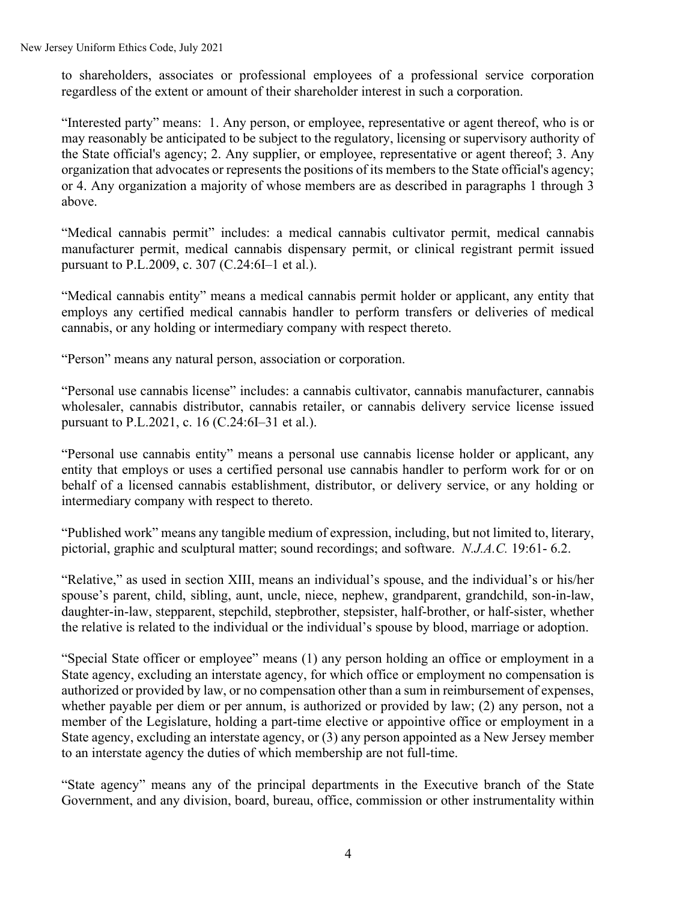New Jersey Uniform Ethics Code, July 2021

to shareholders, associates or professional employees of a professional service corporation regardless of the extent or amount of their shareholder interest in such a corporation.

"Interested party" means: 1. Any person, or employee, representative or agent thereof, who is or may reasonably be anticipated to be subject to the regulatory, licensing or supervisory authority of the State official's agency; 2. Any supplier, or employee, representative or agent thereof; 3. Any organization that advocates or represents the positions of its members to the State official's agency; or 4. Any organization a majority of whose members are as described in paragraphs 1 through 3 above.

"Medical cannabis permit" includes: a medical cannabis cultivator permit, medical cannabis manufacturer permit, medical cannabis dispensary permit, or clinical registrant permit issued pursuant to P.L.2009, c. 307 (C.24:6I–1 et al.).

"Medical cannabis entity" means a medical cannabis permit holder or applicant, any entity that employs any certified medical cannabis handler to perform transfers or deliveries of medical cannabis, or any holding or intermediary company with respect thereto.

"Person" means any natural person, association or corporation.

"Personal use cannabis license" includes: a cannabis cultivator, cannabis manufacturer, cannabis wholesaler, cannabis distributor, cannabis retailer, or cannabis delivery service license issued pursuant to P.L.2021, c. 16 (C.24:6I–31 et al.).

"Personal use cannabis entity" means a personal use cannabis license holder or applicant, any entity that employs or uses a certified personal use cannabis handler to perform work for or on behalf of a licensed cannabis establishment, distributor, or delivery service, or any holding or intermediary company with respect to thereto.

"Published work" means any tangible medium of expression, including, but not limited to, literary, pictorial, graphic and sculptural matter; sound recordings; and software. *N.J.A.C.* 19:61- 6.2.

"Relative," as used in section XIII, means an individual's spouse, and the individual's or his/her spouse's parent, child, sibling, aunt, uncle, niece, nephew, grandparent, grandchild, son-in-law, daughter-in-law, stepparent, stepchild, stepbrother, stepsister, half-brother, or half-sister, whether the relative is related to the individual or the individual's spouse by blood, marriage or adoption.

"Special State officer or employee" means (1) any person holding an office or employment in a State agency, excluding an interstate agency, for which office or employment no compensation is authorized or provided by law, or no compensation other than a sum in reimbursement of expenses, whether payable per diem or per annum, is authorized or provided by law; (2) any person, not a member of the Legislature, holding a part-time elective or appointive office or employment in a State agency, excluding an interstate agency, or (3) any person appointed as a New Jersey member to an interstate agency the duties of which membership are not full-time.

"State agency" means any of the principal departments in the Executive branch of the State Government, and any division, board, bureau, office, commission or other instrumentality within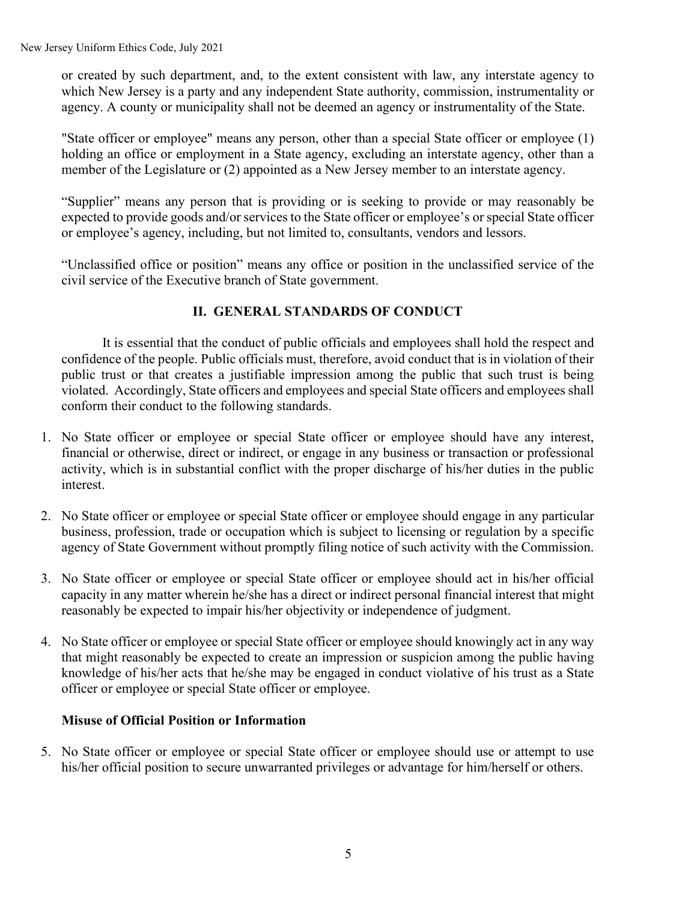or created by such department, and, to the extent consistent with law, any interstate agency to which New Jersey is a party and any independent State authority, commission, instrumentality or agency. A county or municipality shall not be deemed an agency or instrumentality of the State.

"State officer or employee" means any person, other than a special State officer or employee (1) holding an office or employment in a State agency, excluding an interstate agency, other than a member of the Legislature or (2) appointed as a New Jersey member to an interstate agency.

"Supplier" means any person that is providing or is seeking to provide or may reasonably be expected to provide goods and/or services to the State officer or employee's or special State officer or employee's agency, including, but not limited to, consultants, vendors and lessors.

"Unclassified office or position" means any office or position in the unclassified service of the civil service of the Executive branch of State government.

# **II. GENERAL STANDARDS OF CONDUCT**

It is essential that the conduct of public officials and employees shall hold the respect and confidence of the people. Public officials must, therefore, avoid conduct that is in violation of their public trust or that creates a justifiable impression among the public that such trust is being violated. Accordingly, State officers and employees and special State officers and employees shall conform their conduct to the following standards.

- 1. No State officer or employee or special State officer or employee should have any interest, financial or otherwise, direct or indirect, or engage in any business or transaction or professional activity, which is in substantial conflict with the proper discharge of his/her duties in the public interest.
- 2. No State officer or employee or special State officer or employee should engage in any particular business, profession, trade or occupation which is subject to licensing or regulation by a specific agency of State Government without promptly filing notice of such activity with the Commission.
- 3. No State officer or employee or special State officer or employee should act in his/her official capacity in any matter wherein he/she has a direct or indirect personal financial interest that might reasonably be expected to impair his/her objectivity or independence of judgment.
- 4. No State officer or employee or special State officer or employee should knowingly act in any way that might reasonably be expected to create an impression or suspicion among the public having knowledge of his/her acts that he/she may be engaged in conduct violative of his trust as a State officer or employee or special State officer or employee.

### **Misuse of Official Position or Information**

5. No State officer or employee or special State officer or employee should use or attempt to use his/her official position to secure unwarranted privileges or advantage for him/herself or others.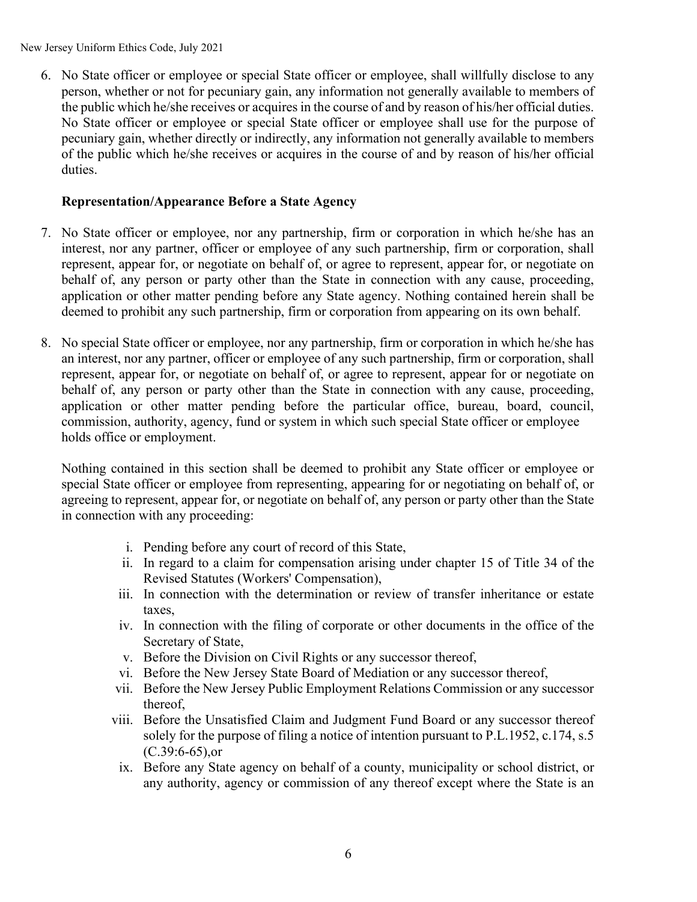New Jersey Uniform Ethics Code, July 2021

6. No State officer or employee or special State officer or employee, shall willfully disclose to any person, whether or not for pecuniary gain, any information not generally available to members of the public which he/she receives or acquires in the course of and by reason of his/her official duties. No State officer or employee or special State officer or employee shall use for the purpose of pecuniary gain, whether directly or indirectly, any information not generally available to members of the public which he/she receives or acquires in the course of and by reason of his/her official duties.

### **Representation/Appearance Before a State Agency**

- 7. No State officer or employee, nor any partnership, firm or corporation in which he/she has an interest, nor any partner, officer or employee of any such partnership, firm or corporation, shall represent, appear for, or negotiate on behalf of, or agree to represent, appear for, or negotiate on behalf of, any person or party other than the State in connection with any cause, proceeding, application or other matter pending before any State agency. Nothing contained herein shall be deemed to prohibit any such partnership, firm or corporation from appearing on its own behalf.
- 8. No special State officer or employee, nor any partnership, firm or corporation in which he/she has an interest, nor any partner, officer or employee of any such partnership, firm or corporation, shall represent, appear for, or negotiate on behalf of, or agree to represent, appear for or negotiate on behalf of, any person or party other than the State in connection with any cause, proceeding, application or other matter pending before the particular office, bureau, board, council, commission, authority, agency, fund or system in which such special State officer or employee holds office or employment.

Nothing contained in this section shall be deemed to prohibit any State officer or employee or special State officer or employee from representing, appearing for or negotiating on behalf of, or agreeing to represent, appear for, or negotiate on behalf of, any person or party other than the State in connection with any proceeding:

- i. Pending before any court of record of this State,
- ii. In regard to a claim for compensation arising under chapter 15 of Title 34 of the Revised Statutes (Workers' Compensation),
- iii. In connection with the determination or review of transfer inheritance or estate taxes,
- iv. In connection with the filing of corporate or other documents in the office of the Secretary of State,
- v. Before the Division on Civil Rights or any successor thereof,
- vi. Before the New Jersey State Board of Mediation or any successor thereof,
- vii. Before the New Jersey Public Employment Relations Commission or any successor thereof,
- viii. Before the Unsatisfied Claim and Judgment Fund Board or any successor thereof solely for the purpose of filing a notice of intention pursuant to P.L.1952, c.174, s.5 (C.39:6-65),or
	- ix. Before any State agency on behalf of a county, municipality or school district, or any authority, agency or commission of any thereof except where the State is an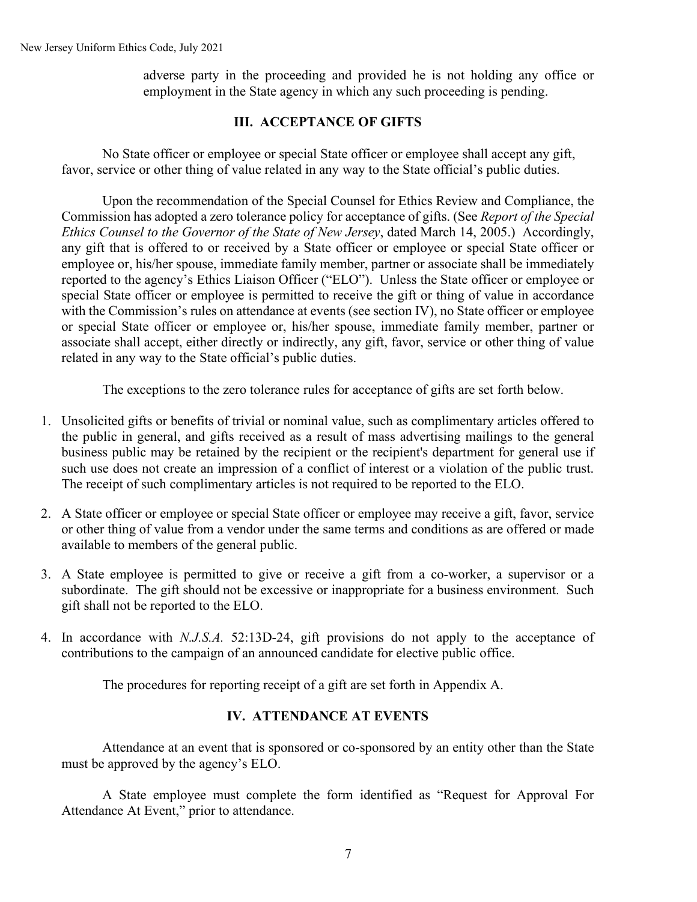adverse party in the proceeding and provided he is not holding any office or employment in the State agency in which any such proceeding is pending.

### **III. ACCEPTANCE OF GIFTS**

No State officer or employee or special State officer or employee shall accept any gift, favor, service or other thing of value related in any way to the State official's public duties.

Upon the recommendation of the Special Counsel for Ethics Review and Compliance, the Commission has adopted a zero tolerance policy for acceptance of gifts. (See *Report of the Special Ethics Counsel to the Governor of the State of New Jersey*, dated March 14, 2005.) Accordingly, any gift that is offered to or received by a State officer or employee or special State officer or employee or, his/her spouse, immediate family member, partner or associate shall be immediately reported to the agency's Ethics Liaison Officer ("ELO"). Unless the State officer or employee or special State officer or employee is permitted to receive the gift or thing of value in accordance with the Commission's rules on attendance at events (see section IV), no State officer or employee or special State officer or employee or, his/her spouse, immediate family member, partner or associate shall accept, either directly or indirectly, any gift, favor, service or other thing of value related in any way to the State official's public duties.

The exceptions to the zero tolerance rules for acceptance of gifts are set forth below.

- 1. Unsolicited gifts or benefits of trivial or nominal value, such as complimentary articles offered to the public in general, and gifts received as a result of mass advertising mailings to the general business public may be retained by the recipient or the recipient's department for general use if such use does not create an impression of a conflict of interest or a violation of the public trust. The receipt of such complimentary articles is not required to be reported to the ELO.
- 2. A State officer or employee or special State officer or employee may receive a gift, favor, service or other thing of value from a vendor under the same terms and conditions as are offered or made available to members of the general public.
- 3. A State employee is permitted to give or receive a gift from a co-worker, a supervisor or a subordinate. The gift should not be excessive or inappropriate for a business environment. Such gift shall not be reported to the ELO.
- 4. In accordance with *N.J.S.A.* 52:13D-24, gift provisions do not apply to the acceptance of contributions to the campaign of an announced candidate for elective public office.

The procedures for reporting receipt of a gift are set forth in Appendix A.

### **IV. ATTENDANCE AT EVENTS**

Attendance at an event that is sponsored or co-sponsored by an entity other than the State must be approved by the agency's ELO.

A State employee must complete the form identified as "Request for Approval For Attendance At Event," prior to attendance.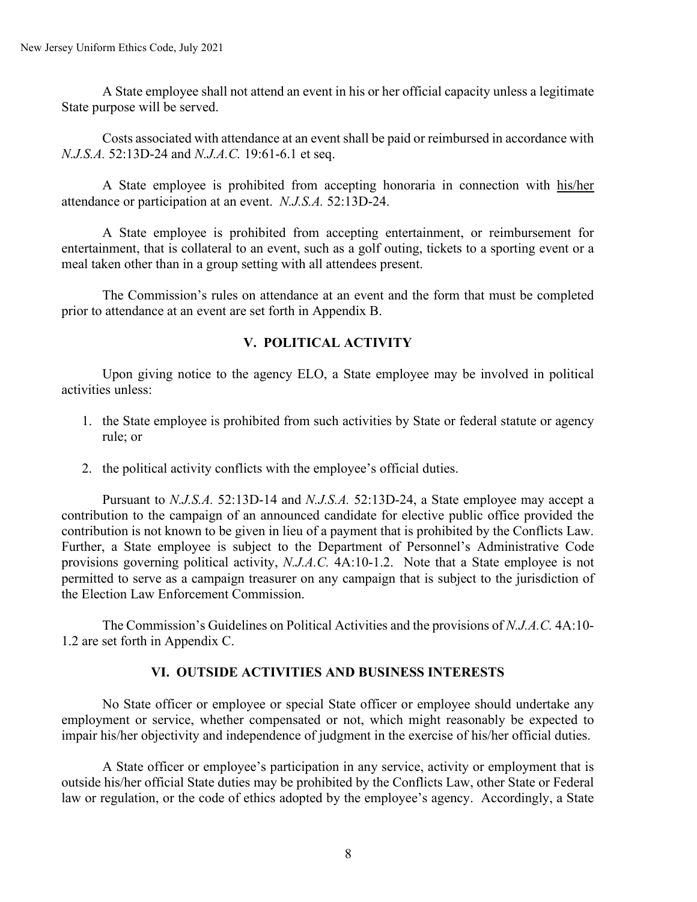A State employee shall not attend an event in his or her official capacity unless a legitimate State purpose will be served.

Costs associated with attendance at an event shall be paid or reimbursed in accordance with *N.J.S.A.* 52:13D-24 and *N.J.A.C.* 19:61-6.1 et seq.

A State employee is prohibited from accepting honoraria in connection with his/her attendance or participation at an event. *N.J.S.A.* 52:13D-24.

A State employee is prohibited from accepting entertainment, or reimbursement for entertainment, that is collateral to an event, such as a golf outing, tickets to a sporting event or a meal taken other than in a group setting with all attendees present.

The Commission's rules on attendance at an event and the form that must be completed prior to attendance at an event are set forth in Appendix B.

### **V. POLITICAL ACTIVITY**

Upon giving notice to the agency ELO, a State employee may be involved in political activities unless:

- 1. the State employee is prohibited from such activities by State or federal statute or agency rule; or
- 2. the political activity conflicts with the employee's official duties.

Pursuant to *N.J.S.A.* 52:13D-14 and *N.J.S.A.* 52:13D-24, a State employee may accept a contribution to the campaign of an announced candidate for elective public office provided the contribution is not known to be given in lieu of a payment that is prohibited by the Conflicts Law. Further, a State employee is subject to the Department of Personnel's Administrative Code provisions governing political activity, *N.J.A.C.* 4A:10-1.2. Note that a State employee is not permitted to serve as a campaign treasurer on any campaign that is subject to the jurisdiction of the Election Law Enforcement Commission.

The Commission's Guidelines on Political Activities and the provisions of *N.J.A.C.* 4A:10- 1.2 are set forth in Appendix C.

### **VI. OUTSIDE ACTIVITIES AND BUSINESS INTERESTS**

No State officer or employee or special State officer or employee should undertake any employment or service, whether compensated or not, which might reasonably be expected to impair his/her objectivity and independence of judgment in the exercise of his/her official duties.

A State officer or employee's participation in any service, activity or employment that is outside his/her official State duties may be prohibited by the Conflicts Law, other State or Federal law or regulation, or the code of ethics adopted by the employee's agency. Accordingly, a State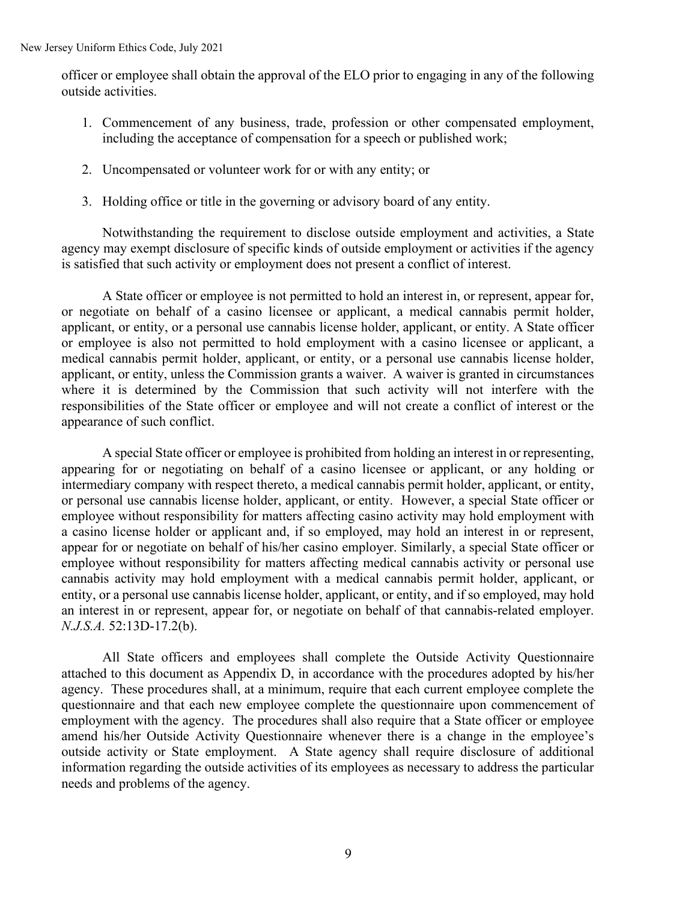officer or employee shall obtain the approval of the ELO prior to engaging in any of the following outside activities.

- 1. Commencement of any business, trade, profession or other compensated employment, including the acceptance of compensation for a speech or published work;
- 2. Uncompensated or volunteer work for or with any entity; or
- 3. Holding office or title in the governing or advisory board of any entity.

Notwithstanding the requirement to disclose outside employment and activities, a State agency may exempt disclosure of specific kinds of outside employment or activities if the agency is satisfied that such activity or employment does not present a conflict of interest.

A State officer or employee is not permitted to hold an interest in, or represent, appear for, or negotiate on behalf of a casino licensee or applicant, a medical cannabis permit holder, applicant, or entity, or a personal use cannabis license holder, applicant, or entity. A State officer or employee is also not permitted to hold employment with a casino licensee or applicant, a medical cannabis permit holder, applicant, or entity, or a personal use cannabis license holder, applicant, or entity, unless the Commission grants a waiver. A waiver is granted in circumstances where it is determined by the Commission that such activity will not interfere with the responsibilities of the State officer or employee and will not create a conflict of interest or the appearance of such conflict.

A special State officer or employee is prohibited from holding an interest in or representing, appearing for or negotiating on behalf of a casino licensee or applicant, or any holding or intermediary company with respect thereto, a medical cannabis permit holder, applicant, or entity, or personal use cannabis license holder, applicant, or entity. However, a special State officer or employee without responsibility for matters affecting casino activity may hold employment with a casino license holder or applicant and, if so employed, may hold an interest in or represent, appear for or negotiate on behalf of his/her casino employer. Similarly, a special State officer or employee without responsibility for matters affecting medical cannabis activity or personal use cannabis activity may hold employment with a medical cannabis permit holder, applicant, or entity, or a personal use cannabis license holder, applicant, or entity, and if so employed, may hold an interest in or represent, appear for, or negotiate on behalf of that cannabis-related employer. *N.J.S.A.* 52:13D-17.2(b).

All State officers and employees shall complete the Outside Activity Questionnaire attached to this document as Appendix D, in accordance with the procedures adopted by his/her agency. These procedures shall, at a minimum, require that each current employee complete the questionnaire and that each new employee complete the questionnaire upon commencement of employment with the agency. The procedures shall also require that a State officer or employee amend his/her Outside Activity Questionnaire whenever there is a change in the employee's outside activity or State employment. A State agency shall require disclosure of additional information regarding the outside activities of its employees as necessary to address the particular needs and problems of the agency.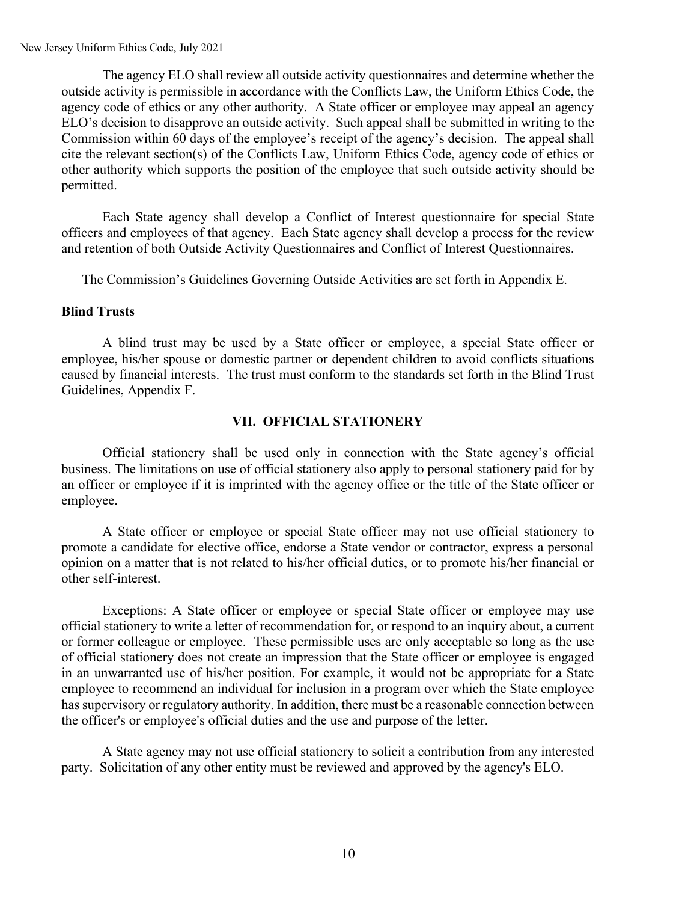The agency ELO shall review all outside activity questionnaires and determine whether the outside activity is permissible in accordance with the Conflicts Law, the Uniform Ethics Code, the agency code of ethics or any other authority. A State officer or employee may appeal an agency ELO's decision to disapprove an outside activity. Such appeal shall be submitted in writing to the Commission within 60 days of the employee's receipt of the agency's decision. The appeal shall cite the relevant section(s) of the Conflicts Law, Uniform Ethics Code, agency code of ethics or other authority which supports the position of the employee that such outside activity should be permitted.

Each State agency shall develop a Conflict of Interest questionnaire for special State officers and employees of that agency. Each State agency shall develop a process for the review and retention of both Outside Activity Questionnaires and Conflict of Interest Questionnaires.

The Commission's Guidelines Governing Outside Activities are set forth in Appendix E.

#### **Blind Trusts**

A blind trust may be used by a State officer or employee, a special State officer or employee, his/her spouse or domestic partner or dependent children to avoid conflicts situations caused by financial interests. The trust must conform to the standards set forth in the Blind Trust Guidelines, Appendix F.

#### **VII. OFFICIAL STATIONERY**

Official stationery shall be used only in connection with the State agency's official business. The limitations on use of official stationery also apply to personal stationery paid for by an officer or employee if it is imprinted with the agency office or the title of the State officer or employee.

A State officer or employee or special State officer may not use official stationery to promote a candidate for elective office, endorse a State vendor or contractor, express a personal opinion on a matter that is not related to his/her official duties, or to promote his/her financial or other self-interest.

Exceptions: A State officer or employee or special State officer or employee may use official stationery to write a letter of recommendation for, or respond to an inquiry about, a current or former colleague or employee. These permissible uses are only acceptable so long as the use of official stationery does not create an impression that the State officer or employee is engaged in an unwarranted use of his/her position. For example, it would not be appropriate for a State employee to recommend an individual for inclusion in a program over which the State employee has supervisory or regulatory authority. In addition, there must be a reasonable connection between the officer's or employee's official duties and the use and purpose of the letter.

A State agency may not use official stationery to solicit a contribution from any interested party. Solicitation of any other entity must be reviewed and approved by the agency's ELO.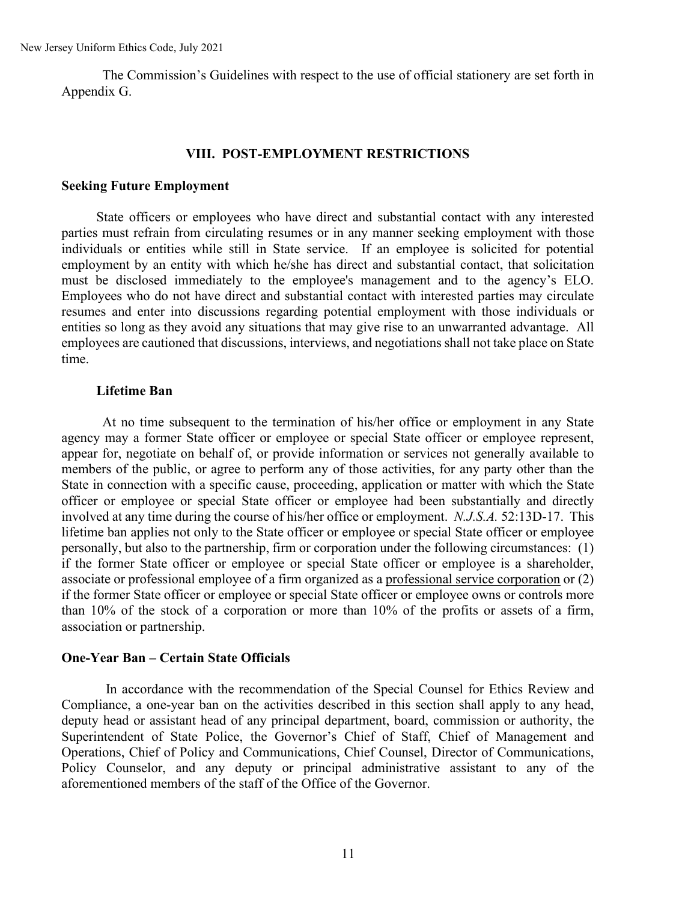The Commission's Guidelines with respect to the use of official stationery are set forth in Appendix G.

#### **VIII. POST-EMPLOYMENT RESTRICTIONS**

#### **Seeking Future Employment**

State officers or employees who have direct and substantial contact with any interested parties must refrain from circulating resumes or in any manner seeking employment with those individuals or entities while still in State service. If an employee is solicited for potential employment by an entity with which he/she has direct and substantial contact, that solicitation must be disclosed immediately to the employee's management and to the agency's ELO. Employees who do not have direct and substantial contact with interested parties may circulate resumes and enter into discussions regarding potential employment with those individuals or entities so long as they avoid any situations that may give rise to an unwarranted advantage. All employees are cautioned that discussions, interviews, and negotiations shall not take place on State time.

#### **Lifetime Ban**

At no time subsequent to the termination of his/her office or employment in any State agency may a former State officer or employee or special State officer or employee represent, appear for, negotiate on behalf of, or provide information or services not generally available to members of the public, or agree to perform any of those activities, for any party other than the State in connection with a specific cause, proceeding, application or matter with which the State officer or employee or special State officer or employee had been substantially and directly involved at any time during the course of his/her office or employment. *N.J.S.A.* 52:13D-17. This lifetime ban applies not only to the State officer or employee or special State officer or employee personally, but also to the partnership, firm or corporation under the following circumstances: (1) if the former State officer or employee or special State officer or employee is a shareholder, associate or professional employee of a firm organized as a professional service corporation or (2) if the former State officer or employee or special State officer or employee owns or controls more than 10% of the stock of a corporation or more than 10% of the profits or assets of a firm, association or partnership.

#### **One-Year Ban – Certain State Officials**

In accordance with the recommendation of the Special Counsel for Ethics Review and Compliance, a one-year ban on the activities described in this section shall apply to any head, deputy head or assistant head of any principal department, board, commission or authority, the Superintendent of State Police, the Governor's Chief of Staff, Chief of Management and Operations, Chief of Policy and Communications, Chief Counsel, Director of Communications, Policy Counselor, and any deputy or principal administrative assistant to any of the aforementioned members of the staff of the Office of the Governor.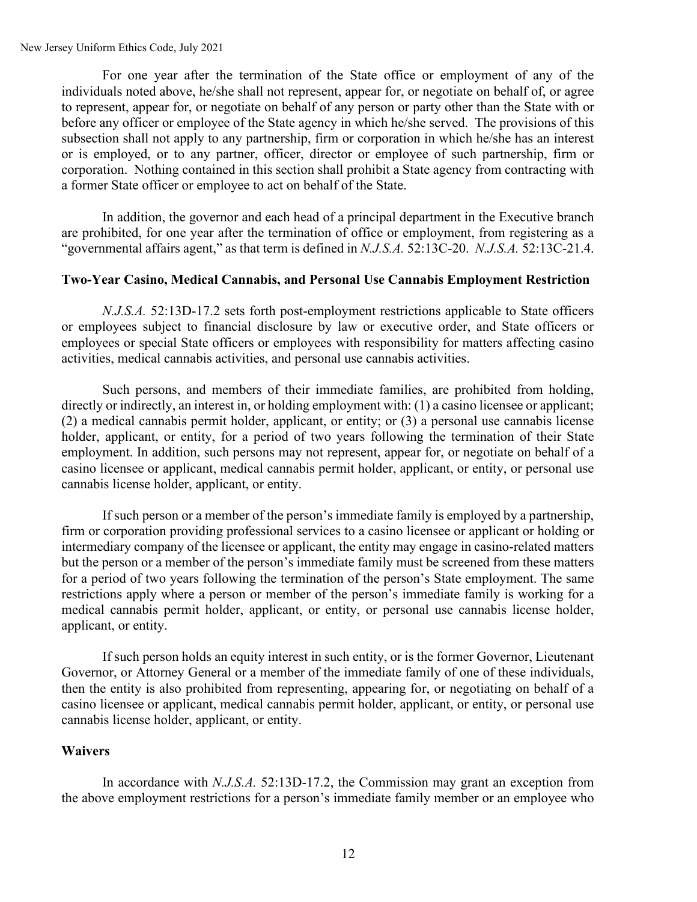For one year after the termination of the State office or employment of any of the individuals noted above, he/she shall not represent, appear for, or negotiate on behalf of, or agree to represent, appear for, or negotiate on behalf of any person or party other than the State with or before any officer or employee of the State agency in which he/she served. The provisions of this subsection shall not apply to any partnership, firm or corporation in which he/she has an interest or is employed, or to any partner, officer, director or employee of such partnership, firm or corporation. Nothing contained in this section shall prohibit a State agency from contracting with a former State officer or employee to act on behalf of the State.

In addition, the governor and each head of a principal department in the Executive branch are prohibited, for one year after the termination of office or employment, from registering as a "governmental affairs agent," as that term is defined in *N.J.S.A.* 52:13C-20. *N.J.S.A.* 52:13C-21.4.

#### **Two-Year Casino, Medical Cannabis, and Personal Use Cannabis Employment Restriction**

*N.J.S.A.* 52:13D-17.2 sets forth post-employment restrictions applicable to State officers or employees subject to financial disclosure by law or executive order, and State officers or employees or special State officers or employees with responsibility for matters affecting casino activities, medical cannabis activities, and personal use cannabis activities.

Such persons, and members of their immediate families, are prohibited from holding, directly or indirectly, an interest in, or holding employment with: (1) a casino licensee or applicant; (2) a medical cannabis permit holder, applicant, or entity; or (3) a personal use cannabis license holder, applicant, or entity, for a period of two years following the termination of their State employment. In addition, such persons may not represent, appear for, or negotiate on behalf of a casino licensee or applicant, medical cannabis permit holder, applicant, or entity, or personal use cannabis license holder, applicant, or entity.

If such person or a member of the person's immediate family is employed by a partnership, firm or corporation providing professional services to a casino licensee or applicant or holding or intermediary company of the licensee or applicant, the entity may engage in casino-related matters but the person or a member of the person's immediate family must be screened from these matters for a period of two years following the termination of the person's State employment. The same restrictions apply where a person or member of the person's immediate family is working for a medical cannabis permit holder, applicant, or entity, or personal use cannabis license holder, applicant, or entity.

If such person holds an equity interest in such entity, or is the former Governor, Lieutenant Governor, or Attorney General or a member of the immediate family of one of these individuals, then the entity is also prohibited from representing, appearing for, or negotiating on behalf of a casino licensee or applicant, medical cannabis permit holder, applicant, or entity, or personal use cannabis license holder, applicant, or entity.

#### **Waivers**

In accordance with *N.J.S.A.* 52:13D-17.2, the Commission may grant an exception from the above employment restrictions for a person's immediate family member or an employee who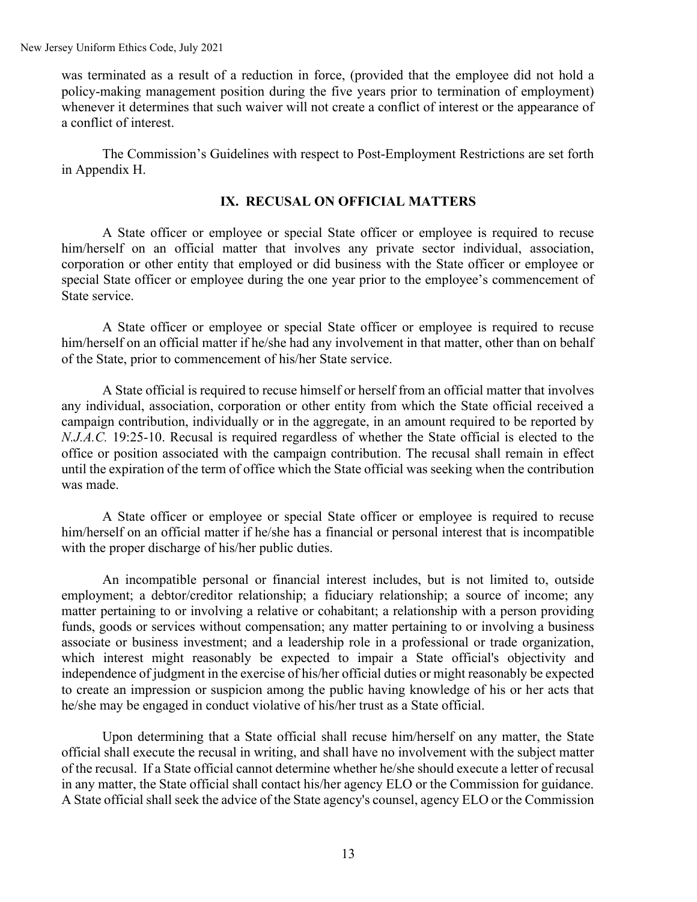was terminated as a result of a reduction in force, (provided that the employee did not hold a policy-making management position during the five years prior to termination of employment) whenever it determines that such waiver will not create a conflict of interest or the appearance of a conflict of interest.

The Commission's Guidelines with respect to Post-Employment Restrictions are set forth in Appendix H.

### **IX. RECUSAL ON OFFICIAL MATTERS**

A State officer or employee or special State officer or employee is required to recuse him/herself on an official matter that involves any private sector individual, association, corporation or other entity that employed or did business with the State officer or employee or special State officer or employee during the one year prior to the employee's commencement of State service.

A State officer or employee or special State officer or employee is required to recuse him/herself on an official matter if he/she had any involvement in that matter, other than on behalf of the State, prior to commencement of his/her State service.

A State official is required to recuse himself or herself from an official matter that involves any individual, association, corporation or other entity from which the State official received a campaign contribution, individually or in the aggregate, in an amount required to be reported by *N.J.A.C.* 19:25-10. Recusal is required regardless of whether the State official is elected to the office or position associated with the campaign contribution. The recusal shall remain in effect until the expiration of the term of office which the State official was seeking when the contribution was made.

A State officer or employee or special State officer or employee is required to recuse him/herself on an official matter if he/she has a financial or personal interest that is incompatible with the proper discharge of his/her public duties.

An incompatible personal or financial interest includes, but is not limited to, outside employment; a debtor/creditor relationship; a fiduciary relationship; a source of income; any matter pertaining to or involving a relative or cohabitant; a relationship with a person providing funds, goods or services without compensation; any matter pertaining to or involving a business associate or business investment; and a leadership role in a professional or trade organization, which interest might reasonably be expected to impair a State official's objectivity and independence of judgment in the exercise of his/her official duties or might reasonably be expected to create an impression or suspicion among the public having knowledge of his or her acts that he/she may be engaged in conduct violative of his/her trust as a State official.

Upon determining that a State official shall recuse him/herself on any matter, the State official shall execute the recusal in writing, and shall have no involvement with the subject matter of the recusal. If a State official cannot determine whether he/she should execute a letter of recusal in any matter, the State official shall contact his/her agency ELO or the Commission for guidance. A State official shall seek the advice of the State agency's counsel, agency ELO or the Commission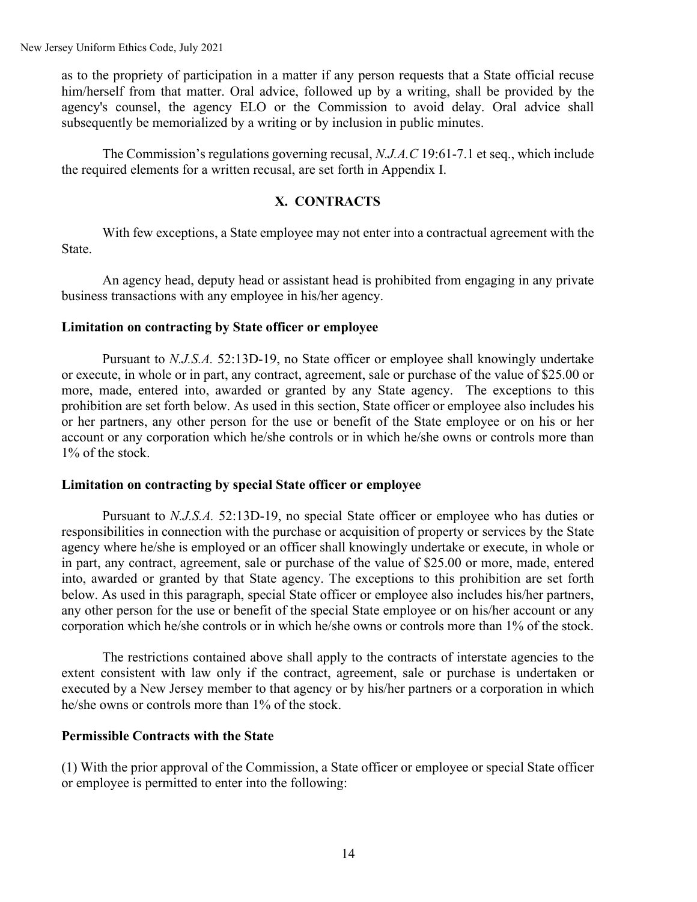as to the propriety of participation in a matter if any person requests that a State official recuse him/herself from that matter. Oral advice, followed up by a writing, shall be provided by the agency's counsel, the agency ELO or the Commission to avoid delay. Oral advice shall subsequently be memorialized by a writing or by inclusion in public minutes.

The Commission's regulations governing recusal, *N.J.A.C* 19:61-7.1 et seq., which include the required elements for a written recusal, are set forth in Appendix I.

### **X. CONTRACTS**

With few exceptions, a State employee may not enter into a contractual agreement with the State.

An agency head, deputy head or assistant head is prohibited from engaging in any private business transactions with any employee in his/her agency.

#### **Limitation on contracting by State officer or employee**

Pursuant to *N.J.S.A.* 52:13D-19, no State officer or employee shall knowingly undertake or execute, in whole or in part, any contract, agreement, sale or purchase of the value of \$25.00 or more, made, entered into, awarded or granted by any State agency. The exceptions to this prohibition are set forth below. As used in this section, State officer or employee also includes his or her partners, any other person for the use or benefit of the State employee or on his or her account or any corporation which he/she controls or in which he/she owns or controls more than 1% of the stock.

#### **Limitation on contracting by special State officer or employee**

Pursuant to *N.J.S.A.* 52:13D-19, no special State officer or employee who has duties or responsibilities in connection with the purchase or acquisition of property or services by the State agency where he/she is employed or an officer shall knowingly undertake or execute, in whole or in part, any contract, agreement, sale or purchase of the value of \$25.00 or more, made, entered into, awarded or granted by that State agency. The exceptions to this prohibition are set forth below. As used in this paragraph, special State officer or employee also includes his/her partners, any other person for the use or benefit of the special State employee or on his/her account or any corporation which he/she controls or in which he/she owns or controls more than 1% of the stock.

The restrictions contained above shall apply to the contracts of interstate agencies to the extent consistent with law only if the contract, agreement, sale or purchase is undertaken or executed by a New Jersey member to that agency or by his/her partners or a corporation in which he/she owns or controls more than 1% of the stock.

#### **Permissible Contracts with the State**

(1) With the prior approval of the Commission, a State officer or employee or special State officer or employee is permitted to enter into the following: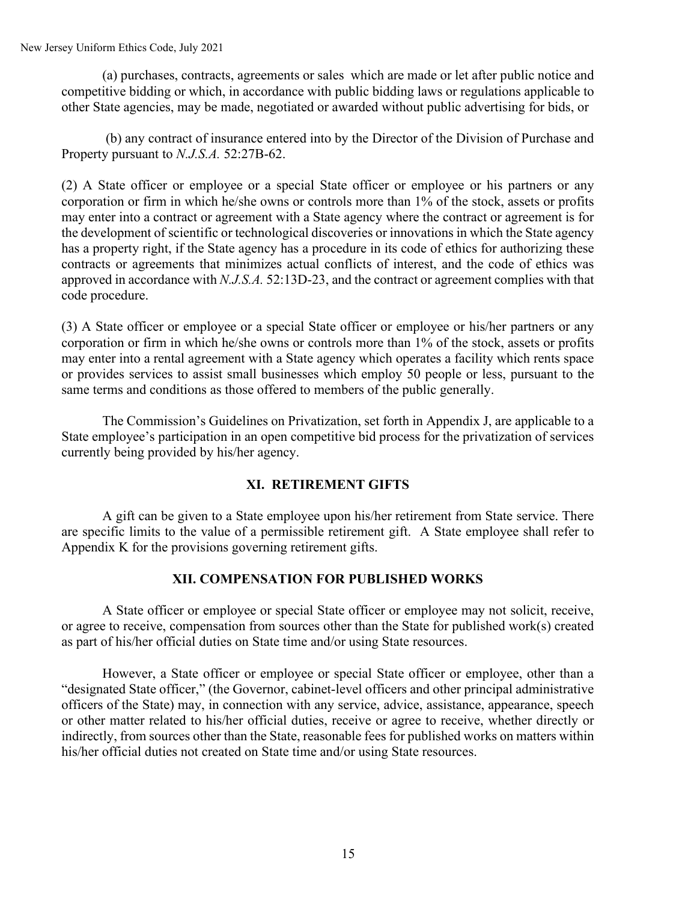(a) purchases, contracts, agreements or sales which are made or let after public notice and competitive bidding or which, in accordance with public bidding laws or regulations applicable to other State agencies, may be made, negotiated or awarded without public advertising for bids, or

(b) any contract of insurance entered into by the Director of the Division of Purchase and Property pursuant to *N.J.S.A.* [52:27B-62.](http://www.lexis.com/research/buttonTFLink?_m=e98ef352522ec860de82def8192a71dd&_xfercite=%3ccite%20cc%3d%22USA%22%3e%3c%21%5bCDATA%5bN.J.%20Stat.%20%a7%2052%3a13D-19%5d%5d%3e%3c%2fcite%3e&_butType=4&_butStat=0&_butNum=3&_butInline=1&_butinfo=NJ%20CODE%2052%3a27B-62&_fmtstr=FULL&docnum=1&_startdoc=1&wchp=dGLbVlb-zSkAB&_md5=9a5b287feee93120d33fd0d737b7bd9e)

(2) A State officer or employee or a special State officer or employee or his partners or any corporation or firm in which he/she owns or controls more than 1% of the stock, assets or profits may enter into a contract or agreement with a State agency where the contract or agreement is for the development of scientific or technological discoveries or innovations in which the State agency has a property right, if the State agency has a procedure in its code of ethics for authorizing these contracts or agreements that minimizes actual conflicts of interest, and the code of ethics was approved in accordance with *N.J.S.A.* [52:13D-23,](http://www.lexis.com/research/buttonTFLink?_m=c8507fb6bbdb6890b8dadb89e3df25eb&_xfercite=%3ccite%20cc%3d%22USA%22%3e%3c%21%5bCDATA%5bN.J.%20Stat.%20%a7%2052%3a13D-19.1%5d%5d%3e%3c%2fcite%3e&_butType=4&_butStat=0&_butNum=3&_butInline=1&_butinfo=NJ%20CODE%2052%3a13D-23&_fmtstr=FULL&docnum=1&_startdoc=1&wchp=dGLbVlb-zSkAB&_md5=3d1165836fe623d23d91cc12c0de805c) and the contract or agreement complies with that code procedure.

(3) A State officer or employee or a special State officer or employee or his/her partners or any corporation or firm in which he/she owns or controls more than 1% of the stock, assets or profits may enter into a rental agreement with a State agency which operates a facility which rents space or provides services to assist small businesses which employ 50 people or less, pursuant to the same terms and conditions as those offered to members of the public generally.

The Commission's Guidelines on Privatization, set forth in Appendix J, are applicable to a State employee's participation in an open competitive bid process for the privatization of services currently being provided by his/her agency.

### **XI. RETIREMENT GIFTS**

A gift can be given to a State employee upon his/her retirement from State service. There are specific limits to the value of a permissible retirement gift. A State employee shall refer to Appendix K for the provisions governing retirement gifts.

#### **XII. COMPENSATION FOR PUBLISHED WORKS**

A State officer or employee or special State officer or employee may not solicit, receive, or agree to receive, compensation from sources other than the State for published work(s) created as part of his/her official duties on State time and/or using State resources.

However, a State officer or employee or special State officer or employee, other than a "designated State officer," (the Governor, cabinet-level officers and other principal administrative officers of the State) may, in connection with any service, advice, assistance, appearance, speech or other matter related to his/her official duties, receive or agree to receive, whether directly or indirectly, from sources other than the State, reasonable fees for published works on matters within his/her official duties not created on State time and/or using State resources.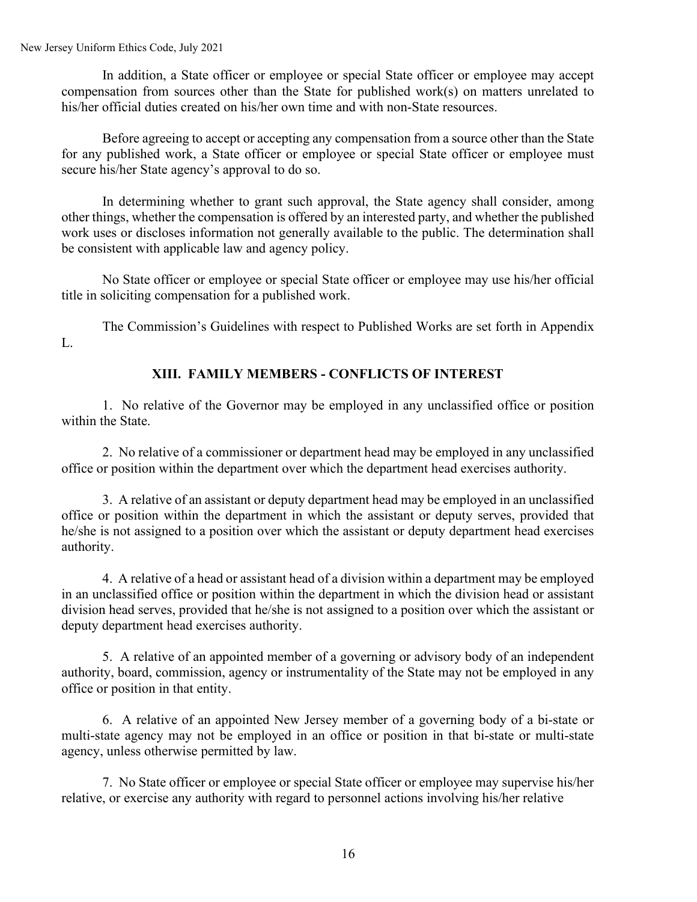In addition, a State officer or employee or special State officer or employee may accept compensation from sources other than the State for published work(s) on matters unrelated to his/her official duties created on his/her own time and with non-State resources.

Before agreeing to accept or accepting any compensation from a source other than the State for any published work, a State officer or employee or special State officer or employee must secure his/her State agency's approval to do so.

In determining whether to grant such approval, the State agency shall consider, among other things, whether the compensation is offered by an interested party, and whether the published work uses or discloses information not generally available to the public. The determination shall be consistent with applicable law and agency policy.

No State officer or employee or special State officer or employee may use his/her official title in soliciting compensation for a published work.

The Commission's Guidelines with respect to Published Works are set forth in Appendix L.

### **XIII. FAMILY MEMBERS - CONFLICTS OF INTEREST**

1. No relative of the Governor may be employed in any unclassified office or position within the State.

2. No relative of a commissioner or department head may be employed in any unclassified office or position within the department over which the department head exercises authority.

3. A relative of an assistant or deputy department head may be employed in an unclassified office or position within the department in which the assistant or deputy serves, provided that he/she is not assigned to a position over which the assistant or deputy department head exercises authority.

4. A relative of a head or assistant head of a division within a department may be employed in an unclassified office or position within the department in which the division head or assistant division head serves, provided that he/she is not assigned to a position over which the assistant or deputy department head exercises authority.

5. A relative of an appointed member of a governing or advisory body of an independent authority, board, commission, agency or instrumentality of the State may not be employed in any office or position in that entity.

6. A relative of an appointed New Jersey member of a governing body of a bi-state or multi-state agency may not be employed in an office or position in that bi-state or multi-state agency, unless otherwise permitted by law.

7. No State officer or employee or special State officer or employee may supervise his/her relative, or exercise any authority with regard to personnel actions involving his/her relative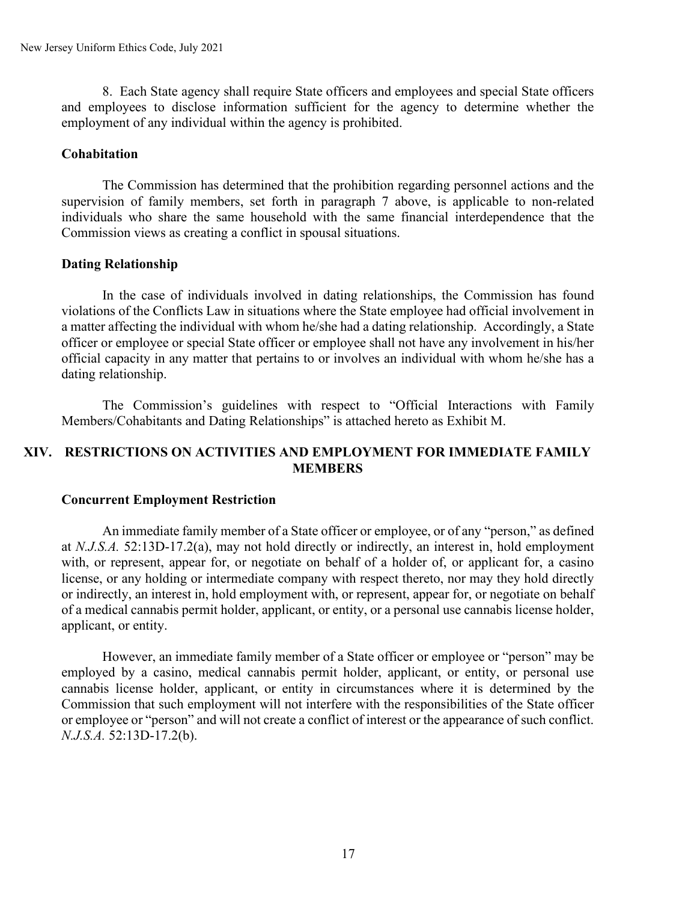8. Each State agency shall require State officers and employees and special State officers and employees to disclose information sufficient for the agency to determine whether the employment of any individual within the agency is prohibited.

### **Cohabitation**

The Commission has determined that the prohibition regarding personnel actions and the supervision of family members, set forth in paragraph 7 above, is applicable to non-related individuals who share the same household with the same financial interdependence that the Commission views as creating a conflict in spousal situations.

### **Dating Relationship**

In the case of individuals involved in dating relationships, the Commission has found violations of the Conflicts Law in situations where the State employee had official involvement in a matter affecting the individual with whom he/she had a dating relationship. Accordingly, a State officer or employee or special State officer or employee shall not have any involvement in his/her official capacity in any matter that pertains to or involves an individual with whom he/she has a dating relationship.

The Commission's guidelines with respect to "Official Interactions with Family Members/Cohabitants and Dating Relationships" is attached hereto as Exhibit M.

### **XIV. RESTRICTIONS ON ACTIVITIES AND EMPLOYMENT FOR IMMEDIATE FAMILY MEMBERS**

#### **Concurrent Employment Restriction**

An immediate family member of a State officer or employee, or of any "person," as defined at *N.J.S.A.* 52:13D-17.2(a), may not hold directly or indirectly, an interest in, hold employment with, or represent, appear for, or negotiate on behalf of a holder of, or applicant for, a casino license, or any holding or intermediate company with respect thereto, nor may they hold directly or indirectly, an interest in, hold employment with, or represent, appear for, or negotiate on behalf of a medical cannabis permit holder, applicant, or entity, or a personal use cannabis license holder, applicant, or entity.

However, an immediate family member of a State officer or employee or "person" may be employed by a casino, medical cannabis permit holder, applicant, or entity, or personal use cannabis license holder, applicant, or entity in circumstances where it is determined by the Commission that such employment will not interfere with the responsibilities of the State officer or employee or "person" and will not create a conflict of interest or the appearance of such conflict. *N.J.S.A.* 52:13D-17.2(b).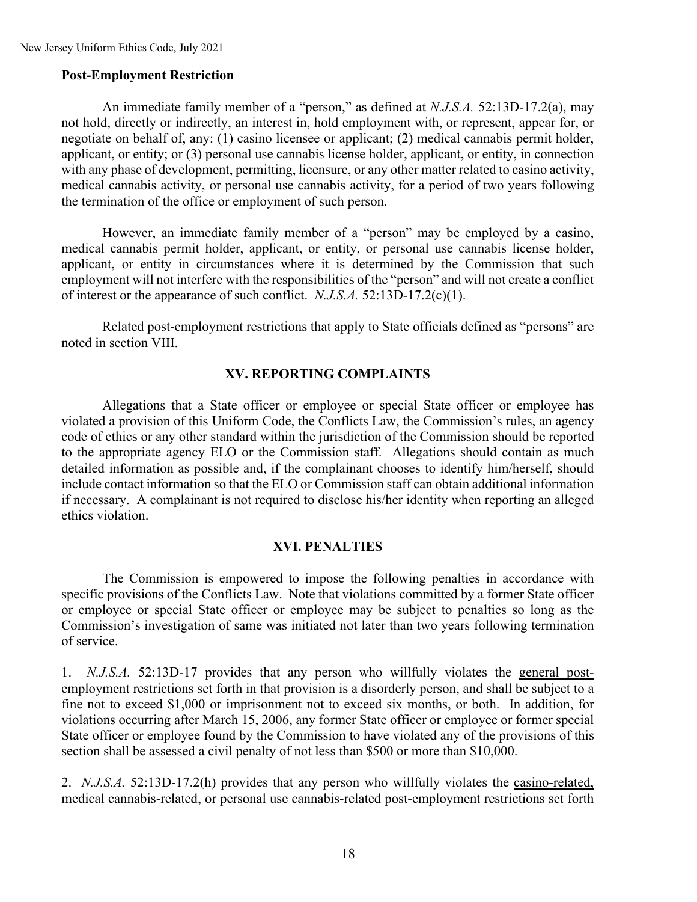#### **Post-Employment Restriction**

An immediate family member of a "person," as defined at *N.J.S.A.* 52:13D-17.2(a), may not hold, directly or indirectly, an interest in, hold employment with, or represent, appear for, or negotiate on behalf of, any: (1) casino licensee or applicant; (2) medical cannabis permit holder, applicant, or entity; or (3) personal use cannabis license holder, applicant, or entity, in connection with any phase of development, permitting, licensure, or any other matter related to casino activity, medical cannabis activity, or personal use cannabis activity, for a period of two years following the termination of the office or employment of such person.

However, an immediate family member of a "person" may be employed by a casino, medical cannabis permit holder, applicant, or entity, or personal use cannabis license holder, applicant, or entity in circumstances where it is determined by the Commission that such employment will not interfere with the responsibilities of the "person" and will not create a conflict of interest or the appearance of such conflict. *N.J.S.A.* 52:13D-17.2(c)(1).

Related post-employment restrictions that apply to State officials defined as "persons" are noted in section VIII.

#### **XV. REPORTING COMPLAINTS**

Allegations that a State officer or employee or special State officer or employee has violated a provision of this Uniform Code, the Conflicts Law, the Commission's rules, an agency code of ethics or any other standard within the jurisdiction of the Commission should be reported to the appropriate agency ELO or the Commission staff. Allegations should contain as much detailed information as possible and, if the complainant chooses to identify him/herself, should include contact information so that the ELO or Commission staff can obtain additional information if necessary. A complainant is not required to disclose his/her identity when reporting an alleged ethics violation.

#### **XVI. PENALTIES**

The Commission is empowered to impose the following penalties in accordance with specific provisions of the Conflicts Law. Note that violations committed by a former State officer or employee or special State officer or employee may be subject to penalties so long as the Commission's investigation of same was initiated not later than two years following termination of service.

1. *N.J.S.A.* 52:13D-17 provides that any person who willfully violates the general postemployment restrictions set forth in that provision is a disorderly person, and shall be subject to a fine not to exceed \$1,000 or imprisonment not to exceed six months, or both. In addition, for violations occurring after March 15, 2006, any former State officer or employee or former special State officer or employee found by the Commission to have violated any of the provisions of this section shall be assessed a civil penalty of not less than \$500 or more than \$10,000.

2. *N.J.S.A.* 52:13D-17.2(h) provides that any person who willfully violates the casino-related, medical cannabis-related, or personal use cannabis-related post-employment restrictions set forth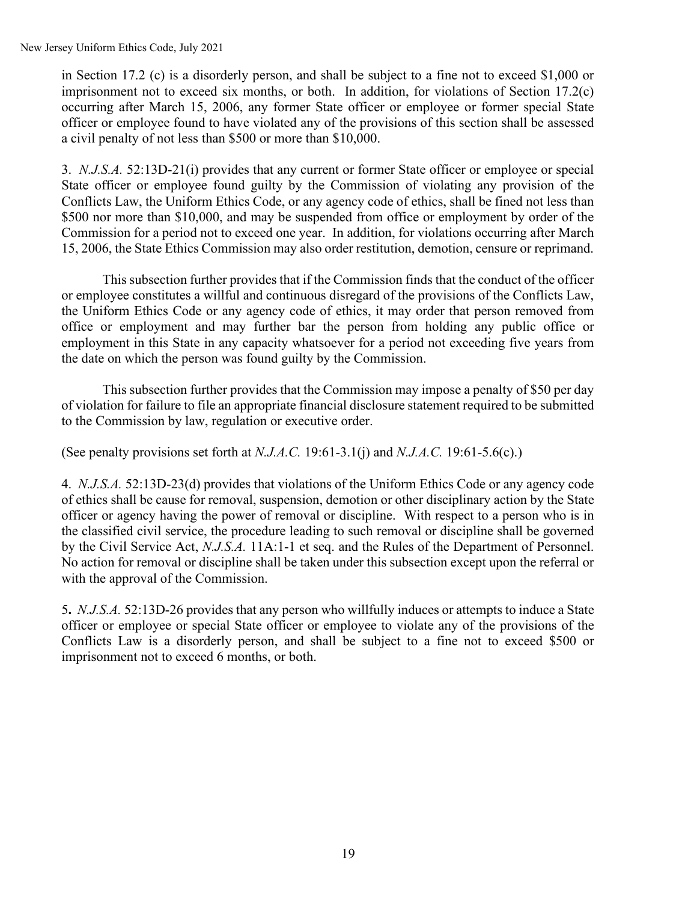New Jersey Uniform Ethics Code, July 2021

in Section 17.2 (c) is a disorderly person, and shall be subject to a fine not to exceed \$1,000 or imprisonment not to exceed six months, or both. In addition, for violations of Section  $17.2(c)$ occurring after March 15, 2006, any former State officer or employee or former special State officer or employee found to have violated any of the provisions of this section shall be assessed a civil penalty of not less than \$500 or more than \$10,000.

3. *N.J.S.A.* 52:13D-21(i) provides that any current or former State officer or employee or special State officer or employee found guilty by the Commission of violating any provision of the Conflicts Law, the Uniform Ethics Code, or any agency code of ethics, shall be fined not less than \$500 nor more than \$10,000, and may be suspended from office or employment by order of the Commission for a period not to exceed one year. In addition, for violations occurring after March 15, 2006, the State Ethics Commission may also order restitution, demotion, censure or reprimand.

This subsection further provides that if the Commission finds that the conduct of the officer or employee constitutes a willful and continuous disregard of the provisions of the Conflicts Law, the Uniform Ethics Code or any agency code of ethics, it may order that person removed from office or employment and may further bar the person from holding any public office or employment in this State in any capacity whatsoever for a period not exceeding five years from the date on which the person was found guilty by the Commission.

This subsection further provides that the Commission may impose a penalty of \$50 per day of violation for failure to file an appropriate financial disclosure statement required to be submitted to the Commission by law, regulation or executive order.

(See penalty provisions set forth at *N.J.A.C.* 19:61-3.1(j) and *N.J.A.C.* 19:61-5.6(c).)

4. *N.J.S.A.* 52:13D-23(d) provides that violations of the Uniform Ethics Code or any agency code of ethics shall be cause for removal, suspension, demotion or other disciplinary action by the State officer or agency having the power of removal or discipline. With respect to a person who is in the classified civil service, the procedure leading to such removal or discipline shall be governed by the Civil Service Act, *N.J.S.A.* 11A:1-1 et seq. and the Rules of the Department of Personnel. No action for removal or discipline shall be taken under this subsection except upon the referral or with the approval of the Commission.

5**.** *N.J.S.A.* 52:13D-26 provides that any person who willfully induces or attempts to induce a State officer or employee or special State officer or employee to violate any of the provisions of the Conflicts Law is a disorderly person, and shall be subject to a fine not to exceed \$500 or imprisonment not to exceed 6 months, or both.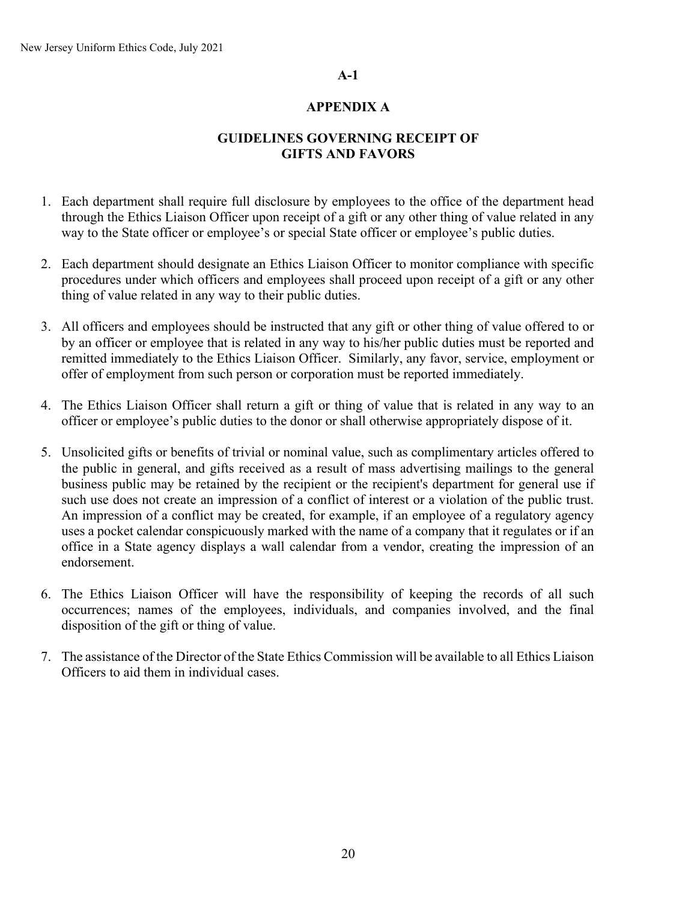#### **A-1**

#### **APPENDIX A**

# **GUIDELINES GOVERNING RECEIPT OF GIFTS AND FAVORS**

- 1. Each department shall require full disclosure by employees to the office of the department head through the Ethics Liaison Officer upon receipt of a gift or any other thing of value related in any way to the State officer or employee's or special State officer or employee's public duties.
- 2. Each department should designate an Ethics Liaison Officer to monitor compliance with specific procedures under which officers and employees shall proceed upon receipt of a gift or any other thing of value related in any way to their public duties.
- 3. All officers and employees should be instructed that any gift or other thing of value offered to or by an officer or employee that is related in any way to his/her public duties must be reported and remitted immediately to the Ethics Liaison Officer. Similarly, any favor, service, employment or offer of employment from such person or corporation must be reported immediately.
- 4. The Ethics Liaison Officer shall return a gift or thing of value that is related in any way to an officer or employee's public duties to the donor or shall otherwise appropriately dispose of it.
- 5. Unsolicited gifts or benefits of trivial or nominal value, such as complimentary articles offered to the public in general, and gifts received as a result of mass advertising mailings to the general business public may be retained by the recipient or the recipient's department for general use if such use does not create an impression of a conflict of interest or a violation of the public trust. An impression of a conflict may be created, for example, if an employee of a regulatory agency uses a pocket calendar conspicuously marked with the name of a company that it regulates or if an office in a State agency displays a wall calendar from a vendor, creating the impression of an endorsement.
- 6. The Ethics Liaison Officer will have the responsibility of keeping the records of all such occurrences; names of the employees, individuals, and companies involved, and the final disposition of the gift or thing of value.
- 7. The assistance of the Director of the State Ethics Commission will be available to all Ethics Liaison Officers to aid them in individual cases.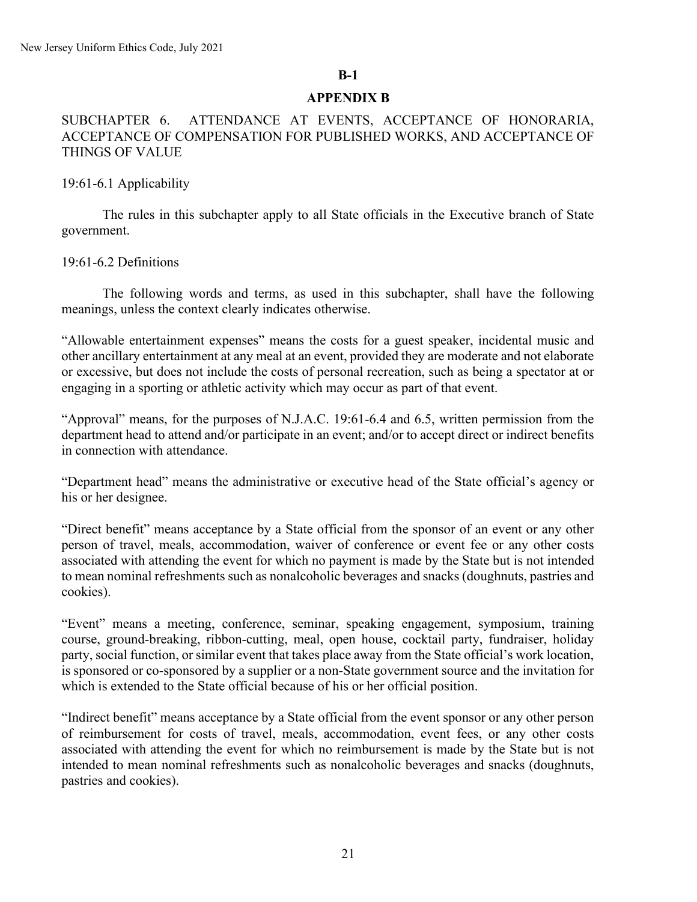#### **APPENDIX B**

### SUBCHAPTER 6. ATTENDANCE AT EVENTS, ACCEPTANCE OF HONORARIA, ACCEPTANCE OF COMPENSATION FOR PUBLISHED WORKS, AND ACCEPTANCE OF THINGS OF VALUE

#### 19:61-6.1 Applicability

The rules in this subchapter apply to all State officials in the Executive branch of State government.

#### 19:61-6.2 Definitions

The following words and terms, as used in this subchapter, shall have the following meanings, unless the context clearly indicates otherwise.

"Allowable entertainment expenses" means the costs for a guest speaker, incidental music and other ancillary entertainment at any meal at an event, provided they are moderate and not elaborate or excessive, but does not include the costs of personal recreation, such as being a spectator at or engaging in a sporting or athletic activity which may occur as part of that event.

"Approval" means, for the purposes of N.J.A.C. 19:61-6.4 and 6.5, written permission from the department head to attend and/or participate in an event; and/or to accept direct or indirect benefits in connection with attendance.

"Department head" means the administrative or executive head of the State official's agency or his or her designee.

"Direct benefit" means acceptance by a State official from the sponsor of an event or any other person of travel, meals, accommodation, waiver of conference or event fee or any other costs associated with attending the event for which no payment is made by the State but is not intended to mean nominal refreshments such as nonalcoholic beverages and snacks (doughnuts, pastries and cookies).

"Event" means a meeting, conference, seminar, speaking engagement, symposium, training course, ground-breaking, ribbon-cutting, meal, open house, cocktail party, fundraiser, holiday party, social function, or similar event that takes place away from the State official's work location, is sponsored or co-sponsored by a supplier or a non-State government source and the invitation for which is extended to the State official because of his or her official position.

"Indirect benefit" means acceptance by a State official from the event sponsor or any other person of reimbursement for costs of travel, meals, accommodation, event fees, or any other costs associated with attending the event for which no reimbursement is made by the State but is not intended to mean nominal refreshments such as nonalcoholic beverages and snacks (doughnuts, pastries and cookies).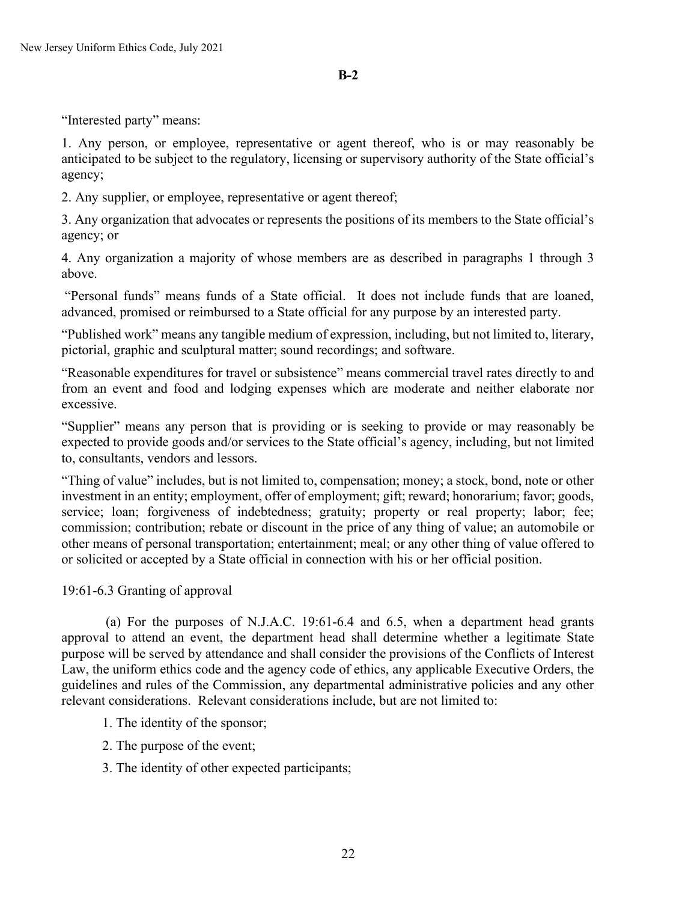"Interested party" means:

1. Any person, or employee, representative or agent thereof, who is or may reasonably be anticipated to be subject to the regulatory, licensing or supervisory authority of the State official's agency;

2. Any supplier, or employee, representative or agent thereof;

3. Any organization that advocates or represents the positions of its members to the State official's agency; or

4. Any organization a majority of whose members are as described in paragraphs 1 through 3 above.

"Personal funds" means funds of a State official. It does not include funds that are loaned, advanced, promised or reimbursed to a State official for any purpose by an interested party.

"Published work" means any tangible medium of expression, including, but not limited to, literary, pictorial, graphic and sculptural matter; sound recordings; and software.

"Reasonable expenditures for travel or subsistence" means commercial travel rates directly to and from an event and food and lodging expenses which are moderate and neither elaborate nor excessive.

"Supplier" means any person that is providing or is seeking to provide or may reasonably be expected to provide goods and/or services to the State official's agency, including, but not limited to, consultants, vendors and lessors.

"Thing of value" includes, but is not limited to, compensation; money; a stock, bond, note or other investment in an entity; employment, offer of employment; gift; reward; honorarium; favor; goods, service; loan; forgiveness of indebtedness; gratuity; property or real property; labor; fee; commission; contribution; rebate or discount in the price of any thing of value; an automobile or other means of personal transportation; entertainment; meal; or any other thing of value offered to or solicited or accepted by a State official in connection with his or her official position.

### 19:61-6.3 Granting of approval

 (a) For the purposes of N.J.A.C. 19:61-6.4 and 6.5, when a department head grants approval to attend an event, the department head shall determine whether a legitimate State purpose will be served by attendance and shall consider the provisions of the Conflicts of Interest Law, the uniform ethics code and the agency code of ethics, any applicable Executive Orders, the guidelines and rules of the Commission, any departmental administrative policies and any other relevant considerations. Relevant considerations include, but are not limited to:

- 1. The identity of the sponsor;
- 2. The purpose of the event;
- 3. The identity of other expected participants;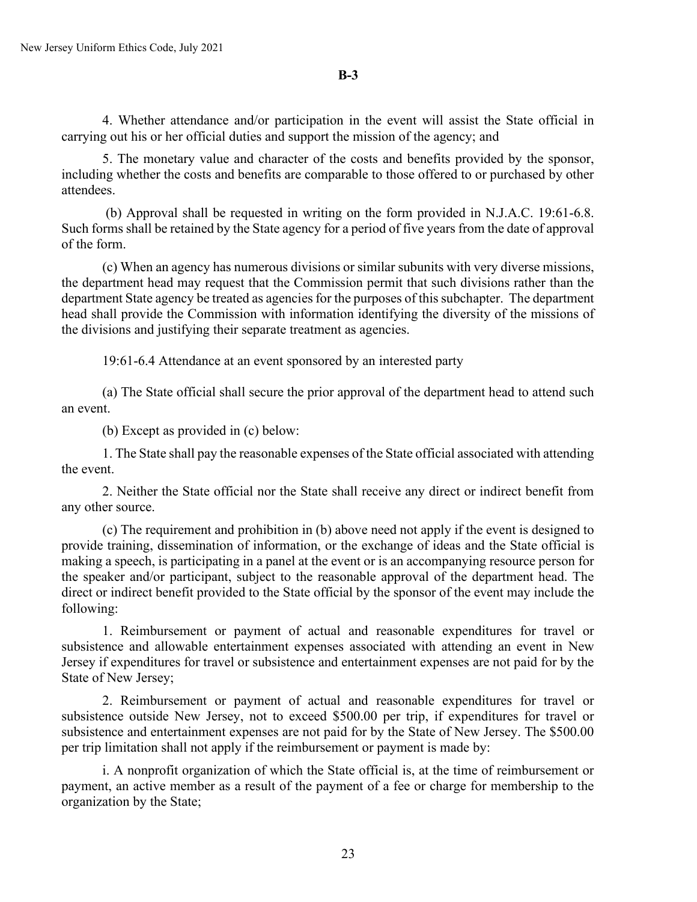4. Whether attendance and/or participation in the event will assist the State official in carrying out his or her official duties and support the mission of the agency; and

5. The monetary value and character of the costs and benefits provided by the sponsor, including whether the costs and benefits are comparable to those offered to or purchased by other attendees.

(b) Approval shall be requested in writing on the form provided in N.J.A.C. 19:61-6.8. Such forms shall be retained by the State agency for a period of five years from the date of approval of the form.

(c) When an agency has numerous divisions or similar subunits with very diverse missions, the department head may request that the Commission permit that such divisions rather than the department State agency be treated as agencies for the purposes of this subchapter. The department head shall provide the Commission with information identifying the diversity of the missions of the divisions and justifying their separate treatment as agencies.

19:61-6.4 Attendance at an event sponsored by an interested party

(a) The State official shall secure the prior approval of the department head to attend such an event.

(b) Except as provided in (c) below:

1. The State shall pay the reasonable expenses of the State official associated with attending the event.

2. Neither the State official nor the State shall receive any direct or indirect benefit from any other source.

(c) The requirement and prohibition in (b) above need not apply if the event is designed to provide training, dissemination of information, or the exchange of ideas and the State official is making a speech, is participating in a panel at the event or is an accompanying resource person for the speaker and/or participant, subject to the reasonable approval of the department head. The direct or indirect benefit provided to the State official by the sponsor of the event may include the following:

1. Reimbursement or payment of actual and reasonable expenditures for travel or subsistence and allowable entertainment expenses associated with attending an event in New Jersey if expenditures for travel or subsistence and entertainment expenses are not paid for by the State of New Jersey;

2. Reimbursement or payment of actual and reasonable expenditures for travel or subsistence outside New Jersey, not to exceed \$500.00 per trip, if expenditures for travel or subsistence and entertainment expenses are not paid for by the State of New Jersey. The \$500.00 per trip limitation shall not apply if the reimbursement or payment is made by:

i. A nonprofit organization of which the State official is, at the time of reimbursement or payment, an active member as a result of the payment of a fee or charge for membership to the organization by the State;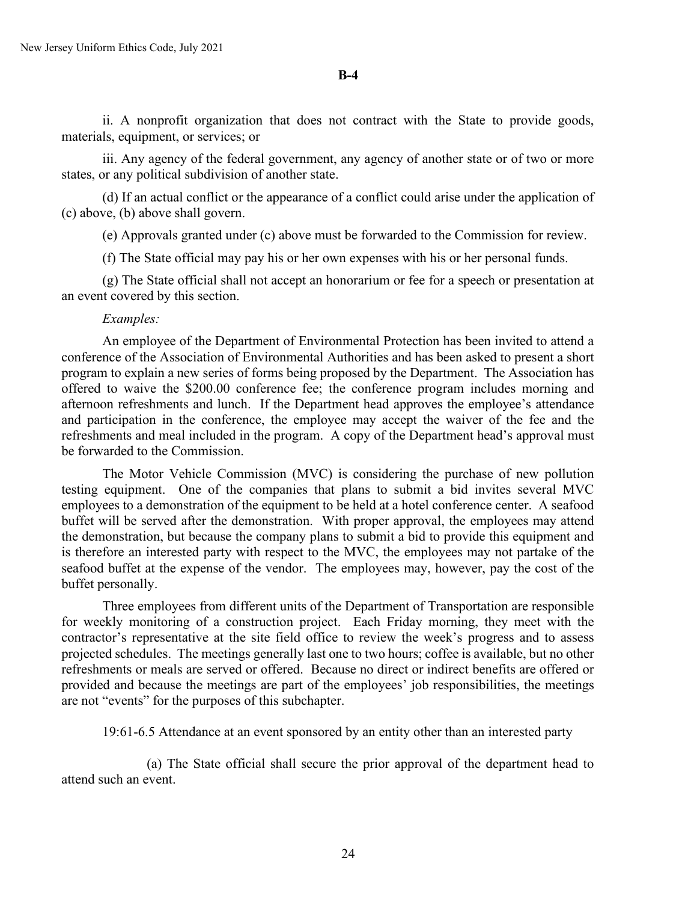ii. A nonprofit organization that does not contract with the State to provide goods, materials, equipment, or services; or

iii. Any agency of the federal government, any agency of another state or of two or more states, or any political subdivision of another state.

(d) If an actual conflict or the appearance of a conflict could arise under the application of (c) above, (b) above shall govern.

(e) Approvals granted under (c) above must be forwarded to the Commission for review.

(f) The State official may pay his or her own expenses with his or her personal funds.

(g) The State official shall not accept an honorarium or fee for a speech or presentation at an event covered by this section.

#### *Examples:*

An employee of the Department of Environmental Protection has been invited to attend a conference of the Association of Environmental Authorities and has been asked to present a short program to explain a new series of forms being proposed by the Department. The Association has offered to waive the \$200.00 conference fee; the conference program includes morning and afternoon refreshments and lunch. If the Department head approves the employee's attendance and participation in the conference, the employee may accept the waiver of the fee and the refreshments and meal included in the program. A copy of the Department head's approval must be forwarded to the Commission.

The Motor Vehicle Commission (MVC) is considering the purchase of new pollution testing equipment. One of the companies that plans to submit a bid invites several MVC employees to a demonstration of the equipment to be held at a hotel conference center. A seafood buffet will be served after the demonstration. With proper approval, the employees may attend the demonstration, but because the company plans to submit a bid to provide this equipment and is therefore an interested party with respect to the MVC, the employees may not partake of the seafood buffet at the expense of the vendor. The employees may, however, pay the cost of the buffet personally.

Three employees from different units of the Department of Transportation are responsible for weekly monitoring of a construction project. Each Friday morning, they meet with the contractor's representative at the site field office to review the week's progress and to assess projected schedules. The meetings generally last one to two hours; coffee is available, but no other refreshments or meals are served or offered. Because no direct or indirect benefits are offered or provided and because the meetings are part of the employees' job responsibilities, the meetings are not "events" for the purposes of this subchapter.

19:61-6.5 Attendance at an event sponsored by an entity other than an interested party

 (a) The State official shall secure the prior approval of the department head to attend such an event.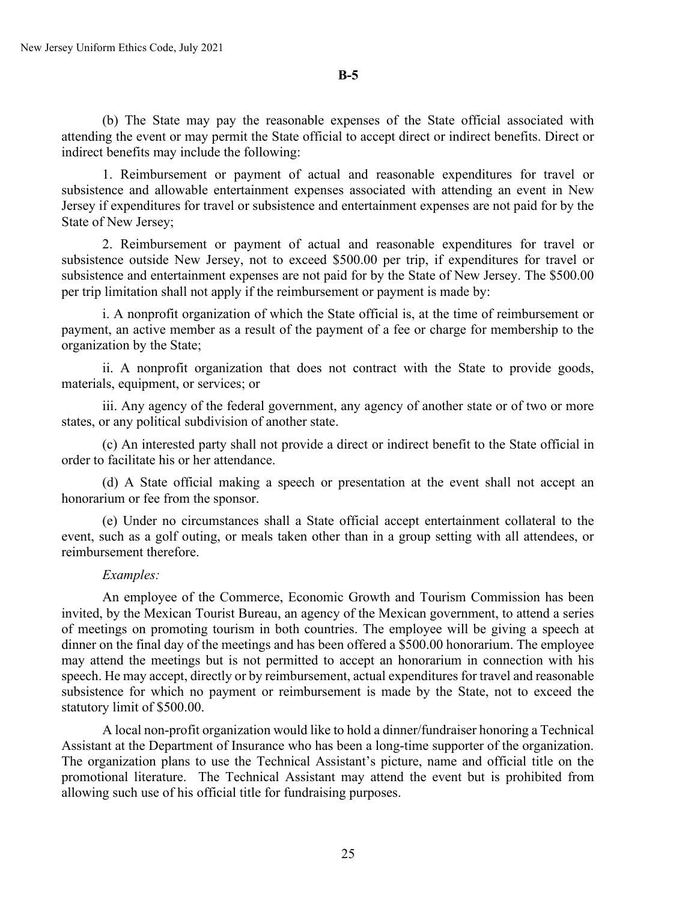(b) The State may pay the reasonable expenses of the State official associated with attending the event or may permit the State official to accept direct or indirect benefits. Direct or indirect benefits may include the following:

1. Reimbursement or payment of actual and reasonable expenditures for travel or subsistence and allowable entertainment expenses associated with attending an event in New Jersey if expenditures for travel or subsistence and entertainment expenses are not paid for by the State of New Jersey;

2. Reimbursement or payment of actual and reasonable expenditures for travel or subsistence outside New Jersey, not to exceed \$500.00 per trip, if expenditures for travel or subsistence and entertainment expenses are not paid for by the State of New Jersey. The \$500.00 per trip limitation shall not apply if the reimbursement or payment is made by:

i. A nonprofit organization of which the State official is, at the time of reimbursement or payment, an active member as a result of the payment of a fee or charge for membership to the organization by the State;

ii. A nonprofit organization that does not contract with the State to provide goods, materials, equipment, or services; or

iii. Any agency of the federal government, any agency of another state or of two or more states, or any political subdivision of another state.

(c) An interested party shall not provide a direct or indirect benefit to the State official in order to facilitate his or her attendance.

(d) A State official making a speech or presentation at the event shall not accept an honorarium or fee from the sponsor.

(e) Under no circumstances shall a State official accept entertainment collateral to the event, such as a golf outing, or meals taken other than in a group setting with all attendees, or reimbursement therefore.

#### *Examples:*

An employee of the Commerce, Economic Growth and Tourism Commission has been invited, by the Mexican Tourist Bureau, an agency of the Mexican government, to attend a series of meetings on promoting tourism in both countries. The employee will be giving a speech at dinner on the final day of the meetings and has been offered a \$500.00 honorarium. The employee may attend the meetings but is not permitted to accept an honorarium in connection with his speech. He may accept, directly or by reimbursement, actual expenditures for travel and reasonable subsistence for which no payment or reimbursement is made by the State, not to exceed the statutory limit of \$500.00.

A local non-profit organization would like to hold a dinner/fundraiser honoring a Technical Assistant at the Department of Insurance who has been a long-time supporter of the organization. The organization plans to use the Technical Assistant's picture, name and official title on the promotional literature. The Technical Assistant may attend the event but is prohibited from allowing such use of his official title for fundraising purposes.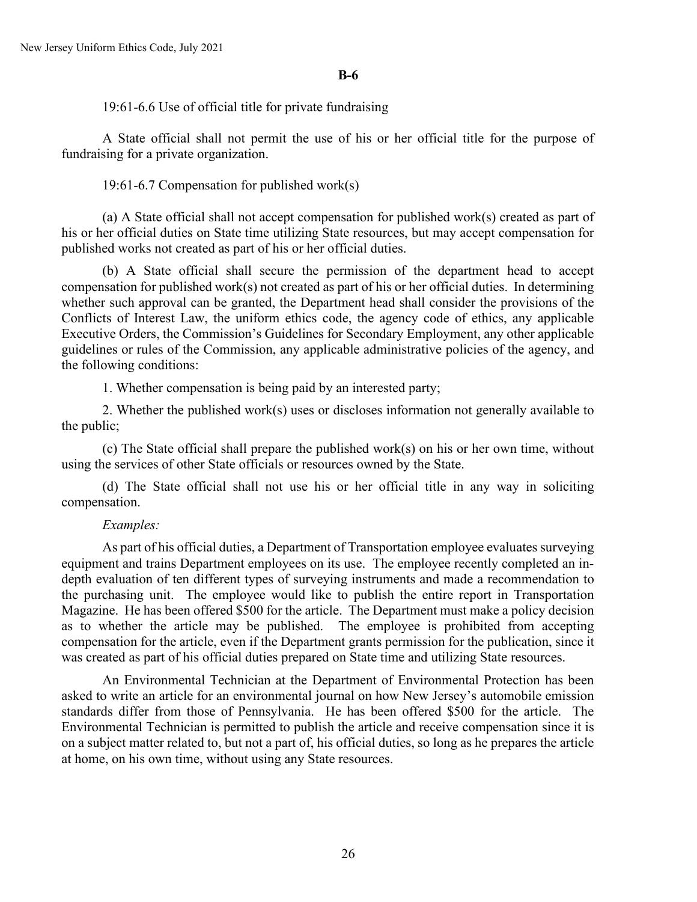19:61-6.6 Use of official title for private fundraising

A State official shall not permit the use of his or her official title for the purpose of fundraising for a private organization.

19:61-6.7 Compensation for published work(s)

(a) A State official shall not accept compensation for published work(s) created as part of his or her official duties on State time utilizing State resources, but may accept compensation for published works not created as part of his or her official duties.

(b) A State official shall secure the permission of the department head to accept compensation for published work(s) not created as part of his or her official duties. In determining whether such approval can be granted, the Department head shall consider the provisions of the Conflicts of Interest Law, the uniform ethics code, the agency code of ethics, any applicable Executive Orders, the Commission's Guidelines for Secondary Employment, any other applicable guidelines or rules of the Commission, any applicable administrative policies of the agency, and the following conditions:

1. Whether compensation is being paid by an interested party;

2. Whether the published work(s) uses or discloses information not generally available to the public;

(c) The State official shall prepare the published work(s) on his or her own time, without using the services of other State officials or resources owned by the State.

(d) The State official shall not use his or her official title in any way in soliciting compensation.

#### *Examples:*

As part of his official duties, a Department of Transportation employee evaluates surveying equipment and trains Department employees on its use. The employee recently completed an indepth evaluation of ten different types of surveying instruments and made a recommendation to the purchasing unit. The employee would like to publish the entire report in Transportation Magazine. He has been offered \$500 for the article. The Department must make a policy decision as to whether the article may be published. The employee is prohibited from accepting compensation for the article, even if the Department grants permission for the publication, since it was created as part of his official duties prepared on State time and utilizing State resources.

An Environmental Technician at the Department of Environmental Protection has been asked to write an article for an environmental journal on how New Jersey's automobile emission standards differ from those of Pennsylvania. He has been offered \$500 for the article. The Environmental Technician is permitted to publish the article and receive compensation since it is on a subject matter related to, but not a part of, his official duties, so long as he prepares the article at home, on his own time, without using any State resources.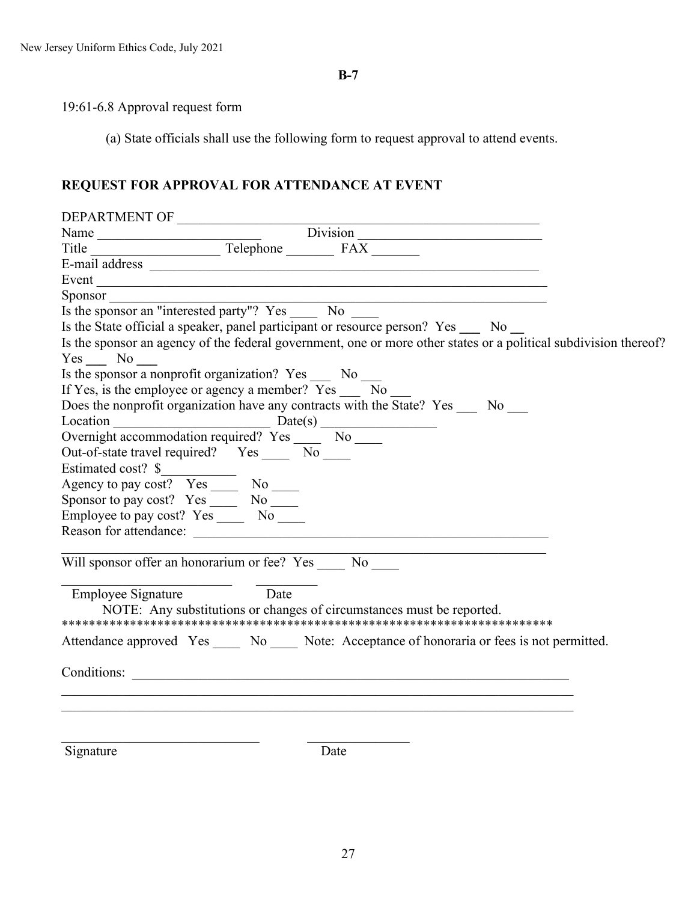# 19:61-6.8 Approval request form

(a) State officials shall use the following form to request approval to attend events.

# **REQUEST FOR APPROVAL FOR ATTENDANCE AT EVENT**

| Name $\frac{\text{Division}}{\text{Title}}$ $\frac{\text{Delephone}}{\text{Replace}}$ $\frac{\text{Division}}{\text{FAX}}$         |
|------------------------------------------------------------------------------------------------------------------------------------|
|                                                                                                                                    |
|                                                                                                                                    |
|                                                                                                                                    |
|                                                                                                                                    |
| Sponsor $\frac{1}{\text{Is the sponsor an "interested party"? Yes}}$ No $\frac{1}{\text{No}}$ No $\frac{1}{\text{No}}$             |
| Is the State official a speaker, panel participant or resource person? Yes No                                                      |
| Is the sponsor an agency of the federal government, one or more other states or a political subdivision thereof?<br>$Yes \_ No \_$ |
| Is the sponsor a nonprofit organization? $Yes$ $\qquad$ No $\qquad$                                                                |
| If Yes, is the employee or agency a member? Yes _____ No                                                                           |
| Does the nonprofit organization have any contracts with the State? Yes _____ No                                                    |
| Location $\frac{\text{Date(s)}}{\text{Overnight accommodation required? Yes}}$ No $\frac{\text{Date(s)}}{\text{No}}$               |
|                                                                                                                                    |
| Out-of-state travel required? Yes No                                                                                               |
|                                                                                                                                    |
|                                                                                                                                    |
| Sponsor to pay cost? Yes _______ No ______                                                                                         |
| Employee to pay cost? Yes _______ No _____                                                                                         |
|                                                                                                                                    |
|                                                                                                                                    |
| Will sponsor offer an honorarium or fee? Yes No                                                                                    |
| Employee Signature Date                                                                                                            |
| NOTE: Any substitutions or changes of circumstances must be reported.                                                              |
|                                                                                                                                    |
| Attendance approved Yes _____ No _____ Note: Acceptance of honoraria or fees is not permitted.                                     |
|                                                                                                                                    |
|                                                                                                                                    |
|                                                                                                                                    |
|                                                                                                                                    |
|                                                                                                                                    |
| Signature<br>Date                                                                                                                  |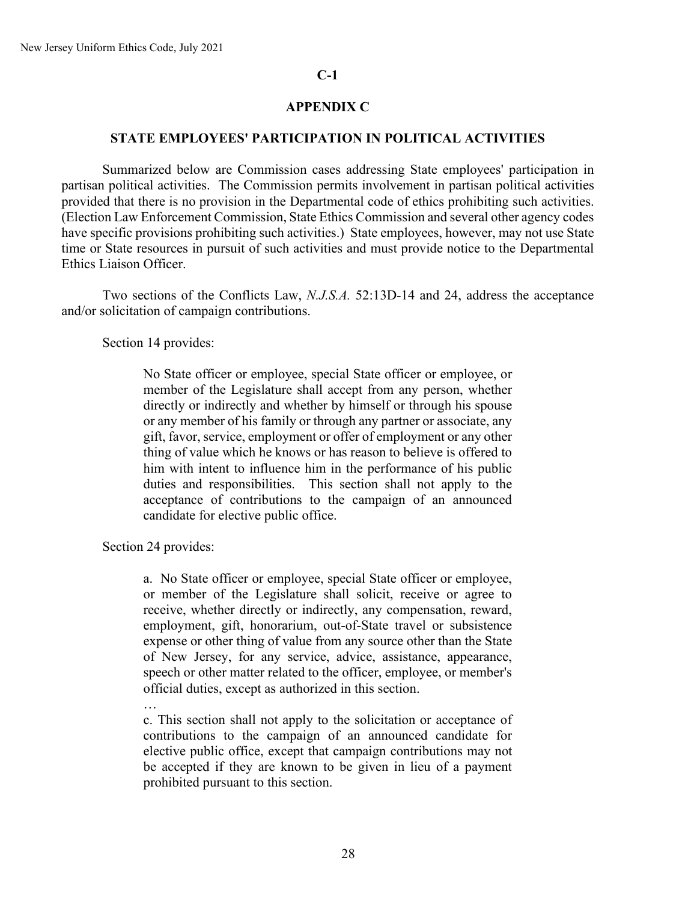#### **C-1**

### **APPENDIX C**

#### **STATE EMPLOYEES' PARTICIPATION IN POLITICAL ACTIVITIES**

Summarized below are Commission cases addressing State employees' participation in partisan political activities. The Commission permits involvement in partisan political activities provided that there is no provision in the Departmental code of ethics prohibiting such activities. (Election Law Enforcement Commission, State Ethics Commission and several other agency codes have specific provisions prohibiting such activities.) State employees, however, may not use State time or State resources in pursuit of such activities and must provide notice to the Departmental Ethics Liaison Officer.

Two sections of the Conflicts Law, *N.J.S.A.* 52:13D-14 and 24, address the acceptance and/or solicitation of campaign contributions.

Section 14 provides:

No State officer or employee, special State officer or employee, or member of the Legislature shall accept from any person, whether directly or indirectly and whether by himself or through his spouse or any member of his family or through any partner or associate, any gift, favor, service, employment or offer of employment or any other thing of value which he knows or has reason to believe is offered to him with intent to influence him in the performance of his public duties and responsibilities. This section shall not apply to the acceptance of contributions to the campaign of an announced candidate for elective public office.

Section 24 provides:

a. No State officer or employee, special State officer or employee, or member of the Legislature shall solicit, receive or agree to receive, whether directly or indirectly, any compensation, reward, employment, gift, honorarium, out-of-State travel or subsistence expense or other thing of value from any source other than the State of New Jersey, for any service, advice, assistance, appearance, speech or other matter related to the officer, employee, or member's official duties, except as authorized in this section.

…

c. This section shall not apply to the solicitation or acceptance of contributions to the campaign of an announced candidate for elective public office, except that campaign contributions may not be accepted if they are known to be given in lieu of a payment prohibited pursuant to this section.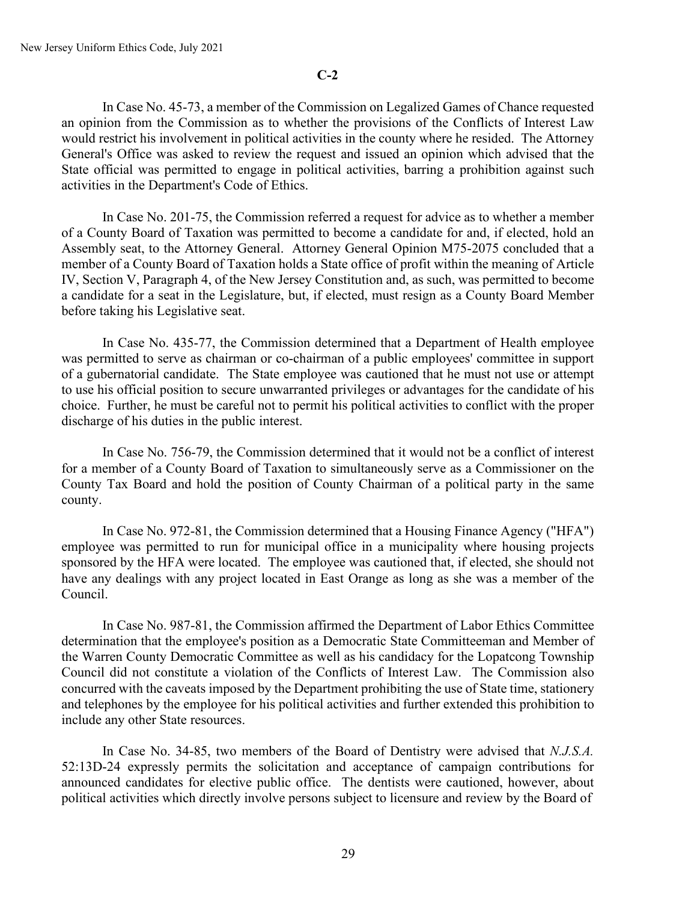In Case No. 45-73, a member of the Commission on Legalized Games of Chance requested an opinion from the Commission as to whether the provisions of the Conflicts of Interest Law would restrict his involvement in political activities in the county where he resided. The Attorney General's Office was asked to review the request and issued an opinion which advised that the State official was permitted to engage in political activities, barring a prohibition against such activities in the Department's Code of Ethics.

In Case No. 201-75, the Commission referred a request for advice as to whether a member of a County Board of Taxation was permitted to become a candidate for and, if elected, hold an Assembly seat, to the Attorney General. Attorney General Opinion M75-2075 concluded that a member of a County Board of Taxation holds a State office of profit within the meaning of Article IV, Section V, Paragraph 4, of the New Jersey Constitution and, as such, was permitted to become a candidate for a seat in the Legislature, but, if elected, must resign as a County Board Member before taking his Legislative seat.

In Case No. 435-77, the Commission determined that a Department of Health employee was permitted to serve as chairman or co-chairman of a public employees' committee in support of a gubernatorial candidate. The State employee was cautioned that he must not use or attempt to use his official position to secure unwarranted privileges or advantages for the candidate of his choice. Further, he must be careful not to permit his political activities to conflict with the proper discharge of his duties in the public interest.

In Case No. 756-79, the Commission determined that it would not be a conflict of interest for a member of a County Board of Taxation to simultaneously serve as a Commissioner on the County Tax Board and hold the position of County Chairman of a political party in the same county.

In Case No. 972-81, the Commission determined that a Housing Finance Agency ("HFA") employee was permitted to run for municipal office in a municipality where housing projects sponsored by the HFA were located. The employee was cautioned that, if elected, she should not have any dealings with any project located in East Orange as long as she was a member of the Council.

In Case No. 987-81, the Commission affirmed the Department of Labor Ethics Committee determination that the employee's position as a Democratic State Committeeman and Member of the Warren County Democratic Committee as well as his candidacy for the Lopatcong Township Council did not constitute a violation of the Conflicts of Interest Law. The Commission also concurred with the caveats imposed by the Department prohibiting the use of State time, stationery and telephones by the employee for his political activities and further extended this prohibition to include any other State resources.

In Case No. 34-85, two members of the Board of Dentistry were advised that *N.J.S.A.* 52:13D-24 expressly permits the solicitation and acceptance of campaign contributions for announced candidates for elective public office. The dentists were cautioned, however, about political activities which directly involve persons subject to licensure and review by the Board of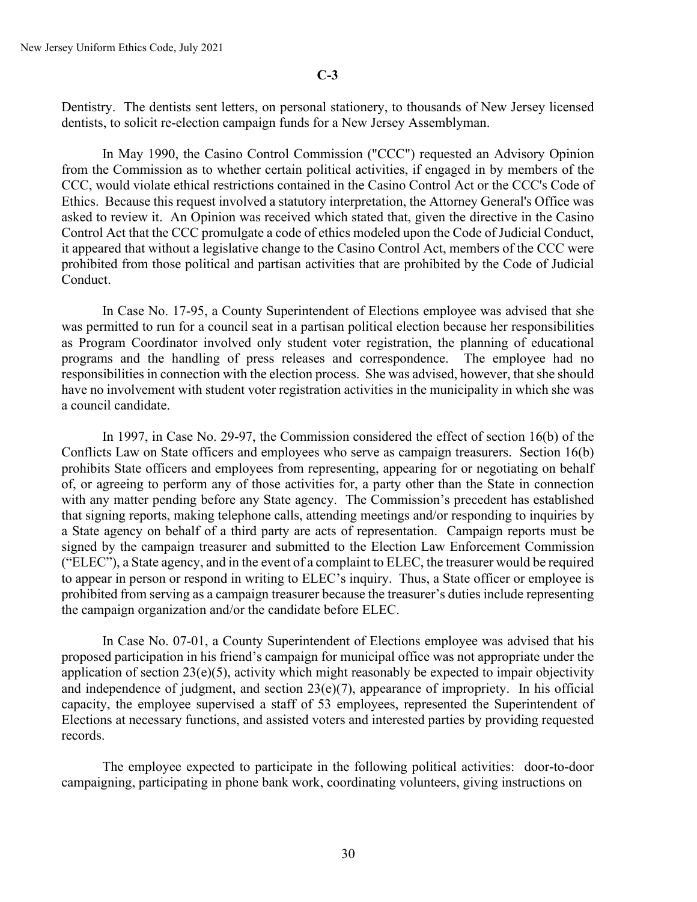Dentistry. The dentists sent letters, on personal stationery, to thousands of New Jersey licensed dentists, to solicit re-election campaign funds for a New Jersey Assemblyman.

In May 1990, the Casino Control Commission ("CCC") requested an Advisory Opinion from the Commission as to whether certain political activities, if engaged in by members of the CCC, would violate ethical restrictions contained in the Casino Control Act or the CCC's Code of Ethics. Because this request involved a statutory interpretation, the Attorney General's Office was asked to review it. An Opinion was received which stated that, given the directive in the Casino Control Act that the CCC promulgate a code of ethics modeled upon the Code of Judicial Conduct, it appeared that without a legislative change to the Casino Control Act, members of the CCC were prohibited from those political and partisan activities that are prohibited by the Code of Judicial Conduct.

In Case No. 17-95, a County Superintendent of Elections employee was advised that she was permitted to run for a council seat in a partisan political election because her responsibilities as Program Coordinator involved only student voter registration, the planning of educational programs and the handling of press releases and correspondence. The employee had no responsibilities in connection with the election process. She was advised, however, that she should have no involvement with student voter registration activities in the municipality in which she was a council candidate.

In 1997, in Case No. 29-97, the Commission considered the effect of section 16(b) of the Conflicts Law on State officers and employees who serve as campaign treasurers. Section 16(b) prohibits State officers and employees from representing, appearing for or negotiating on behalf of, or agreeing to perform any of those activities for, a party other than the State in connection with any matter pending before any State agency. The Commission's precedent has established that signing reports, making telephone calls, attending meetings and/or responding to inquiries by a State agency on behalf of a third party are acts of representation. Campaign reports must be signed by the campaign treasurer and submitted to the Election Law Enforcement Commission ("ELEC"), a State agency, and in the event of a complaint to ELEC, the treasurer would be required to appear in person or respond in writing to ELEC's inquiry. Thus, a State officer or employee is prohibited from serving as a campaign treasurer because the treasurer's duties include representing the campaign organization and/or the candidate before ELEC.

In Case No. 07-01, a County Superintendent of Elections employee was advised that his proposed participation in his friend's campaign for municipal office was not appropriate under the application of section  $23(e)(5)$ , activity which might reasonably be expected to impair objectivity and independence of judgment, and section  $23(e)(7)$ , appearance of impropriety. In his official capacity, the employee supervised a staff of 53 employees, represented the Superintendent of Elections at necessary functions, and assisted voters and interested parties by providing requested records.

The employee expected to participate in the following political activities: door-to-door campaigning, participating in phone bank work, coordinating volunteers, giving instructions on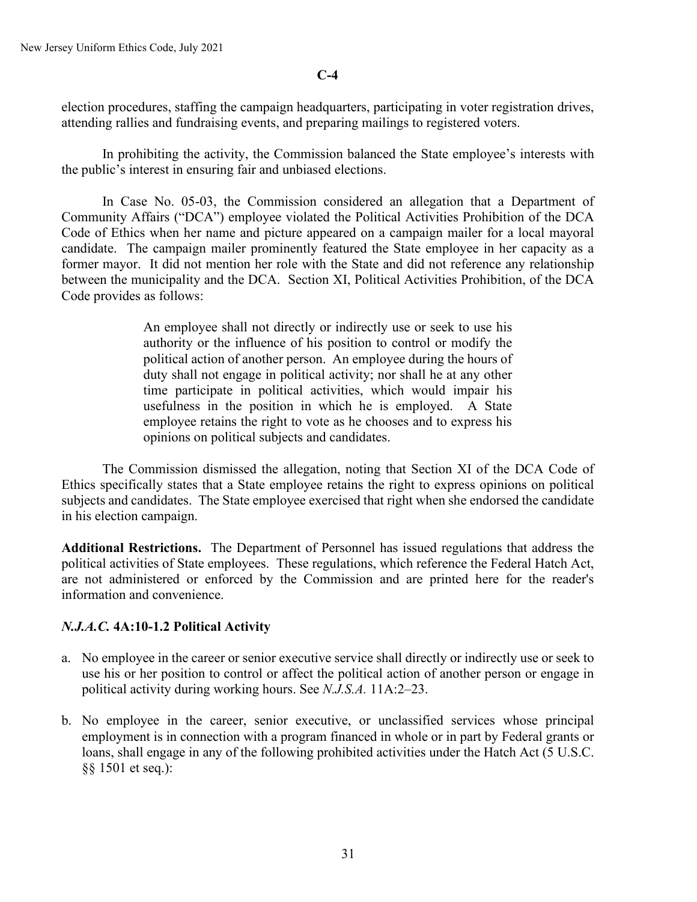#### **C-4**

election procedures, staffing the campaign headquarters, participating in voter registration drives, attending rallies and fundraising events, and preparing mailings to registered voters.

In prohibiting the activity, the Commission balanced the State employee's interests with the public's interest in ensuring fair and unbiased elections.

In Case No. 05-03, the Commission considered an allegation that a Department of Community Affairs ("DCA") employee violated the Political Activities Prohibition of the DCA Code of Ethics when her name and picture appeared on a campaign mailer for a local mayoral candidate. The campaign mailer prominently featured the State employee in her capacity as a former mayor. It did not mention her role with the State and did not reference any relationship between the municipality and the DCA. Section XI, Political Activities Prohibition, of the DCA Code provides as follows:

> An employee shall not directly or indirectly use or seek to use his authority or the influence of his position to control or modify the political action of another person. An employee during the hours of duty shall not engage in political activity; nor shall he at any other time participate in political activities, which would impair his usefulness in the position in which he is employed. A State employee retains the right to vote as he chooses and to express his opinions on political subjects and candidates.

The Commission dismissed the allegation, noting that Section XI of the DCA Code of Ethics specifically states that a State employee retains the right to express opinions on political subjects and candidates. The State employee exercised that right when she endorsed the candidate in his election campaign.

**Additional Restrictions.** The Department of Personnel has issued regulations that address the political activities of State employees. These regulations, which reference the Federal Hatch Act, are not administered or enforced by the Commission and are printed here for the reader's information and convenience.

### *N.J.A.C.* **4A:10-1.2 Political Activity**

- a. No employee in the career or senior executive service shall directly or indirectly use or seek to use his or her position to control or affect the political action of another person or engage in political activity during working hours. See *N.J.S.A.* 11A:2–23.
- b. No employee in the career, senior executive, or unclassified services whose principal employment is in connection with a program financed in whole or in part by Federal grants or loans, shall engage in any of the following prohibited activities under the Hatch Act (5 U.S.C. §§ 1501 et seq.):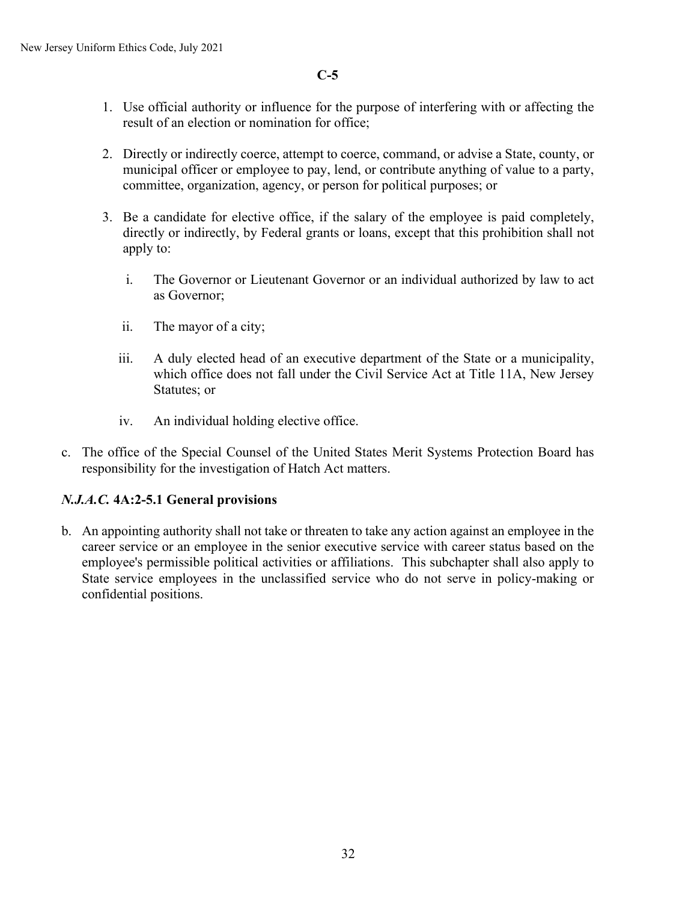**C-5**

- 1. Use official authority or influence for the purpose of interfering with or affecting the result of an election or nomination for office;
- 2. Directly or indirectly coerce, attempt to coerce, command, or advise a State, county, or municipal officer or employee to pay, lend, or contribute anything of value to a party, committee, organization, agency, or person for political purposes; or
- 3. Be a candidate for elective office, if the salary of the employee is paid completely, directly or indirectly, by Federal grants or loans, except that this prohibition shall not apply to:
	- i. The Governor or Lieutenant Governor or an individual authorized by law to act as Governor;
	- ii. The mayor of a city;
	- iii. A duly elected head of an executive department of the State or a municipality, which office does not fall under the Civil Service Act at Title 11A, New Jersey Statutes; or
	- iv. An individual holding elective office.
- c. The office of the Special Counsel of the United States Merit Systems Protection Board has responsibility for the investigation of Hatch Act matters.

# *N.J.A.C.* **4A:2-5.1 General provisions**

b. An appointing authority shall not take or threaten to take any action against an employee in the career service or an employee in the senior executive service with career status based on the employee's permissible political activities or affiliations. This subchapter shall also apply to State service employees in the unclassified service who do not serve in policy-making or confidential positions.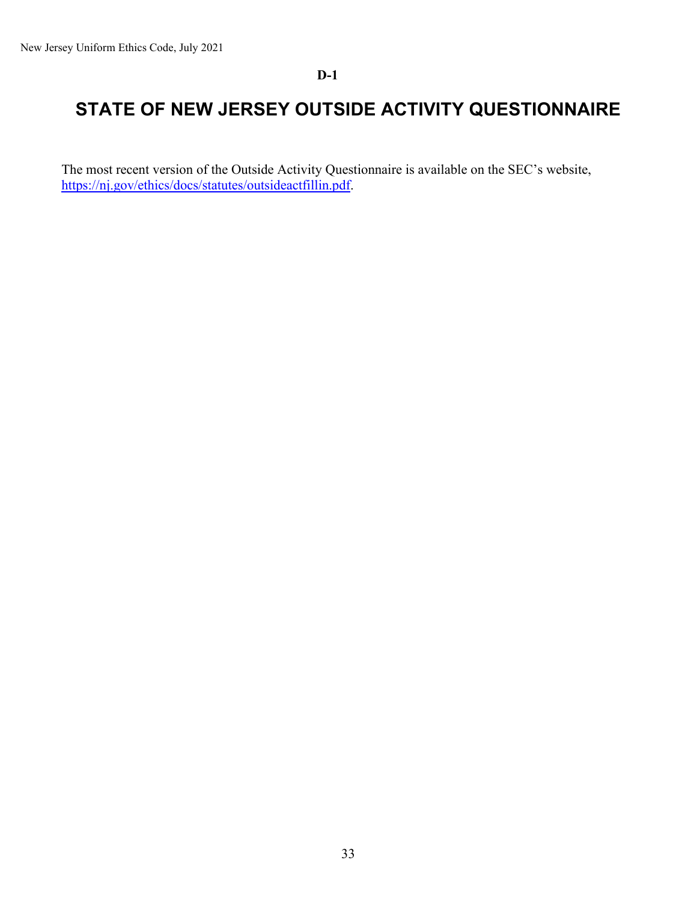### **D-1**

# **STATE OF NEW JERSEY OUTSIDE ACTIVITY QUESTIONNAIRE**

The most recent version of the Outside Activity Questionnaire is available on the SEC's website, [https://nj.gov/ethics/docs/statutes/outsideactfillin.pdf.](https://nj.gov/ethics/docs/statutes/outsideactfillin.pdf)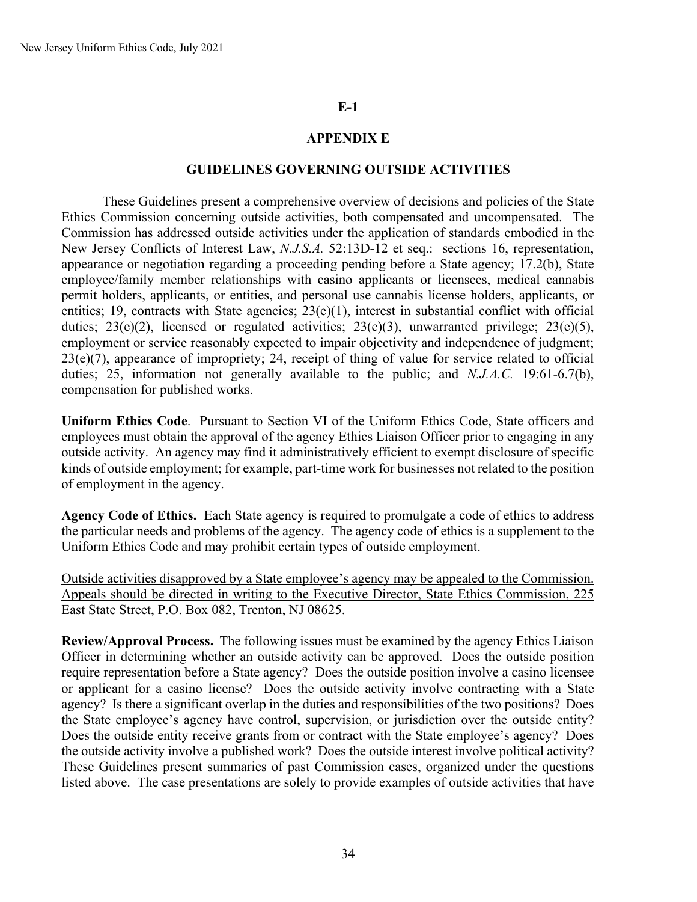### **E-1**

### **APPENDIX E**

#### **GUIDELINES GOVERNING OUTSIDE ACTIVITIES**

These Guidelines present a comprehensive overview of decisions and policies of the State Ethics Commission concerning outside activities, both compensated and uncompensated. The Commission has addressed outside activities under the application of standards embodied in the New Jersey Conflicts of Interest Law, *N.J.S.A.* 52:13D-12 et seq.: sections 16, representation, appearance or negotiation regarding a proceeding pending before a State agency; 17.2(b), State employee/family member relationships with casino applicants or licensees, medical cannabis permit holders, applicants, or entities, and personal use cannabis license holders, applicants, or entities; 19, contracts with State agencies;  $23(e)(1)$ , interest in substantial conflict with official duties;  $23(e)(2)$ , licensed or regulated activities;  $23(e)(3)$ , unwarranted privilege;  $23(e)(5)$ , employment or service reasonably expected to impair objectivity and independence of judgment; 23(e)(7), appearance of impropriety; 24, receipt of thing of value for service related to official duties; 25, information not generally available to the public; and *N.J.A.C.* 19:61-6.7(b), compensation for published works.

**Uniform Ethics Code**. Pursuant to Section VI of the Uniform Ethics Code, State officers and employees must obtain the approval of the agency Ethics Liaison Officer prior to engaging in any outside activity. An agency may find it administratively efficient to exempt disclosure of specific kinds of outside employment; for example, part-time work for businesses not related to the position of employment in the agency.

**Agency Code of Ethics.** Each State agency is required to promulgate a code of ethics to address the particular needs and problems of the agency. The agency code of ethics is a supplement to the Uniform Ethics Code and may prohibit certain types of outside employment.

Outside activities disapproved by a State employee's agency may be appealed to the Commission. Appeals should be directed in writing to the Executive Director, State Ethics Commission, 225 East State Street, P.O. Box 082, Trenton, NJ 08625.

**Review/Approval Process.** The following issues must be examined by the agency Ethics Liaison Officer in determining whether an outside activity can be approved. Does the outside position require representation before a State agency? Does the outside position involve a casino licensee or applicant for a casino license? Does the outside activity involve contracting with a State agency? Is there a significant overlap in the duties and responsibilities of the two positions? Does the State employee's agency have control, supervision, or jurisdiction over the outside entity? Does the outside entity receive grants from or contract with the State employee's agency? Does the outside activity involve a published work? Does the outside interest involve political activity? These Guidelines present summaries of past Commission cases, organized under the questions listed above. The case presentations are solely to provide examples of outside activities that have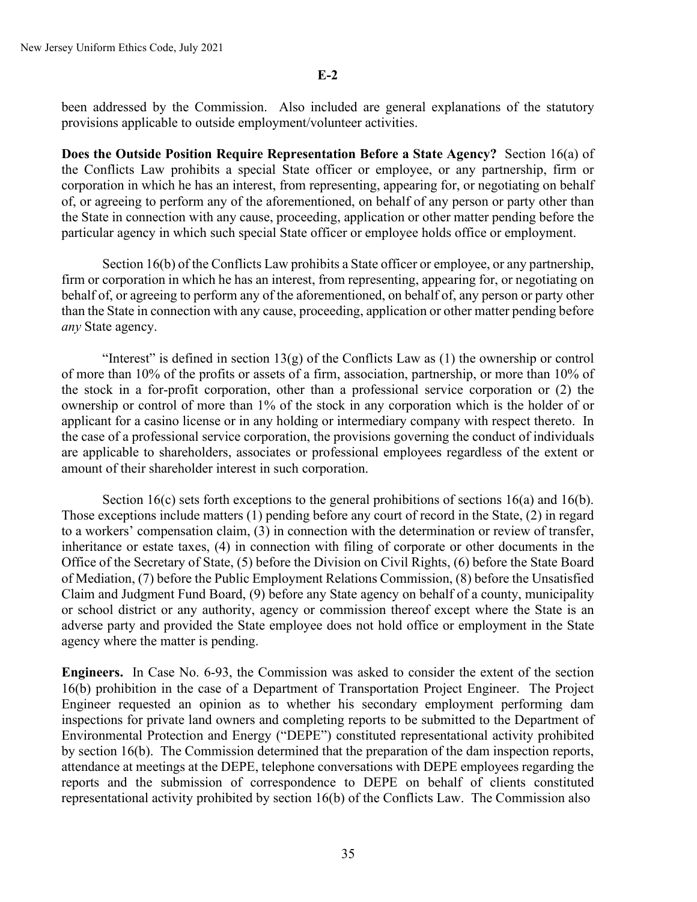**E-2**

been addressed by the Commission. Also included are general explanations of the statutory provisions applicable to outside employment/volunteer activities.

**Does the Outside Position Require Representation Before a State Agency?** Section 16(a) of the Conflicts Law prohibits a special State officer or employee, or any partnership, firm or corporation in which he has an interest, from representing, appearing for, or negotiating on behalf of, or agreeing to perform any of the aforementioned, on behalf of any person or party other than the State in connection with any cause, proceeding, application or other matter pending before the particular agency in which such special State officer or employee holds office or employment.

Section 16(b) of the Conflicts Law prohibits a State officer or employee, or any partnership, firm or corporation in which he has an interest, from representing, appearing for, or negotiating on behalf of, or agreeing to perform any of the aforementioned, on behalf of, any person or party other than the State in connection with any cause, proceeding, application or other matter pending before *any* State agency.

"Interest" is defined in section  $13(g)$  of the Conflicts Law as (1) the ownership or control of more than 10% of the profits or assets of a firm, association, partnership, or more than 10% of the stock in a for-profit corporation, other than a professional service corporation or (2) the ownership or control of more than 1% of the stock in any corporation which is the holder of or applicant for a casino license or in any holding or intermediary company with respect thereto. In the case of a professional service corporation, the provisions governing the conduct of individuals are applicable to shareholders, associates or professional employees regardless of the extent or amount of their shareholder interest in such corporation.

Section 16(c) sets forth exceptions to the general prohibitions of sections 16(a) and 16(b). Those exceptions include matters (1) pending before any court of record in the State, (2) in regard to a workers' compensation claim, (3) in connection with the determination or review of transfer, inheritance or estate taxes, (4) in connection with filing of corporate or other documents in the Office of the Secretary of State, (5) before the Division on Civil Rights, (6) before the State Board of Mediation, (7) before the Public Employment Relations Commission, (8) before the Unsatisfied Claim and Judgment Fund Board, (9) before any State agency on behalf of a county, municipality or school district or any authority, agency or commission thereof except where the State is an adverse party and provided the State employee does not hold office or employment in the State agency where the matter is pending.

**Engineers.**In Case No. 6-93, the Commission was asked to consider the extent of the section 16(b) prohibition in the case of a Department of Transportation Project Engineer. The Project Engineer requested an opinion as to whether his secondary employment performing dam inspections for private land owners and completing reports to be submitted to the Department of Environmental Protection and Energy ("DEPE") constituted representational activity prohibited by section 16(b). The Commission determined that the preparation of the dam inspection reports, attendance at meetings at the DEPE, telephone conversations with DEPE employees regarding the reports and the submission of correspondence to DEPE on behalf of clients constituted representational activity prohibited by section 16(b) of the Conflicts Law. The Commission also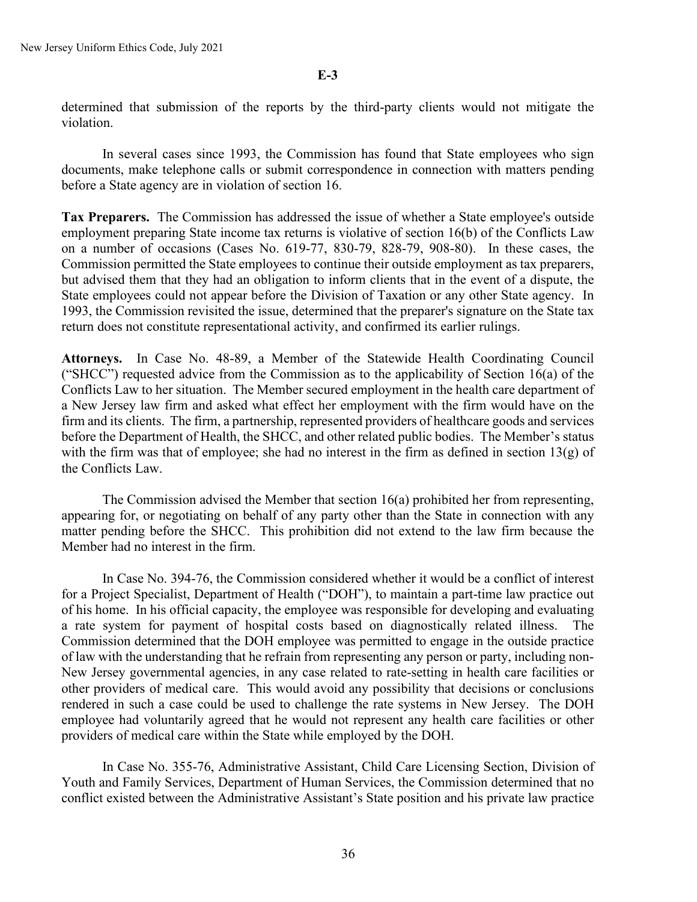determined that submission of the reports by the third-party clients would not mitigate the violation.

In several cases since 1993, the Commission has found that State employees who sign documents, make telephone calls or submit correspondence in connection with matters pending before a State agency are in violation of section 16.

**Tax Preparers.** The Commission has addressed the issue of whether a State employee's outside employment preparing State income tax returns is violative of section 16(b) of the Conflicts Law on a number of occasions (Cases No. 619-77, 830-79, 828-79, 908-80). In these cases, the Commission permitted the State employees to continue their outside employment as tax preparers, but advised them that they had an obligation to inform clients that in the event of a dispute, the State employees could not appear before the Division of Taxation or any other State agency. In 1993, the Commission revisited the issue, determined that the preparer's signature on the State tax return does not constitute representational activity, and confirmed its earlier rulings.

**Attorneys.** In Case No. 48-89, a Member of the Statewide Health Coordinating Council ("SHCC") requested advice from the Commission as to the applicability of Section 16(a) of the Conflicts Law to her situation. The Member secured employment in the health care department of a New Jersey law firm and asked what effect her employment with the firm would have on the firm and its clients. The firm, a partnership, represented providers of healthcare goods and services before the Department of Health, the SHCC, and other related public bodies. The Member's status with the firm was that of employee; she had no interest in the firm as defined in section 13(g) of the Conflicts Law.

The Commission advised the Member that section 16(a) prohibited her from representing, appearing for, or negotiating on behalf of any party other than the State in connection with any matter pending before the SHCC. This prohibition did not extend to the law firm because the Member had no interest in the firm.

In Case No. 394-76, the Commission considered whether it would be a conflict of interest for a Project Specialist, Department of Health ("DOH"), to maintain a part-time law practice out of his home. In his official capacity, the employee was responsible for developing and evaluating a rate system for payment of hospital costs based on diagnostically related illness. The Commission determined that the DOH employee was permitted to engage in the outside practice of law with the understanding that he refrain from representing any person or party, including non-New Jersey governmental agencies, in any case related to rate-setting in health care facilities or other providers of medical care. This would avoid any possibility that decisions or conclusions rendered in such a case could be used to challenge the rate systems in New Jersey. The DOH employee had voluntarily agreed that he would not represent any health care facilities or other providers of medical care within the State while employed by the DOH.

In Case No. 355-76, Administrative Assistant, Child Care Licensing Section, Division of Youth and Family Services, Department of Human Services, the Commission determined that no conflict existed between the Administrative Assistant's State position and his private law practice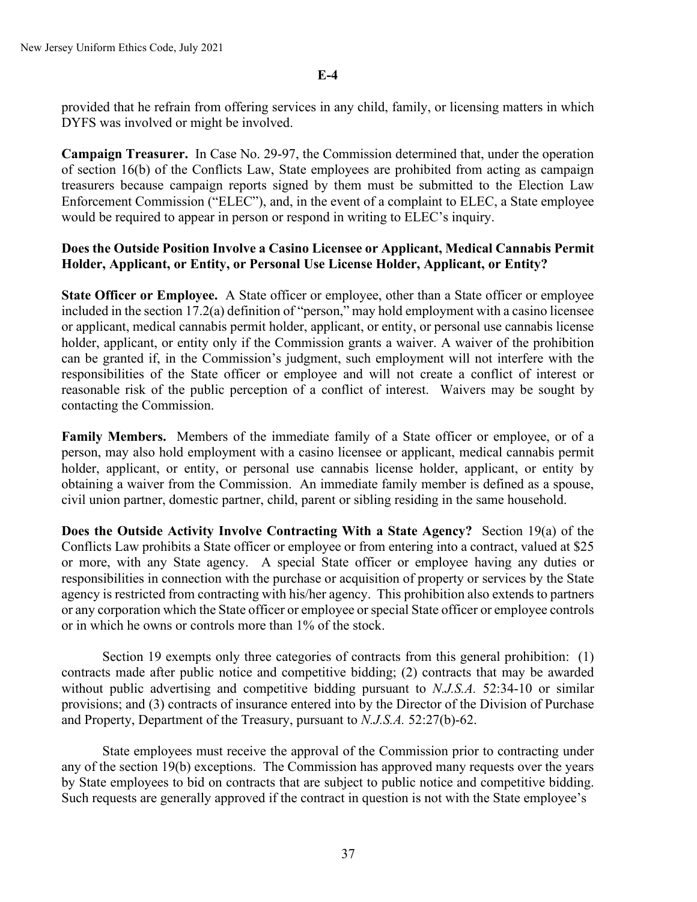provided that he refrain from offering services in any child, family, or licensing matters in which DYFS was involved or might be involved.

**Campaign Treasurer.** In Case No. 29-97, the Commission determined that, under the operation of section 16(b) of the Conflicts Law, State employees are prohibited from acting as campaign treasurers because campaign reports signed by them must be submitted to the Election Law Enforcement Commission ("ELEC"), and, in the event of a complaint to ELEC, a State employee would be required to appear in person or respond in writing to ELEC's inquiry.

## **Does the Outside Position Involve a Casino Licensee or Applicant, Medical Cannabis Permit Holder, Applicant, or Entity, or Personal Use License Holder, Applicant, or Entity?**

**State Officer or Employee.** A State officer or employee, other than a State officer or employee included in the section 17.2(a) definition of "person," may hold employment with a casino licensee or applicant, medical cannabis permit holder, applicant, or entity, or personal use cannabis license holder, applicant, or entity only if the Commission grants a waiver. A waiver of the prohibition can be granted if, in the Commission's judgment, such employment will not interfere with the responsibilities of the State officer or employee and will not create a conflict of interest or reasonable risk of the public perception of a conflict of interest. Waivers may be sought by contacting the Commission.

**Family Members.** Members of the immediate family of a State officer or employee, or of a person, may also hold employment with a casino licensee or applicant, medical cannabis permit holder, applicant, or entity, or personal use cannabis license holder, applicant, or entity by obtaining a waiver from the Commission. An immediate family member is defined as a spouse, civil union partner, domestic partner, child, parent or sibling residing in the same household.

**Does the Outside Activity Involve Contracting With a State Agency?** Section 19(a) of the Conflicts Law prohibits a State officer or employee or from entering into a contract, valued at \$25 or more, with any State agency. A special State officer or employee having any duties or responsibilities in connection with the purchase or acquisition of property or services by the State agency is restricted from contracting with his/her agency. This prohibition also extends to partners or any corporation which the State officer or employee or special State officer or employee controls or in which he owns or controls more than 1% of the stock.

Section 19 exempts only three categories of contracts from this general prohibition: (1) contracts made after public notice and competitive bidding; (2) contracts that may be awarded without public advertising and competitive bidding pursuant to *N.J.S.A.* 52:34-10 or similar provisions; and (3) contracts of insurance entered into by the Director of the Division of Purchase and Property, Department of the Treasury, pursuant to *N.J.S.A.* 52:27(b)-62.

State employees must receive the approval of the Commission prior to contracting under any of the section 19(b) exceptions. The Commission has approved many requests over the years by State employees to bid on contracts that are subject to public notice and competitive bidding. Such requests are generally approved if the contract in question is not with the State employee's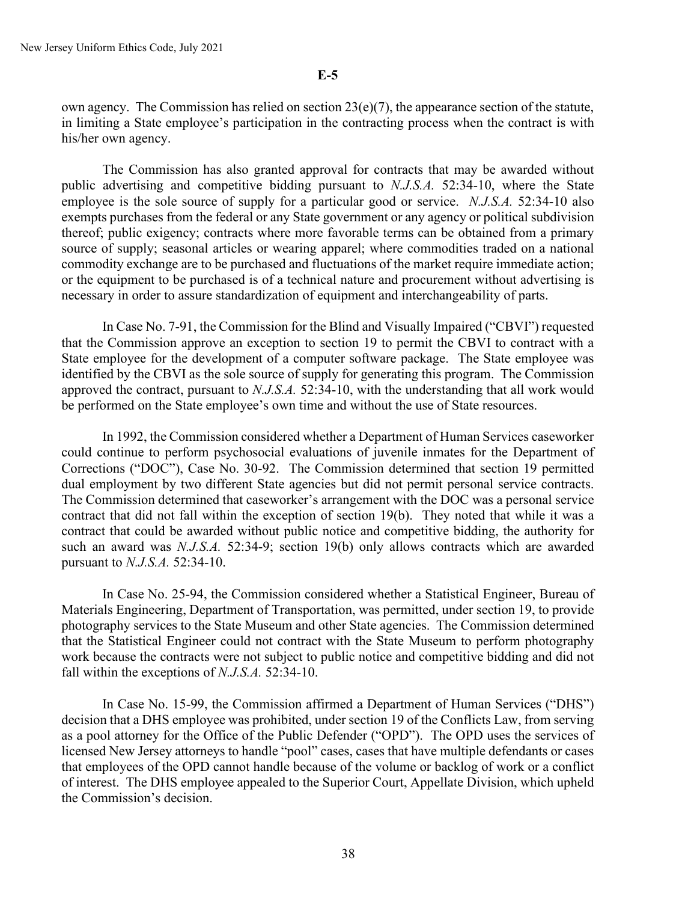own agency. The Commission has relied on section 23(e)(7), the appearance section of the statute, in limiting a State employee's participation in the contracting process when the contract is with his/her own agency.

The Commission has also granted approval for contracts that may be awarded without public advertising and competitive bidding pursuant to *N.J.S.A.* 52:34-10, where the State employee is the sole source of supply for a particular good or service. *N.J.S.A.* 52:34-10 also exempts purchases from the federal or any State government or any agency or political subdivision thereof; public exigency; contracts where more favorable terms can be obtained from a primary source of supply; seasonal articles or wearing apparel; where commodities traded on a national commodity exchange are to be purchased and fluctuations of the market require immediate action; or the equipment to be purchased is of a technical nature and procurement without advertising is necessary in order to assure standardization of equipment and interchangeability of parts.

In Case No. 7-91, the Commission for the Blind and Visually Impaired ("CBVI") requested that the Commission approve an exception to section 19 to permit the CBVI to contract with a State employee for the development of a computer software package. The State employee was identified by the CBVI as the sole source of supply for generating this program. The Commission approved the contract, pursuant to *N.J.S.A.* 52:34-10, with the understanding that all work would be performed on the State employee's own time and without the use of State resources.

In 1992, the Commission considered whether a Department of Human Services caseworker could continue to perform psychosocial evaluations of juvenile inmates for the Department of Corrections ("DOC"), Case No. 30-92. The Commission determined that section 19 permitted dual employment by two different State agencies but did not permit personal service contracts. The Commission determined that caseworker's arrangement with the DOC was a personal service contract that did not fall within the exception of section 19(b). They noted that while it was a contract that could be awarded without public notice and competitive bidding, the authority for such an award was *N.J.S.A.* 52:34-9; section 19(b) only allows contracts which are awarded pursuant to *N.J.S.A.* 52:34-10.

In Case No. 25-94, the Commission considered whether a Statistical Engineer, Bureau of Materials Engineering, Department of Transportation, was permitted, under section 19, to provide photography services to the State Museum and other State agencies. The Commission determined that the Statistical Engineer could not contract with the State Museum to perform photography work because the contracts were not subject to public notice and competitive bidding and did not fall within the exceptions of *N.J.S.A.* 52:34-10.

In Case No. 15-99, the Commission affirmed a Department of Human Services ("DHS") decision that a DHS employee was prohibited, under section 19 of the Conflicts Law, from serving as a pool attorney for the Office of the Public Defender ("OPD"). The OPD uses the services of licensed New Jersey attorneys to handle "pool" cases, cases that have multiple defendants or cases that employees of the OPD cannot handle because of the volume or backlog of work or a conflict of interest. The DHS employee appealed to the Superior Court, Appellate Division, which upheld the Commission's decision.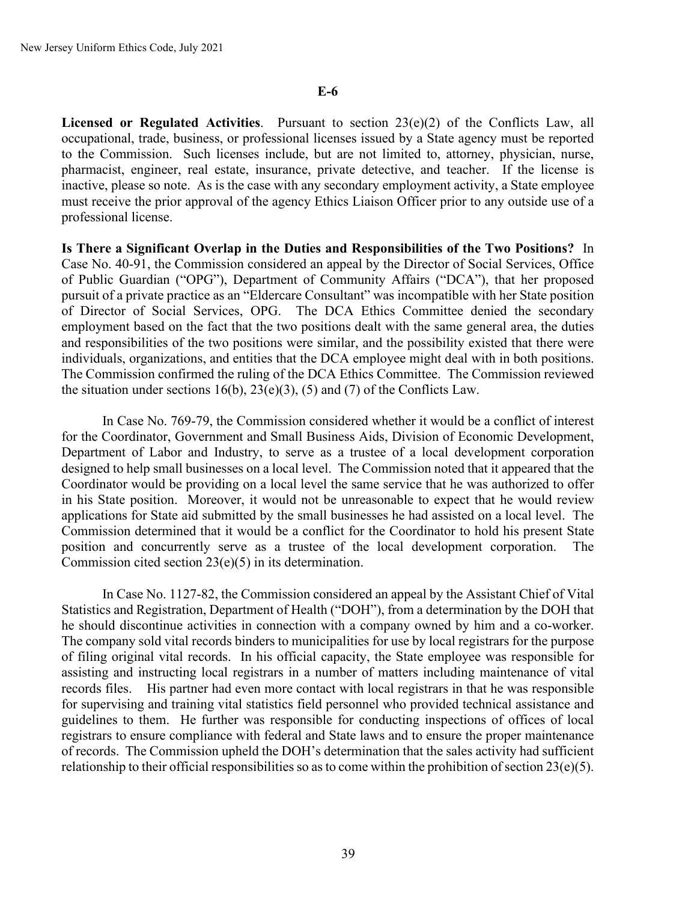**Licensed or Regulated Activities**. Pursuant to section 23(e)(2) of the Conflicts Law, all occupational, trade, business, or professional licenses issued by a State agency must be reported to the Commission. Such licenses include, but are not limited to, attorney, physician, nurse, pharmacist, engineer, real estate, insurance, private detective, and teacher. If the license is inactive, please so note. As is the case with any secondary employment activity, a State employee must receive the prior approval of the agency Ethics Liaison Officer prior to any outside use of a professional license.

**Is There a Significant Overlap in the Duties and Responsibilities of the Two Positions?** In Case No. 40-91, the Commission considered an appeal by the Director of Social Services, Office of Public Guardian ("OPG"), Department of Community Affairs ("DCA"), that her proposed pursuit of a private practice as an "Eldercare Consultant" was incompatible with her State position of Director of Social Services, OPG. The DCA Ethics Committee denied the secondary employment based on the fact that the two positions dealt with the same general area, the duties and responsibilities of the two positions were similar, and the possibility existed that there were individuals, organizations, and entities that the DCA employee might deal with in both positions. The Commission confirmed the ruling of the DCA Ethics Committee. The Commission reviewed the situation under sections  $16(b)$ ,  $23(e)(3)$ ,  $(5)$  and  $(7)$  of the Conflicts Law.

In Case No. 769-79, the Commission considered whether it would be a conflict of interest for the Coordinator, Government and Small Business Aids, Division of Economic Development, Department of Labor and Industry, to serve as a trustee of a local development corporation designed to help small businesses on a local level. The Commission noted that it appeared that the Coordinator would be providing on a local level the same service that he was authorized to offer in his State position. Moreover, it would not be unreasonable to expect that he would review applications for State aid submitted by the small businesses he had assisted on a local level. The Commission determined that it would be a conflict for the Coordinator to hold his present State position and concurrently serve as a trustee of the local development corporation. The Commission cited section 23(e)(5) in its determination.

In Case No. 1127-82, the Commission considered an appeal by the Assistant Chief of Vital Statistics and Registration, Department of Health ("DOH"), from a determination by the DOH that he should discontinue activities in connection with a company owned by him and a co-worker. The company sold vital records binders to municipalities for use by local registrars for the purpose of filing original vital records. In his official capacity, the State employee was responsible for assisting and instructing local registrars in a number of matters including maintenance of vital records files. His partner had even more contact with local registrars in that he was responsible for supervising and training vital statistics field personnel who provided technical assistance and guidelines to them. He further was responsible for conducting inspections of offices of local registrars to ensure compliance with federal and State laws and to ensure the proper maintenance of records. The Commission upheld the DOH's determination that the sales activity had sufficient relationship to their official responsibilities so as to come within the prohibition of section  $23(e)(5)$ .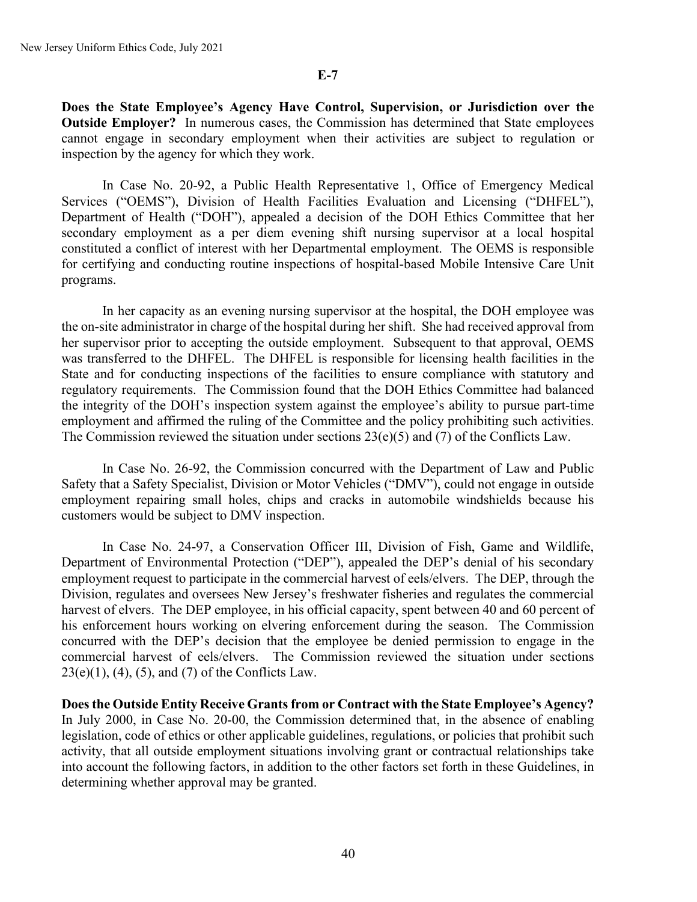**Does the State Employee's Agency Have Control, Supervision, or Jurisdiction over the Outside Employer?** In numerous cases, the Commission has determined that State employees cannot engage in secondary employment when their activities are subject to regulation or inspection by the agency for which they work.

In Case No. 20-92, a Public Health Representative 1, Office of Emergency Medical Services ("OEMS"), Division of Health Facilities Evaluation and Licensing ("DHFEL"), Department of Health ("DOH"), appealed a decision of the DOH Ethics Committee that her secondary employment as a per diem evening shift nursing supervisor at a local hospital constituted a conflict of interest with her Departmental employment. The OEMS is responsible for certifying and conducting routine inspections of hospital-based Mobile Intensive Care Unit programs.

In her capacity as an evening nursing supervisor at the hospital, the DOH employee was the on-site administrator in charge of the hospital during her shift. She had received approval from her supervisor prior to accepting the outside employment. Subsequent to that approval, OEMS was transferred to the DHFEL. The DHFEL is responsible for licensing health facilities in the State and for conducting inspections of the facilities to ensure compliance with statutory and regulatory requirements. The Commission found that the DOH Ethics Committee had balanced the integrity of the DOH's inspection system against the employee's ability to pursue part-time employment and affirmed the ruling of the Committee and the policy prohibiting such activities. The Commission reviewed the situation under sections  $23(e)(5)$  and (7) of the Conflicts Law.

In Case No. 26-92, the Commission concurred with the Department of Law and Public Safety that a Safety Specialist, Division or Motor Vehicles ("DMV"), could not engage in outside employment repairing small holes, chips and cracks in automobile windshields because his customers would be subject to DMV inspection.

In Case No. 24-97, a Conservation Officer III, Division of Fish, Game and Wildlife, Department of Environmental Protection ("DEP"), appealed the DEP's denial of his secondary employment request to participate in the commercial harvest of eels/elvers. The DEP, through the Division, regulates and oversees New Jersey's freshwater fisheries and regulates the commercial harvest of elvers. The DEP employee, in his official capacity, spent between 40 and 60 percent of his enforcement hours working on elvering enforcement during the season. The Commission concurred with the DEP's decision that the employee be denied permission to engage in the commercial harvest of eels/elvers. The Commission reviewed the situation under sections  $23(e)(1)$ ,  $(4)$ ,  $(5)$ , and  $(7)$  of the Conflicts Law.

**Does the Outside Entity Receive Grants from or Contract with the State Employee's Agency?** In July 2000, in Case No. 20-00, the Commission determined that, in the absence of enabling legislation, code of ethics or other applicable guidelines, regulations, or policies that prohibit such activity, that all outside employment situations involving grant or contractual relationships take into account the following factors, in addition to the other factors set forth in these Guidelines, in determining whether approval may be granted.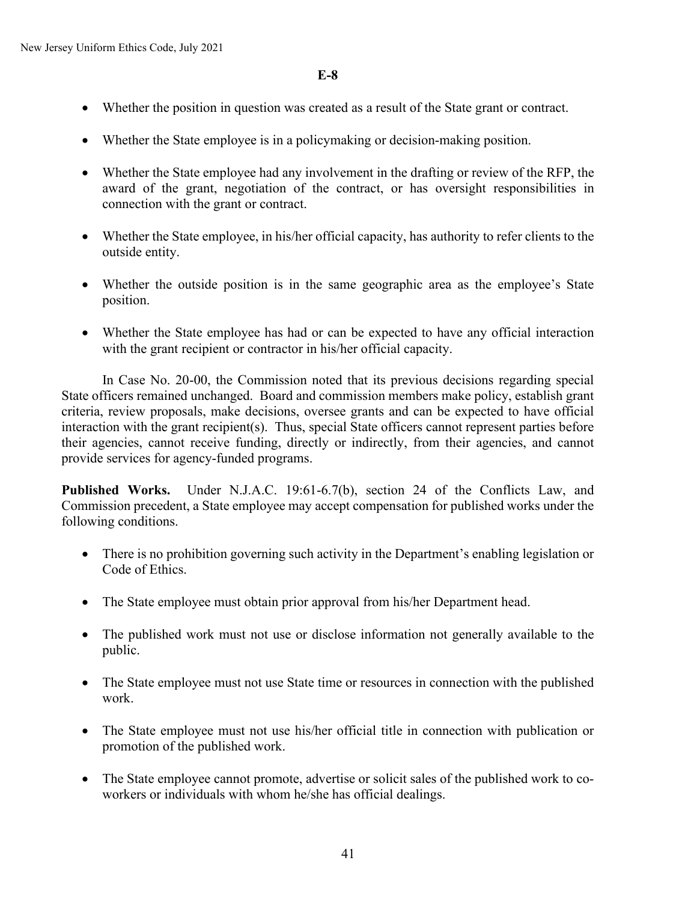- Whether the position in question was created as a result of the State grant or contract.
- Whether the State employee is in a policymaking or decision-making position.
- Whether the State employee had any involvement in the drafting or review of the RFP, the award of the grant, negotiation of the contract, or has oversight responsibilities in connection with the grant or contract.
- Whether the State employee, in his/her official capacity, has authority to refer clients to the outside entity.
- Whether the outside position is in the same geographic area as the employee's State position.
- Whether the State employee has had or can be expected to have any official interaction with the grant recipient or contractor in his/her official capacity.

In Case No. 20-00, the Commission noted that its previous decisions regarding special State officers remained unchanged. Board and commission members make policy, establish grant criteria, review proposals, make decisions, oversee grants and can be expected to have official interaction with the grant recipient(s). Thus, special State officers cannot represent parties before their agencies, cannot receive funding, directly or indirectly, from their agencies, and cannot provide services for agency-funded programs.

**Published Works.** Under N.J.A.C. 19:61-6.7(b), section 24 of the Conflicts Law, and Commission precedent, a State employee may accept compensation for published works under the following conditions.

- There is no prohibition governing such activity in the Department's enabling legislation or Code of Ethics.
- The State employee must obtain prior approval from his/her Department head.
- The published work must not use or disclose information not generally available to the public.
- The State employee must not use State time or resources in connection with the published work.
- The State employee must not use his/her official title in connection with publication or promotion of the published work.
- The State employee cannot promote, advertise or solicit sales of the published work to coworkers or individuals with whom he/she has official dealings.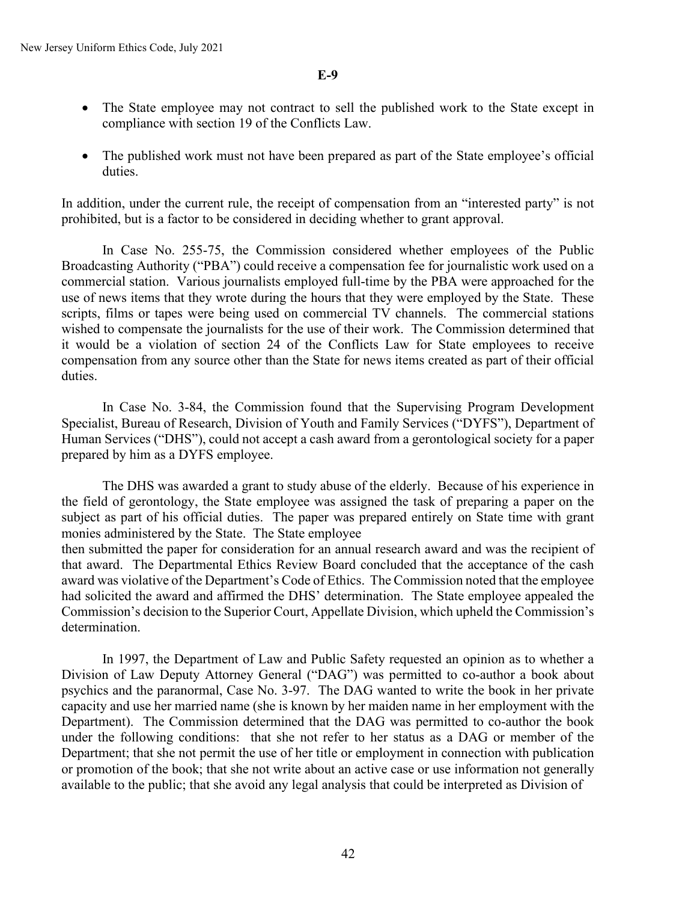- The State employee may not contract to sell the published work to the State except in compliance with section 19 of the Conflicts Law.
- The published work must not have been prepared as part of the State employee's official duties.

In addition, under the current rule, the receipt of compensation from an "interested party" is not prohibited, but is a factor to be considered in deciding whether to grant approval.

In Case No. 255-75, the Commission considered whether employees of the Public Broadcasting Authority ("PBA") could receive a compensation fee for journalistic work used on a commercial station. Various journalists employed full-time by the PBA were approached for the use of news items that they wrote during the hours that they were employed by the State. These scripts, films or tapes were being used on commercial TV channels. The commercial stations wished to compensate the journalists for the use of their work. The Commission determined that it would be a violation of section 24 of the Conflicts Law for State employees to receive compensation from any source other than the State for news items created as part of their official duties.

In Case No. 3-84, the Commission found that the Supervising Program Development Specialist, Bureau of Research, Division of Youth and Family Services ("DYFS"), Department of Human Services ("DHS"), could not accept a cash award from a gerontological society for a paper prepared by him as a DYFS employee.

The DHS was awarded a grant to study abuse of the elderly. Because of his experience in the field of gerontology, the State employee was assigned the task of preparing a paper on the subject as part of his official duties. The paper was prepared entirely on State time with grant monies administered by the State. The State employee then submitted the paper for consideration for an annual research award and was the recipient of

that award. The Departmental Ethics Review Board concluded that the acceptance of the cash award was violative of the Department's Code of Ethics. The Commission noted that the employee had solicited the award and affirmed the DHS' determination. The State employee appealed the Commission's decision to the Superior Court, Appellate Division, which upheld the Commission's determination.

In 1997, the Department of Law and Public Safety requested an opinion as to whether a Division of Law Deputy Attorney General ("DAG") was permitted to co-author a book about psychics and the paranormal, Case No. 3-97. The DAG wanted to write the book in her private capacity and use her married name (she is known by her maiden name in her employment with the Department). The Commission determined that the DAG was permitted to co-author the book under the following conditions: that she not refer to her status as a DAG or member of the Department; that she not permit the use of her title or employment in connection with publication or promotion of the book; that she not write about an active case or use information not generally available to the public; that she avoid any legal analysis that could be interpreted as Division of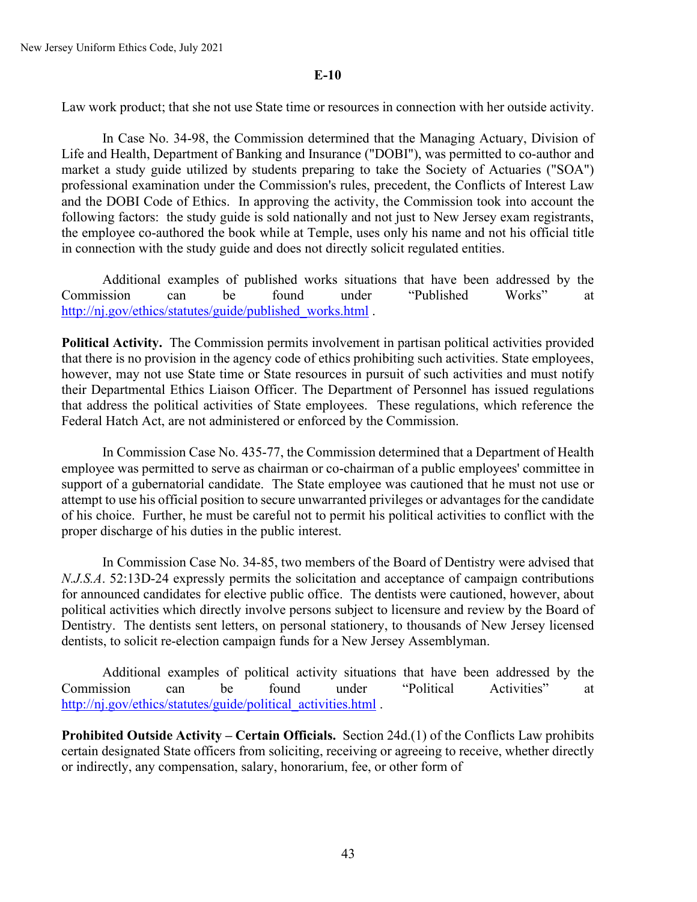Law work product; that she not use State time or resources in connection with her outside activity.

In Case No. 34-98, the Commission determined that the Managing Actuary, Division of Life and Health, Department of Banking and Insurance ("DOBI"), was permitted to co-author and market a study guide utilized by students preparing to take the Society of Actuaries ("SOA") professional examination under the Commission's rules, precedent, the Conflicts of Interest Law and the DOBI Code of Ethics. In approving the activity, the Commission took into account the following factors: the study guide is sold nationally and not just to New Jersey exam registrants, the employee co-authored the book while at Temple, uses only his name and not his official title in connection with the study guide and does not directly solicit regulated entities.

Additional examples of published works situations that have been addressed by the Commission can be found under "Published Works" at [http://nj.gov/ethics/statutes/guide/published\\_works.html](http://nj.gov/ethics/statues/guide/published_works.html) .

**Political Activity.** The Commission permits involvement in partisan political activities provided that there is no provision in the agency code of ethics prohibiting such activities. State employees, however, may not use State time or State resources in pursuit of such activities and must notify their Departmental Ethics Liaison Officer. The Department of Personnel has issued regulations that address the political activities of State employees. These regulations, which reference the Federal Hatch Act, are not administered or enforced by the Commission.

In Commission Case No. 435-77, the Commission determined that a Department of Health employee was permitted to serve as chairman or co-chairman of a public employees' committee in support of a gubernatorial candidate. The State employee was cautioned that he must not use or attempt to use his official position to secure unwarranted privileges or advantages for the candidate of his choice. Further, he must be careful not to permit his political activities to conflict with the proper discharge of his duties in the public interest.

In Commission Case No. 34-85, two members of the Board of Dentistry were advised that *N.J.S.A*. 52:13D-24 expressly permits the solicitation and acceptance of campaign contributions for announced candidates for elective public office. The dentists were cautioned, however, about political activities which directly involve persons subject to licensure and review by the Board of Dentistry. The dentists sent letters, on personal stationery, to thousands of New Jersey licensed dentists, to solicit re-election campaign funds for a New Jersey Assemblyman.

Additional examples of political activity situations that have been addressed by the Commission can be found under "Political Activities" at http://ni.gov/ethics/statutes/guide/political\_activities.html.

**Prohibited Outside Activity – Certain Officials.** Section 24d.(1) of the Conflicts Law prohibits certain designated State officers from soliciting, receiving or agreeing to receive, whether directly or indirectly, any compensation, salary, honorarium, fee, or other form of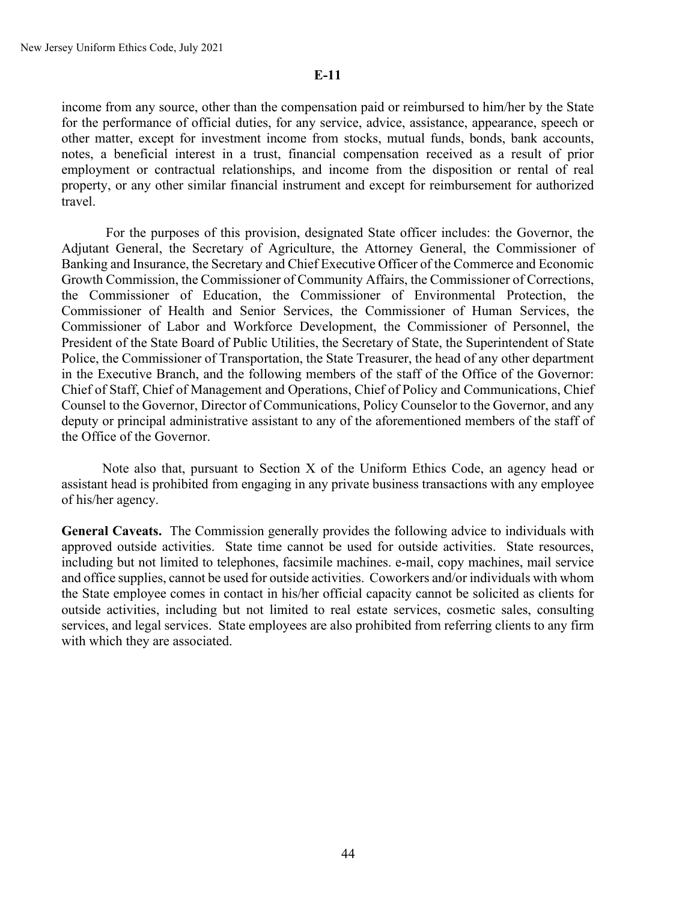income from any source, other than the compensation paid or reimbursed to him/her by the State for the performance of official duties, for any service, advice, assistance, appearance, speech or other matter, except for investment income from stocks, mutual funds, bonds, bank accounts, notes, a beneficial interest in a trust, financial compensation received as a result of prior employment or contractual relationships, and income from the disposition or rental of real property, or any other similar financial instrument and except for reimbursement for authorized travel.

For the purposes of this provision, designated State officer includes: the Governor, the Adjutant General, the Secretary of Agriculture, the Attorney General, the Commissioner of Banking and Insurance, the Secretary and Chief Executive Officer of the Commerce and Economic Growth Commission, the Commissioner of Community Affairs, the Commissioner of Corrections, the Commissioner of Education, the Commissioner of Environmental Protection, the Commissioner of Health and Senior Services, the Commissioner of Human Services, the Commissioner of Labor and Workforce Development, the Commissioner of Personnel, the President of the State Board of Public Utilities, the Secretary of State, the Superintendent of State Police, the Commissioner of Transportation, the State Treasurer, the head of any other department in the Executive Branch, and the following members of the staff of the Office of the Governor: Chief of Staff, Chief of Management and Operations, Chief of Policy and Communications, Chief Counsel to the Governor, Director of Communications, Policy Counselor to the Governor, and any deputy or principal administrative assistant to any of the aforementioned members of the staff of the Office of the Governor.

Note also that, pursuant to Section X of the Uniform Ethics Code, an agency head or assistant head is prohibited from engaging in any private business transactions with any employee of his/her agency.

**General Caveats.** The Commission generally provides the following advice to individuals with approved outside activities. State time cannot be used for outside activities. State resources, including but not limited to telephones, facsimile machines. e-mail, copy machines, mail service and office supplies, cannot be used for outside activities. Coworkers and/or individuals with whom the State employee comes in contact in his/her official capacity cannot be solicited as clients for outside activities, including but not limited to real estate services, cosmetic sales, consulting services, and legal services. State employees are also prohibited from referring clients to any firm with which they are associated.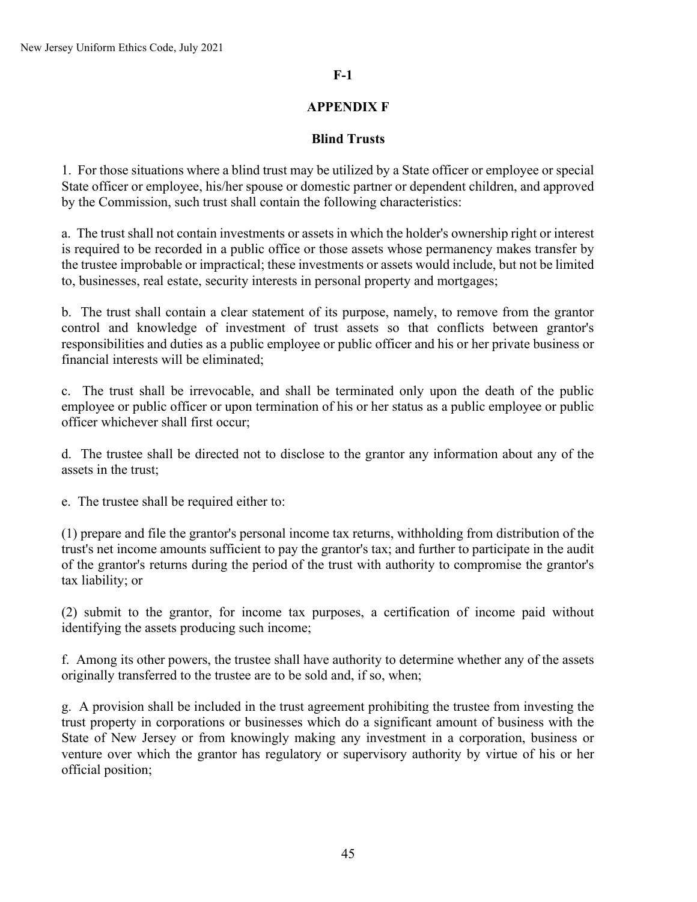## **F-1**

## **APPENDIX F**

## **Blind Trusts**

1. For those situations where a blind trust may be utilized by a State officer or employee or special State officer or employee, his/her spouse or domestic partner or dependent children, and approved by the Commission, such trust shall contain the following characteristics:

a. The trust shall not contain investments or assets in which the holder's ownership right or interest is required to be recorded in a public office or those assets whose permanency makes transfer by the trustee improbable or impractical; these investments or assets would include, but not be limited to, businesses, real estate, security interests in personal property and mortgages;

b. The trust shall contain a clear statement of its purpose, namely, to remove from the grantor control and knowledge of investment of trust assets so that conflicts between grantor's responsibilities and duties as a public employee or public officer and his or her private business or financial interests will be eliminated;

c. The trust shall be irrevocable, and shall be terminated only upon the death of the public employee or public officer or upon termination of his or her status as a public employee or public officer whichever shall first occur;

d. The trustee shall be directed not to disclose to the grantor any information about any of the assets in the trust;

e. The trustee shall be required either to:

(1) prepare and file the grantor's personal income tax returns, withholding from distribution of the trust's net income amounts sufficient to pay the grantor's tax; and further to participate in the audit of the grantor's returns during the period of the trust with authority to compromise the grantor's tax liability; or

(2) submit to the grantor, for income tax purposes, a certification of income paid without identifying the assets producing such income;

f. Among its other powers, the trustee shall have authority to determine whether any of the assets originally transferred to the trustee are to be sold and, if so, when;

g. A provision shall be included in the trust agreement prohibiting the trustee from investing the trust property in corporations or businesses which do a significant amount of business with the State of New Jersey or from knowingly making any investment in a corporation, business or venture over which the grantor has regulatory or supervisory authority by virtue of his or her official position;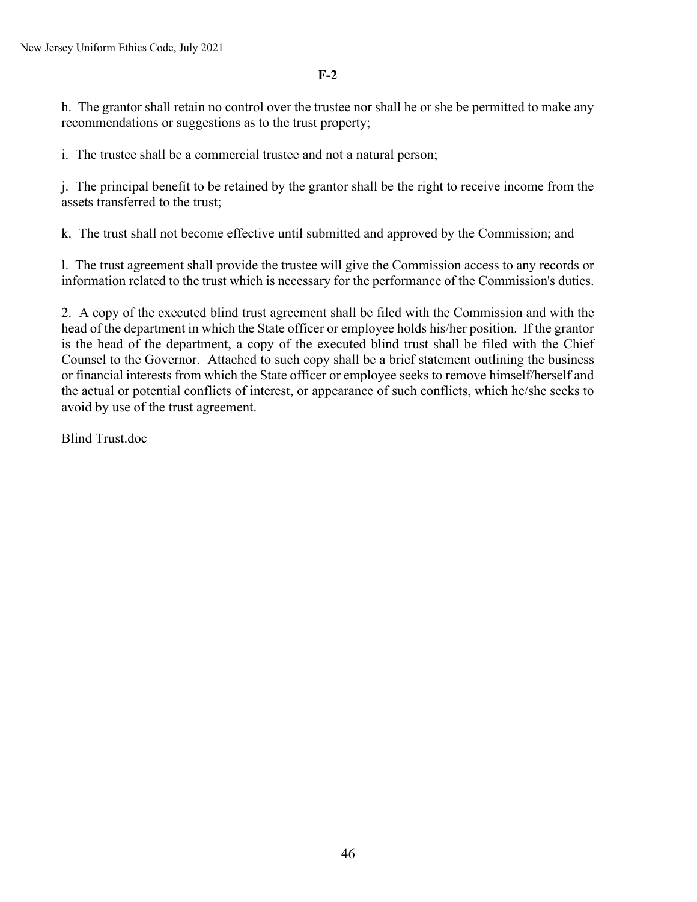**F-2**

h. The grantor shall retain no control over the trustee nor shall he or she be permitted to make any recommendations or suggestions as to the trust property;

i. The trustee shall be a commercial trustee and not a natural person;

j. The principal benefit to be retained by the grantor shall be the right to receive income from the assets transferred to the trust;

k. The trust shall not become effective until submitted and approved by the Commission; and

l. The trust agreement shall provide the trustee will give the Commission access to any records or information related to the trust which is necessary for the performance of the Commission's duties.

2. A copy of the executed blind trust agreement shall be filed with the Commission and with the head of the department in which the State officer or employee holds his/her position. If the grantor is the head of the department, a copy of the executed blind trust shall be filed with the Chief Counsel to the Governor. Attached to such copy shall be a brief statement outlining the business or financial interests from which the State officer or employee seeks to remove himself/herself and the actual or potential conflicts of interest, or appearance of such conflicts, which he/she seeks to avoid by use of the trust agreement.

Blind Trust.doc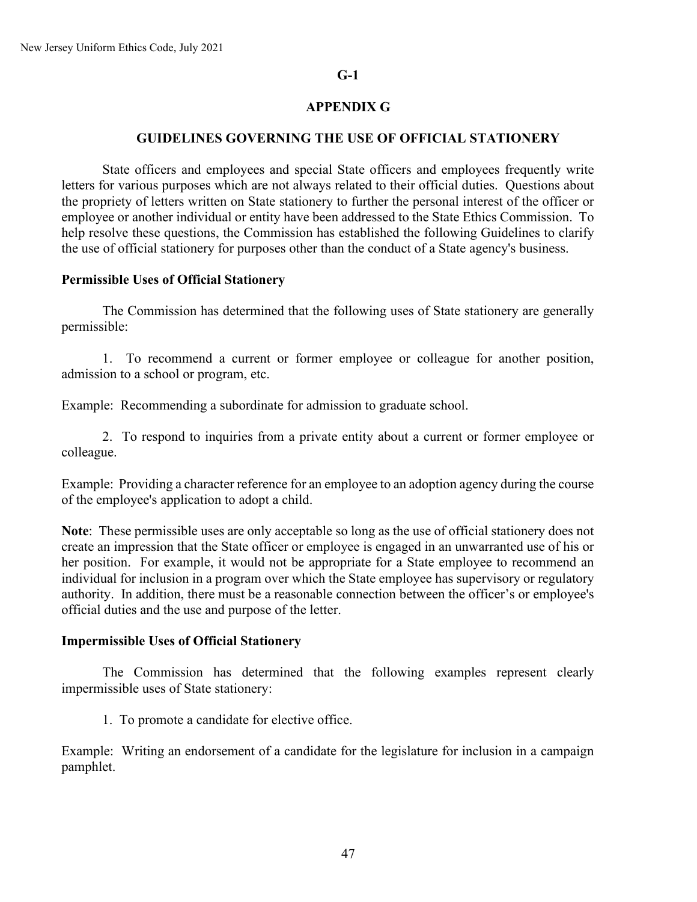### **G-1**

## **APPENDIX G**

### **GUIDELINES GOVERNING THE USE OF OFFICIAL STATIONERY**

State officers and employees and special State officers and employees frequently write letters for various purposes which are not always related to their official duties. Questions about the propriety of letters written on State stationery to further the personal interest of the officer or employee or another individual or entity have been addressed to the State Ethics Commission. To help resolve these questions, the Commission has established the following Guidelines to clarify the use of official stationery for purposes other than the conduct of a State agency's business.

### **Permissible Uses of Official Stationery**

The Commission has determined that the following uses of State stationery are generally permissible:

1. To recommend a current or former employee or colleague for another position, admission to a school or program, etc.

Example: Recommending a subordinate for admission to graduate school.

2. To respond to inquiries from a private entity about a current or former employee or colleague.

Example: Providing a character reference for an employee to an adoption agency during the course of the employee's application to adopt a child.

**Note**: These permissible uses are only acceptable so long as the use of official stationery does not create an impression that the State officer or employee is engaged in an unwarranted use of his or her position. For example, it would not be appropriate for a State employee to recommend an individual for inclusion in a program over which the State employee has supervisory or regulatory authority. In addition, there must be a reasonable connection between the officer's or employee's official duties and the use and purpose of the letter.

#### **Impermissible Uses of Official Stationery**

The Commission has determined that the following examples represent clearly impermissible uses of State stationery:

1. To promote a candidate for elective office.

Example: Writing an endorsement of a candidate for the legislature for inclusion in a campaign pamphlet.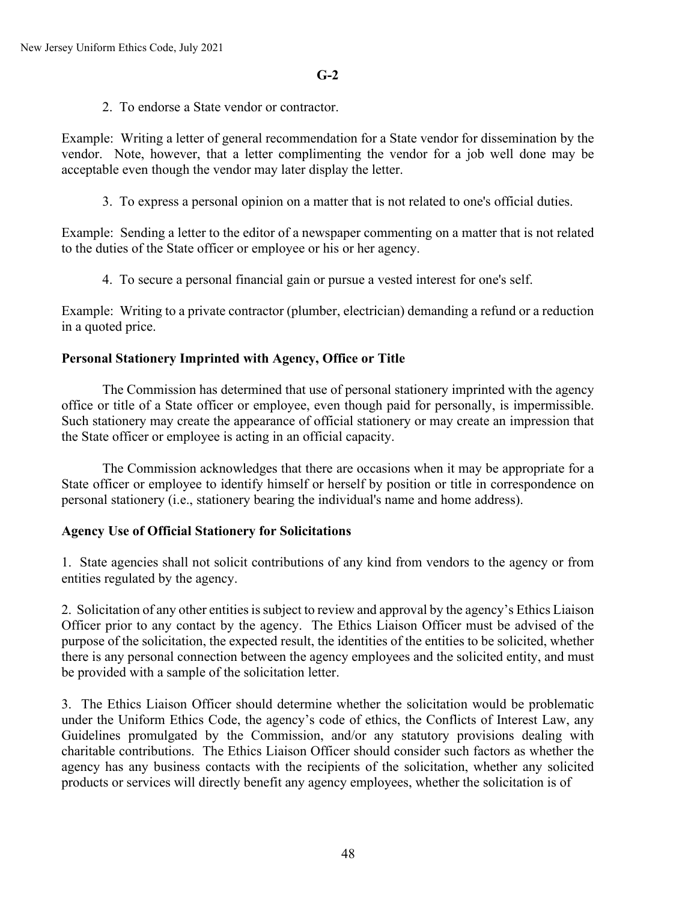2. To endorse a State vendor or contractor.

Example: Writing a letter of general recommendation for a State vendor for dissemination by the vendor. Note, however, that a letter complimenting the vendor for a job well done may be acceptable even though the vendor may later display the letter.

3. To express a personal opinion on a matter that is not related to one's official duties.

Example: Sending a letter to the editor of a newspaper commenting on a matter that is not related to the duties of the State officer or employee or his or her agency.

4. To secure a personal financial gain or pursue a vested interest for one's self.

Example: Writing to a private contractor (plumber, electrician) demanding a refund or a reduction in a quoted price.

# **Personal Stationery Imprinted with Agency, Office or Title**

The Commission has determined that use of personal stationery imprinted with the agency office or title of a State officer or employee, even though paid for personally, is impermissible. Such stationery may create the appearance of official stationery or may create an impression that the State officer or employee is acting in an official capacity.

The Commission acknowledges that there are occasions when it may be appropriate for a State officer or employee to identify himself or herself by position or title in correspondence on personal stationery (i.e., stationery bearing the individual's name and home address).

## **Agency Use of Official Stationery for Solicitations**

1. State agencies shall not solicit contributions of any kind from vendors to the agency or from entities regulated by the agency.

2. Solicitation of any other entities is subject to review and approval by the agency's Ethics Liaison Officer prior to any contact by the agency. The Ethics Liaison Officer must be advised of the purpose of the solicitation, the expected result, the identities of the entities to be solicited, whether there is any personal connection between the agency employees and the solicited entity, and must be provided with a sample of the solicitation letter.

3. The Ethics Liaison Officer should determine whether the solicitation would be problematic under the Uniform Ethics Code, the agency's code of ethics, the Conflicts of Interest Law, any Guidelines promulgated by the Commission, and/or any statutory provisions dealing with charitable contributions. The Ethics Liaison Officer should consider such factors as whether the agency has any business contacts with the recipients of the solicitation, whether any solicited products or services will directly benefit any agency employees, whether the solicitation is of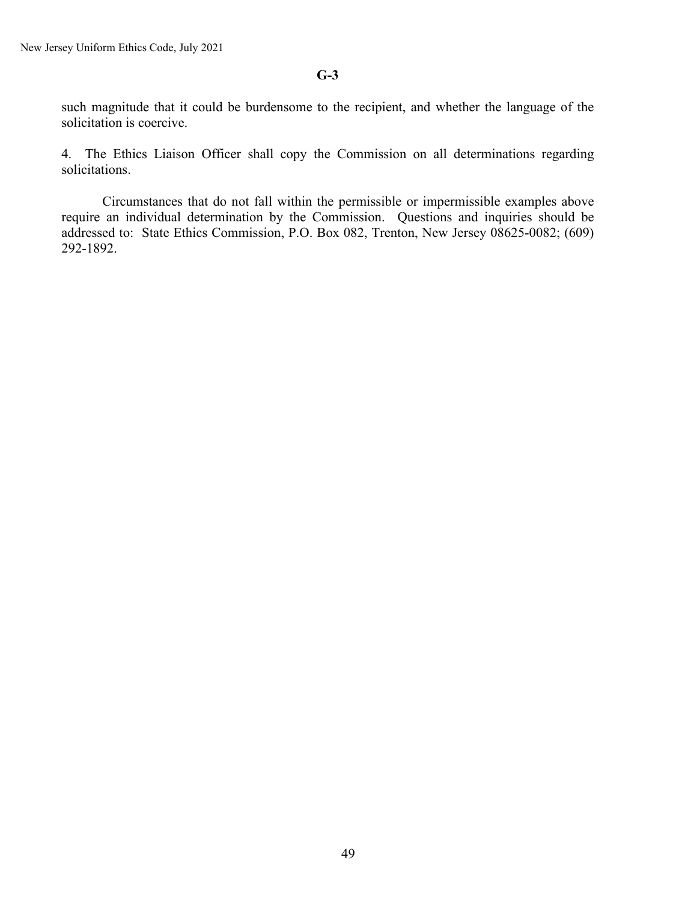## **G-3**

such magnitude that it could be burdensome to the recipient, and whether the language of the solicitation is coercive.

4. The Ethics Liaison Officer shall copy the Commission on all determinations regarding solicitations.

Circumstances that do not fall within the permissible or impermissible examples above require an individual determination by the Commission. Questions and inquiries should be addressed to: State Ethics Commission, P.O. Box 082, Trenton, New Jersey 08625-0082; (609) 292-1892.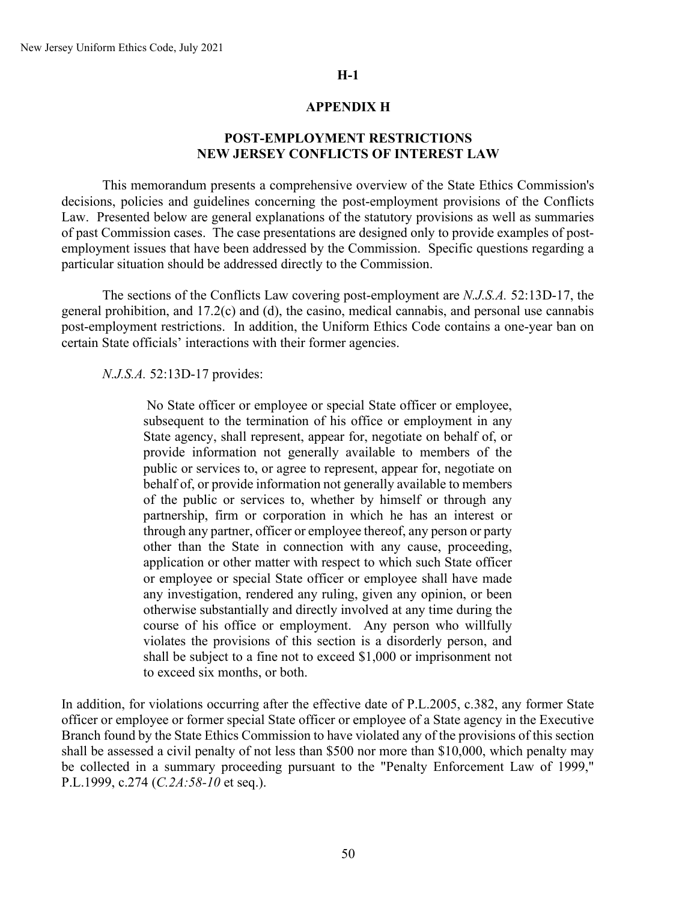### **APPENDIX H**

## **POST-EMPLOYMENT RESTRICTIONS NEW JERSEY CONFLICTS OF INTEREST LAW**

This memorandum presents a comprehensive overview of the State Ethics Commission's decisions, policies and guidelines concerning the post-employment provisions of the Conflicts Law. Presented below are general explanations of the statutory provisions as well as summaries of past Commission cases. The case presentations are designed only to provide examples of postemployment issues that have been addressed by the Commission. Specific questions regarding a particular situation should be addressed directly to the Commission.

The sections of the Conflicts Law covering post-employment are *N.J.S.A.* 52:13D-17, the general prohibition, and 17.2(c) and (d), the casino, medical cannabis, and personal use cannabis post-employment restrictions. In addition, the Uniform Ethics Code contains a one-year ban on certain State officials' interactions with their former agencies.

#### *N.J.S.A.* 52:13D-17 provides:

No State officer or employee or special State officer or employee, subsequent to the termination of his office or employment in any State agency, shall represent, appear for, negotiate on behalf of, or provide information not generally available to members of the public or services to, or agree to represent, appear for, negotiate on behalf of, or provide information not generally available to members of the public or services to, whether by himself or through any partnership, firm or corporation in which he has an interest or through any partner, officer or employee thereof, any person or party other than the State in connection with any cause, proceeding, application or other matter with respect to which such State officer or employee or special State officer or employee shall have made any investigation, rendered any ruling, given any opinion, or been otherwise substantially and directly involved at any time during the course of his office or employment. Any person who willfully violates the provisions of this section is a disorderly person, and shall be subject to a fine not to exceed \$1,000 or imprisonment not to exceed six months, or both.

In addition, for violations occurring after the effective date of P.L.2005, c.382, any former State officer or employee or former special State officer or employee of a State agency in the Executive Branch found by the State Ethics Commission to have violated any of the provisions of this section shall be assessed a civil penalty of not less than \$500 nor more than \$10,000, which penalty may be collected in a summary proceeding pursuant to the "Penalty Enforcement Law of 1999," P.L.1999, c.274 (*C.2A:58-10* et seq.).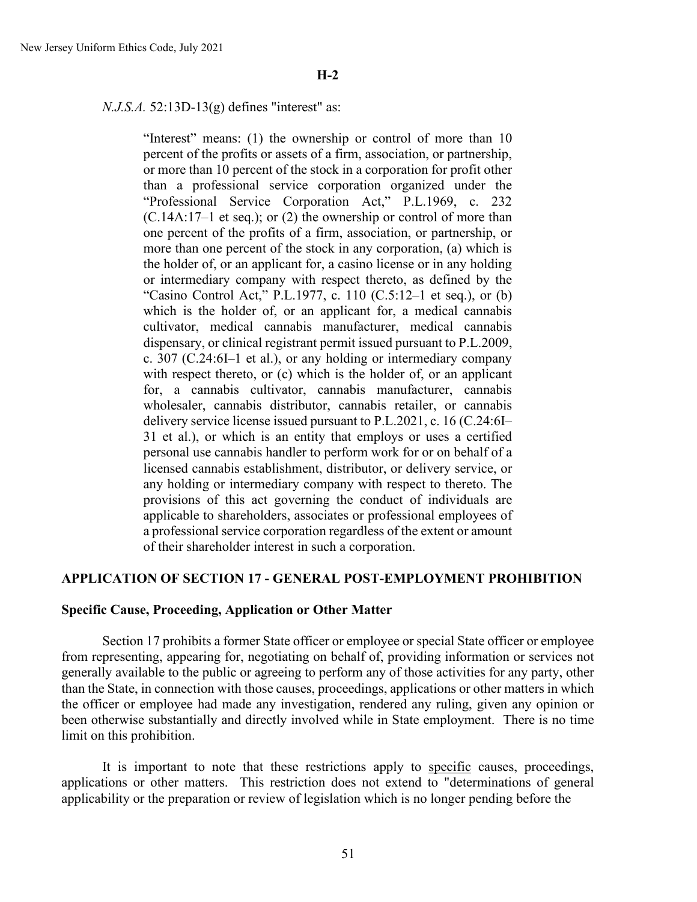#### *N.J.S.A.* 52:13D-13(g) defines "interest" as:

"Interest" means: (1) the ownership or control of more than 10 percent of the profits or assets of a firm, association, or partnership, or more than 10 percent of the stock in a corporation for profit other than a professional service corporation organized under the "Professional Service Corporation Act," P.L.1969, c. 232 (C.14A:17–1 et seq.); or (2) the ownership or control of more than one percent of the profits of a firm, association, or partnership, or more than one percent of the stock in any corporation, (a) which is the holder of, or an applicant for, a casino license or in any holding or intermediary company with respect thereto, as defined by the "Casino Control Act," P.L.1977, c. 110  $(C.5:12-1$  et seq.), or  $(b)$ which is the holder of, or an applicant for, a medical cannabis cultivator, medical cannabis manufacturer, medical cannabis dispensary, or clinical registrant permit issued pursuant to P.L.2009, c. 307 (C.24:6I–1 et al.), or any holding or intermediary company with respect thereto, or (c) which is the holder of, or an applicant for, a cannabis cultivator, cannabis manufacturer, cannabis wholesaler, cannabis distributor, cannabis retailer, or cannabis delivery service license issued pursuant to P.L.2021, c. 16 (C.24:6I– 31 et al.), or which is an entity that employs or uses a certified personal use cannabis handler to perform work for or on behalf of a licensed cannabis establishment, distributor, or delivery service, or any holding or intermediary company with respect to thereto. The provisions of this act governing the conduct of individuals are applicable to shareholders, associates or professional employees of a professional service corporation regardless of the extent or amount of their shareholder interest in such a corporation.

#### **APPLICATION OF SECTION 17 - GENERAL POST-EMPLOYMENT PROHIBITION**

### **Specific Cause, Proceeding, Application or Other Matter**

Section 17 prohibits a former State officer or employee or special State officer or employee from representing, appearing for, negotiating on behalf of, providing information or services not generally available to the public or agreeing to perform any of those activities for any party, other than the State, in connection with those causes, proceedings, applications or other matters in which the officer or employee had made any investigation, rendered any ruling, given any opinion or been otherwise substantially and directly involved while in State employment. There is no time limit on this prohibition.

It is important to note that these restrictions apply to specific causes, proceedings, applications or other matters. This restriction does not extend to "determinations of general applicability or the preparation or review of legislation which is no longer pending before the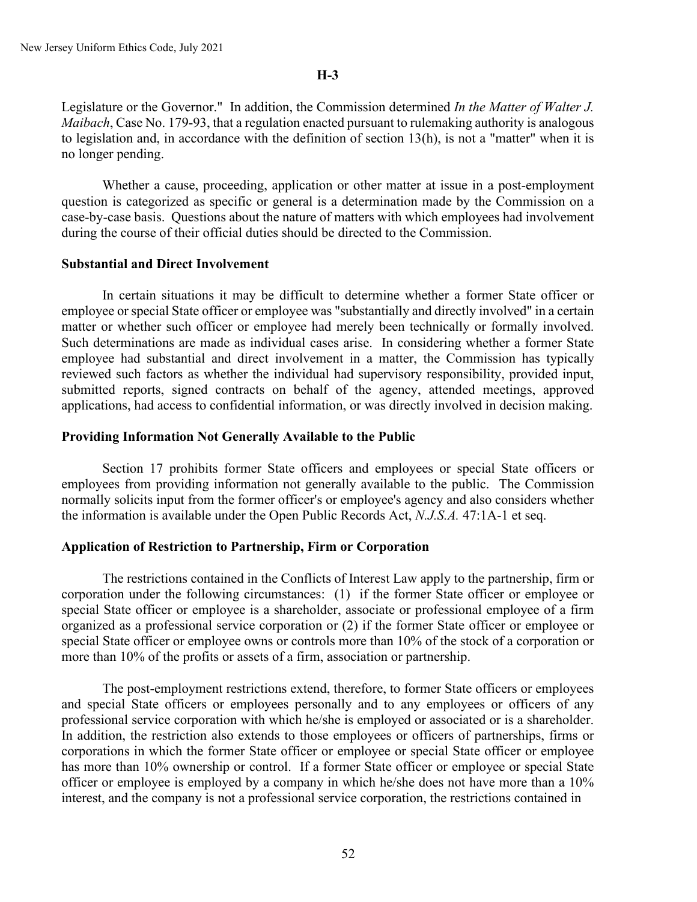Legislature or the Governor." In addition, the Commission determined *In the Matter of Walter J. Maibach*, Case No. 179-93, that a regulation enacted pursuant to rulemaking authority is analogous to legislation and, in accordance with the definition of section 13(h), is not a "matter" when it is no longer pending.

Whether a cause, proceeding, application or other matter at issue in a post-employment question is categorized as specific or general is a determination made by the Commission on a case-by-case basis. Questions about the nature of matters with which employees had involvement during the course of their official duties should be directed to the Commission.

#### **Substantial and Direct Involvement**

In certain situations it may be difficult to determine whether a former State officer or employee or special State officer or employee was "substantially and directly involved" in a certain matter or whether such officer or employee had merely been technically or formally involved. Such determinations are made as individual cases arise. In considering whether a former State employee had substantial and direct involvement in a matter, the Commission has typically reviewed such factors as whether the individual had supervisory responsibility, provided input, submitted reports, signed contracts on behalf of the agency, attended meetings, approved applications, had access to confidential information, or was directly involved in decision making.

#### **Providing Information Not Generally Available to the Public**

Section 17 prohibits former State officers and employees or special State officers or employees from providing information not generally available to the public. The Commission normally solicits input from the former officer's or employee's agency and also considers whether the information is available under the Open Public Records Act, *N.J.S.A.* 47:1A-1 et seq.

#### **Application of Restriction to Partnership, Firm or Corporation**

The restrictions contained in the Conflicts of Interest Law apply to the partnership, firm or corporation under the following circumstances: (1) if the former State officer or employee or special State officer or employee is a shareholder, associate or professional employee of a firm organized as a professional service corporation or (2) if the former State officer or employee or special State officer or employee owns or controls more than 10% of the stock of a corporation or more than 10% of the profits or assets of a firm, association or partnership.

The post-employment restrictions extend, therefore, to former State officers or employees and special State officers or employees personally and to any employees or officers of any professional service corporation with which he/she is employed or associated or is a shareholder. In addition, the restriction also extends to those employees or officers of partnerships, firms or corporations in which the former State officer or employee or special State officer or employee has more than 10% ownership or control. If a former State officer or employee or special State officer or employee is employed by a company in which he/she does not have more than a 10% interest, and the company is not a professional service corporation, the restrictions contained in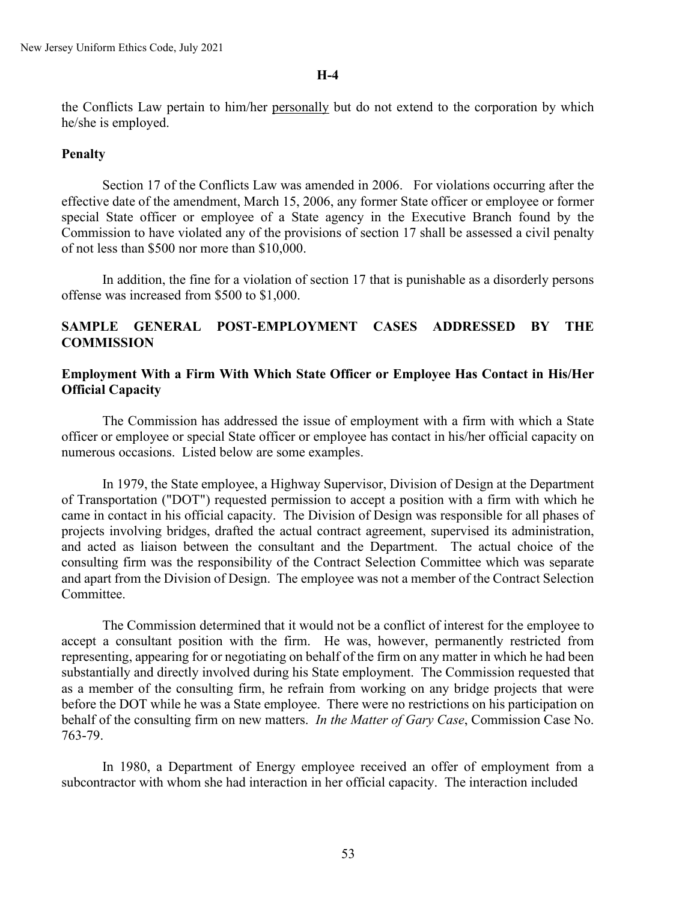the Conflicts Law pertain to him/her personally but do not extend to the corporation by which he/she is employed.

#### **Penalty**

Section 17 of the Conflicts Law was amended in 2006. For violations occurring after the effective date of the amendment, March 15, 2006, any former State officer or employee or former special State officer or employee of a State agency in the Executive Branch found by the Commission to have violated any of the provisions of section 17 shall be assessed a civil penalty of not less than \$500 nor more than \$10,000.

In addition, the fine for a violation of section 17 that is punishable as a disorderly persons offense was increased from \$500 to \$1,000.

## **SAMPLE GENERAL POST-EMPLOYMENT CASES ADDRESSED BY THE COMMISSION**

### **Employment With a Firm With Which State Officer or Employee Has Contact in His/Her Official Capacity**

The Commission has addressed the issue of employment with a firm with which a State officer or employee or special State officer or employee has contact in his/her official capacity on numerous occasions. Listed below are some examples.

In 1979, the State employee, a Highway Supervisor, Division of Design at the Department of Transportation ("DOT") requested permission to accept a position with a firm with which he came in contact in his official capacity. The Division of Design was responsible for all phases of projects involving bridges, drafted the actual contract agreement, supervised its administration, and acted as liaison between the consultant and the Department. The actual choice of the consulting firm was the responsibility of the Contract Selection Committee which was separate and apart from the Division of Design. The employee was not a member of the Contract Selection Committee.

The Commission determined that it would not be a conflict of interest for the employee to accept a consultant position with the firm. He was, however, permanently restricted from representing, appearing for or negotiating on behalf of the firm on any matter in which he had been substantially and directly involved during his State employment. The Commission requested that as a member of the consulting firm, he refrain from working on any bridge projects that were before the DOT while he was a State employee. There were no restrictions on his participation on behalf of the consulting firm on new matters. *In the Matter of Gary Case*, Commission Case No. 763-79.

In 1980, a Department of Energy employee received an offer of employment from a subcontractor with whom she had interaction in her official capacity. The interaction included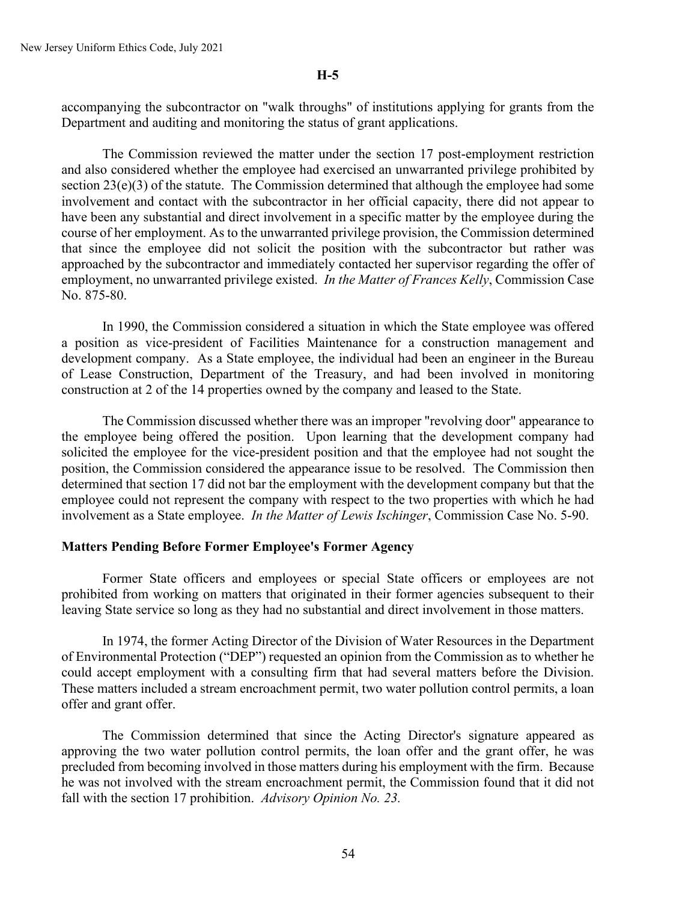accompanying the subcontractor on "walk throughs" of institutions applying for grants from the Department and auditing and monitoring the status of grant applications.

The Commission reviewed the matter under the section 17 post-employment restriction and also considered whether the employee had exercised an unwarranted privilege prohibited by section  $23(e)(3)$  of the statute. The Commission determined that although the employee had some involvement and contact with the subcontractor in her official capacity, there did not appear to have been any substantial and direct involvement in a specific matter by the employee during the course of her employment. As to the unwarranted privilege provision, the Commission determined that since the employee did not solicit the position with the subcontractor but rather was approached by the subcontractor and immediately contacted her supervisor regarding the offer of employment, no unwarranted privilege existed. *In the Matter of Frances Kelly*, Commission Case No. 875-80.

In 1990, the Commission considered a situation in which the State employee was offered a position as vice-president of Facilities Maintenance for a construction management and development company. As a State employee, the individual had been an engineer in the Bureau of Lease Construction, Department of the Treasury, and had been involved in monitoring construction at 2 of the 14 properties owned by the company and leased to the State.

The Commission discussed whether there was an improper "revolving door" appearance to the employee being offered the position. Upon learning that the development company had solicited the employee for the vice-president position and that the employee had not sought the position, the Commission considered the appearance issue to be resolved. The Commission then determined that section 17 did not bar the employment with the development company but that the employee could not represent the company with respect to the two properties with which he had involvement as a State employee. *In the Matter of Lewis Ischinger*, Commission Case No. 5-90.

#### **Matters Pending Before Former Employee's Former Agency**

Former State officers and employees or special State officers or employees are not prohibited from working on matters that originated in their former agencies subsequent to their leaving State service so long as they had no substantial and direct involvement in those matters.

In 1974, the former Acting Director of the Division of Water Resources in the Department of Environmental Protection ("DEP") requested an opinion from the Commission as to whether he could accept employment with a consulting firm that had several matters before the Division. These matters included a stream encroachment permit, two water pollution control permits, a loan offer and grant offer.

The Commission determined that since the Acting Director's signature appeared as approving the two water pollution control permits, the loan offer and the grant offer, he was precluded from becoming involved in those matters during his employment with the firm. Because he was not involved with the stream encroachment permit, the Commission found that it did not fall with the section 17 prohibition. *Advisory Opinion No. 23.*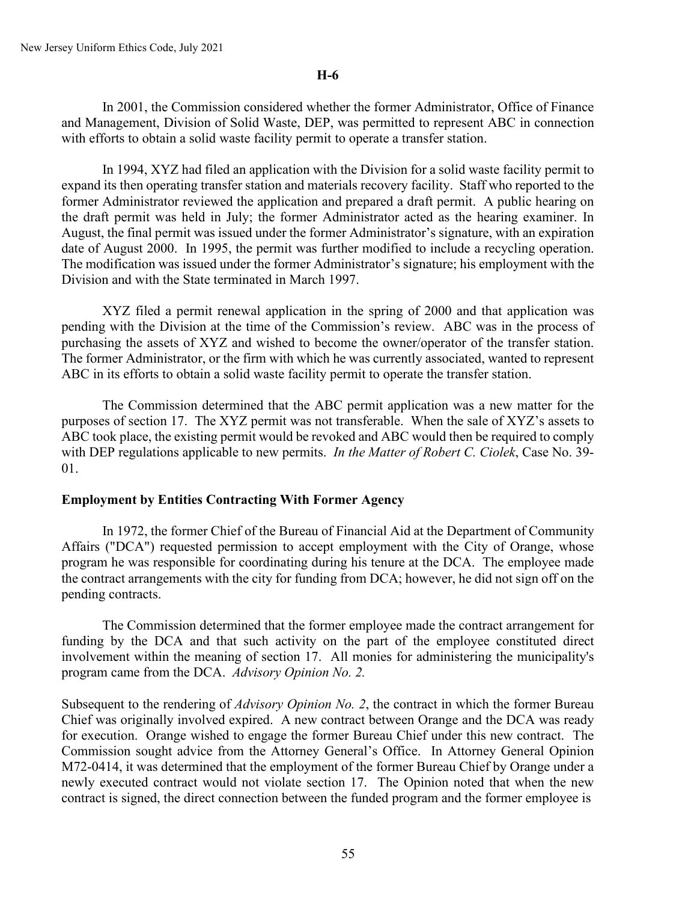In 2001, the Commission considered whether the former Administrator, Office of Finance and Management, Division of Solid Waste, DEP, was permitted to represent ABC in connection with efforts to obtain a solid waste facility permit to operate a transfer station.

In 1994, XYZ had filed an application with the Division for a solid waste facility permit to expand its then operating transfer station and materials recovery facility. Staff who reported to the former Administrator reviewed the application and prepared a draft permit. A public hearing on the draft permit was held in July; the former Administrator acted as the hearing examiner. In August, the final permit was issued under the former Administrator's signature, with an expiration date of August 2000. In 1995, the permit was further modified to include a recycling operation. The modification was issued under the former Administrator's signature; his employment with the Division and with the State terminated in March 1997.

XYZ filed a permit renewal application in the spring of 2000 and that application was pending with the Division at the time of the Commission's review. ABC was in the process of purchasing the assets of XYZ and wished to become the owner/operator of the transfer station. The former Administrator, or the firm with which he was currently associated, wanted to represent ABC in its efforts to obtain a solid waste facility permit to operate the transfer station.

The Commission determined that the ABC permit application was a new matter for the purposes of section 17. The XYZ permit was not transferable. When the sale of XYZ's assets to ABC took place, the existing permit would be revoked and ABC would then be required to comply with DEP regulations applicable to new permits. *In the Matter of Robert C. Ciolek*, Case No. 39- 01.

## **Employment by Entities Contracting With Former Agency**

In 1972, the former Chief of the Bureau of Financial Aid at the Department of Community Affairs ("DCA") requested permission to accept employment with the City of Orange, whose program he was responsible for coordinating during his tenure at the DCA. The employee made the contract arrangements with the city for funding from DCA; however, he did not sign off on the pending contracts.

The Commission determined that the former employee made the contract arrangement for funding by the DCA and that such activity on the part of the employee constituted direct involvement within the meaning of section 17. All monies for administering the municipality's program came from the DCA. *Advisory Opinion No. 2.*

Subsequent to the rendering of *Advisory Opinion No. 2*, the contract in which the former Bureau Chief was originally involved expired. A new contract between Orange and the DCA was ready for execution. Orange wished to engage the former Bureau Chief under this new contract. The Commission sought advice from the Attorney General's Office. In Attorney General Opinion M72-0414, it was determined that the employment of the former Bureau Chief by Orange under a newly executed contract would not violate section 17. The Opinion noted that when the new contract is signed, the direct connection between the funded program and the former employee is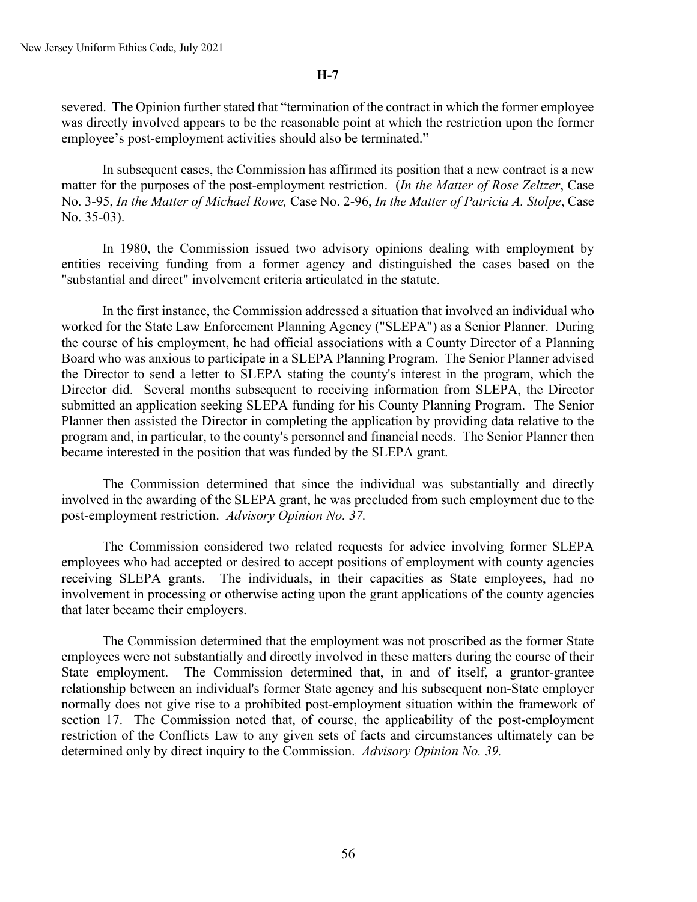severed. The Opinion further stated that "termination of the contract in which the former employee was directly involved appears to be the reasonable point at which the restriction upon the former employee's post-employment activities should also be terminated."

In subsequent cases, the Commission has affirmed its position that a new contract is a new matter for the purposes of the post-employment restriction. (*In the Matter of Rose Zeltzer*, Case No. 3-95, *In the Matter of Michael Rowe,* Case No. 2-96, *In the Matter of Patricia A. Stolpe*, Case No. 35-03).

In 1980, the Commission issued two advisory opinions dealing with employment by entities receiving funding from a former agency and distinguished the cases based on the "substantial and direct" involvement criteria articulated in the statute.

In the first instance, the Commission addressed a situation that involved an individual who worked for the State Law Enforcement Planning Agency ("SLEPA") as a Senior Planner. During the course of his employment, he had official associations with a County Director of a Planning Board who was anxious to participate in a SLEPA Planning Program. The Senior Planner advised the Director to send a letter to SLEPA stating the county's interest in the program, which the Director did. Several months subsequent to receiving information from SLEPA, the Director submitted an application seeking SLEPA funding for his County Planning Program. The Senior Planner then assisted the Director in completing the application by providing data relative to the program and, in particular, to the county's personnel and financial needs. The Senior Planner then became interested in the position that was funded by the SLEPA grant.

The Commission determined that since the individual was substantially and directly involved in the awarding of the SLEPA grant, he was precluded from such employment due to the post-employment restriction. *Advisory Opinion No. 37.*

The Commission considered two related requests for advice involving former SLEPA employees who had accepted or desired to accept positions of employment with county agencies receiving SLEPA grants. The individuals, in their capacities as State employees, had no involvement in processing or otherwise acting upon the grant applications of the county agencies that later became their employers.

The Commission determined that the employment was not proscribed as the former State employees were not substantially and directly involved in these matters during the course of their State employment. The Commission determined that, in and of itself, a grantor-grantee relationship between an individual's former State agency and his subsequent non-State employer normally does not give rise to a prohibited post-employment situation within the framework of section 17. The Commission noted that, of course, the applicability of the post-employment restriction of the Conflicts Law to any given sets of facts and circumstances ultimately can be determined only by direct inquiry to the Commission. *Advisory Opinion No. 39.*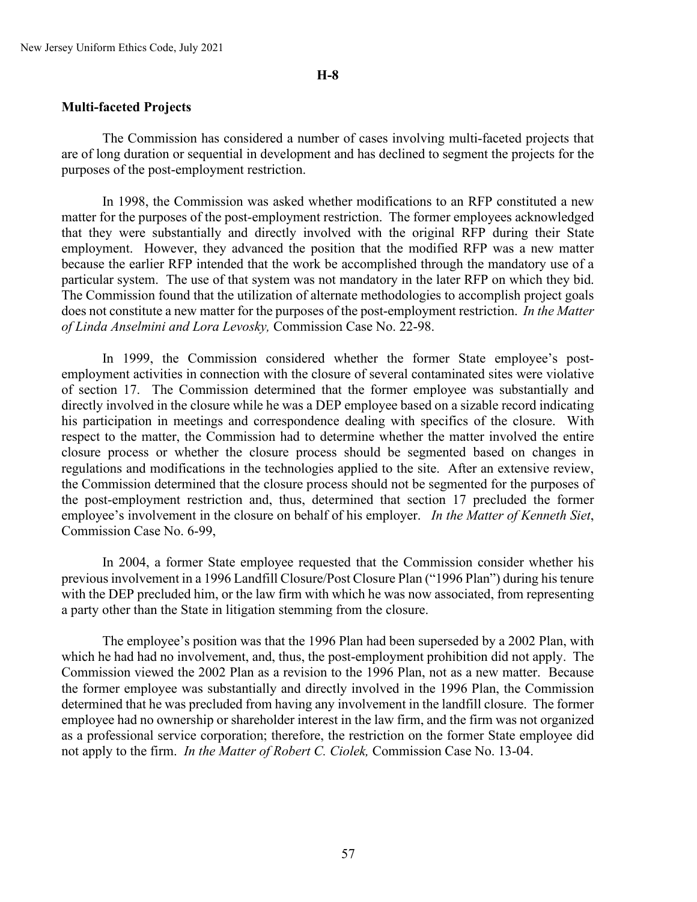#### **Multi-faceted Projects**

The Commission has considered a number of cases involving multi-faceted projects that are of long duration or sequential in development and has declined to segment the projects for the purposes of the post-employment restriction.

In 1998, the Commission was asked whether modifications to an RFP constituted a new matter for the purposes of the post-employment restriction. The former employees acknowledged that they were substantially and directly involved with the original RFP during their State employment. However, they advanced the position that the modified RFP was a new matter because the earlier RFP intended that the work be accomplished through the mandatory use of a particular system. The use of that system was not mandatory in the later RFP on which they bid. The Commission found that the utilization of alternate methodologies to accomplish project goals does not constitute a new matter for the purposes of the post-employment restriction. *In the Matter of Linda Anselmini and Lora Levosky,* Commission Case No. 22-98.

In 1999, the Commission considered whether the former State employee's postemployment activities in connection with the closure of several contaminated sites were violative of section 17. The Commission determined that the former employee was substantially and directly involved in the closure while he was a DEP employee based on a sizable record indicating his participation in meetings and correspondence dealing with specifics of the closure. With respect to the matter, the Commission had to determine whether the matter involved the entire closure process or whether the closure process should be segmented based on changes in regulations and modifications in the technologies applied to the site. After an extensive review, the Commission determined that the closure process should not be segmented for the purposes of the post-employment restriction and, thus, determined that section 17 precluded the former employee's involvement in the closure on behalf of his employer. *In the Matter of Kenneth Siet*, Commission Case No. 6-99,

In 2004, a former State employee requested that the Commission consider whether his previous involvement in a 1996 Landfill Closure/Post Closure Plan ("1996 Plan") during his tenure with the DEP precluded him, or the law firm with which he was now associated, from representing a party other than the State in litigation stemming from the closure.

The employee's position was that the 1996 Plan had been superseded by a 2002 Plan, with which he had had no involvement, and, thus, the post-employment prohibition did not apply. The Commission viewed the 2002 Plan as a revision to the 1996 Plan, not as a new matter. Because the former employee was substantially and directly involved in the 1996 Plan, the Commission determined that he was precluded from having any involvement in the landfill closure. The former employee had no ownership or shareholder interest in the law firm, and the firm was not organized as a professional service corporation; therefore, the restriction on the former State employee did not apply to the firm. *In the Matter of Robert C. Ciolek,* Commission Case No. 13-04.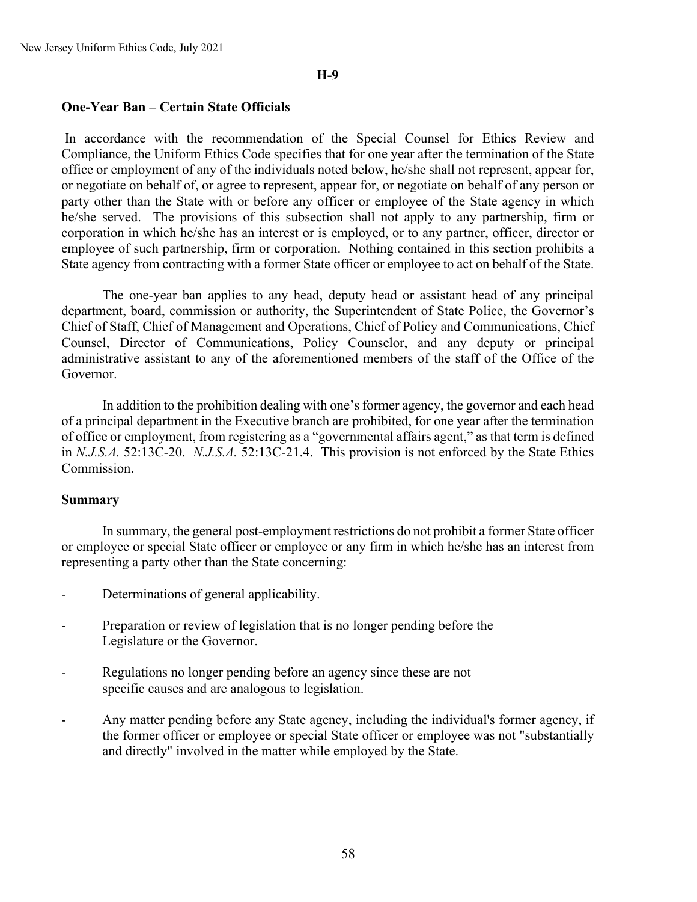#### **One-Year Ban – Certain State Officials**

In accordance with the recommendation of the Special Counsel for Ethics Review and Compliance, the Uniform Ethics Code specifies that for one year after the termination of the State office or employment of any of the individuals noted below, he/she shall not represent, appear for, or negotiate on behalf of, or agree to represent, appear for, or negotiate on behalf of any person or party other than the State with or before any officer or employee of the State agency in which he/she served. The provisions of this subsection shall not apply to any partnership, firm or corporation in which he/she has an interest or is employed, or to any partner, officer, director or employee of such partnership, firm or corporation. Nothing contained in this section prohibits a State agency from contracting with a former State officer or employee to act on behalf of the State.

The one-year ban applies to any head, deputy head or assistant head of any principal department, board, commission or authority, the Superintendent of State Police, the Governor's Chief of Staff, Chief of Management and Operations, Chief of Policy and Communications, Chief Counsel, Director of Communications, Policy Counselor, and any deputy or principal administrative assistant to any of the aforementioned members of the staff of the Office of the Governor.

In addition to the prohibition dealing with one's former agency, the governor and each head of a principal department in the Executive branch are prohibited, for one year after the termination of office or employment, from registering as a "governmental affairs agent," as that term is defined in *N.J.S.A.* 52:13C-20. *N.J.S.A.* 52:13C-21.4. This provision is not enforced by the State Ethics Commission.

#### **Summary**

In summary, the general post-employment restrictions do not prohibit a former State officer or employee or special State officer or employee or any firm in which he/she has an interest from representing a party other than the State concerning:

- Determinations of general applicability.
- Preparation or review of legislation that is no longer pending before the Legislature or the Governor.
- Regulations no longer pending before an agency since these are not specific causes and are analogous to legislation.
- Any matter pending before any State agency, including the individual's former agency, if the former officer or employee or special State officer or employee was not "substantially and directly" involved in the matter while employed by the State.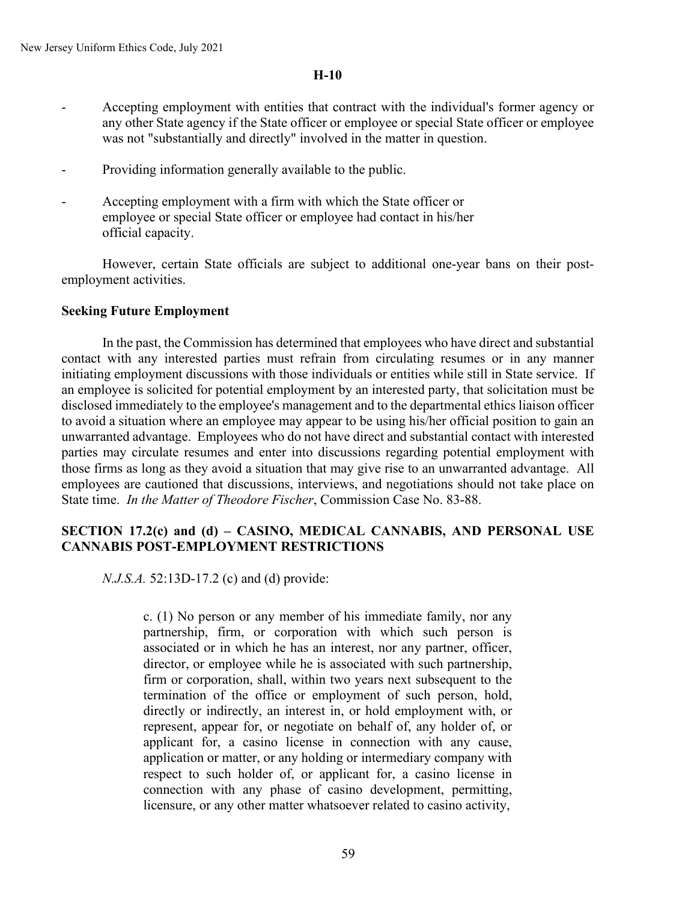- Accepting employment with entities that contract with the individual's former agency or any other State agency if the State officer or employee or special State officer or employee was not "substantially and directly" involved in the matter in question.
- Providing information generally available to the public.
- Accepting employment with a firm with which the State officer or employee or special State officer or employee had contact in his/her official capacity.

However, certain State officials are subject to additional one-year bans on their postemployment activities.

## **Seeking Future Employment**

In the past, the Commission has determined that employees who have direct and substantial contact with any interested parties must refrain from circulating resumes or in any manner initiating employment discussions with those individuals or entities while still in State service. If an employee is solicited for potential employment by an interested party, that solicitation must be disclosed immediately to the employee's management and to the departmental ethics liaison officer to avoid a situation where an employee may appear to be using his/her official position to gain an unwarranted advantage. Employees who do not have direct and substantial contact with interested parties may circulate resumes and enter into discussions regarding potential employment with those firms as long as they avoid a situation that may give rise to an unwarranted advantage. All employees are cautioned that discussions, interviews, and negotiations should not take place on State time. *In the Matter of Theodore Fischer*, Commission Case No. 83-88.

## **SECTION 17.2(c) and (d) – CASINO, MEDICAL CANNABIS, AND PERSONAL USE CANNABIS POST-EMPLOYMENT RESTRICTIONS**

*N.J.S.A.* 52:13D-17.2 (c) and (d) provide:

c. (1) No person or any member of his immediate family, nor any partnership, firm, or corporation with which such person is associated or in which he has an interest, nor any partner, officer, director, or employee while he is associated with such partnership, firm or corporation, shall, within two years next subsequent to the termination of the office or employment of such person, hold, directly or indirectly, an interest in, or hold employment with, or represent, appear for, or negotiate on behalf of, any holder of, or applicant for, a casino license in connection with any cause, application or matter, or any holding or intermediary company with respect to such holder of, or applicant for, a casino license in connection with any phase of casino development, permitting, licensure, or any other matter whatsoever related to casino activity,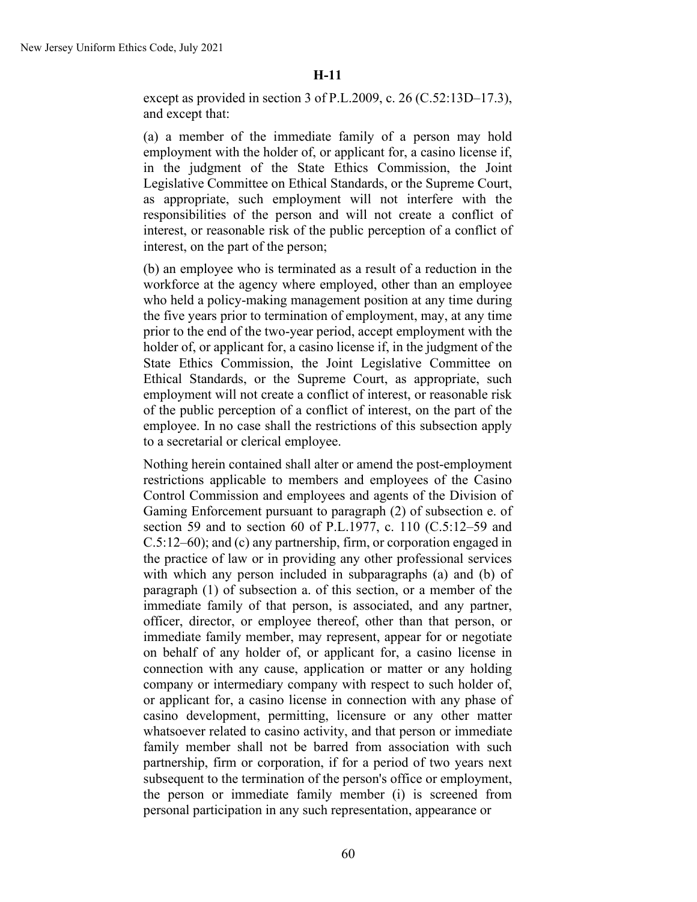except as provided in section 3 of P.L.2009, c. 26 (C.52:13D–17.3), and except that:

(a) a member of the immediate family of a person may hold employment with the holder of, or applicant for, a casino license if, in the judgment of the State Ethics Commission, the Joint Legislative Committee on Ethical Standards, or the Supreme Court, as appropriate, such employment will not interfere with the responsibilities of the person and will not create a conflict of interest, or reasonable risk of the public perception of a conflict of interest, on the part of the person;

(b) an employee who is terminated as a result of a reduction in the workforce at the agency where employed, other than an employee who held a policy-making management position at any time during the five years prior to termination of employment, may, at any time prior to the end of the two-year period, accept employment with the holder of, or applicant for, a casino license if, in the judgment of the State Ethics Commission, the Joint Legislative Committee on Ethical Standards, or the Supreme Court, as appropriate, such employment will not create a conflict of interest, or reasonable risk of the public perception of a conflict of interest, on the part of the employee. In no case shall the restrictions of this subsection apply to a secretarial or clerical employee.

Nothing herein contained shall alter or amend the post-employment restrictions applicable to members and employees of the Casino Control Commission and employees and agents of the Division of Gaming Enforcement pursuant to paragraph (2) of subsection e. of section 59 and to section 60 of P.L.1977, c. 110 (C.5:12–59 and C.5:12–60); and (c) any partnership, firm, or corporation engaged in the practice of law or in providing any other professional services with which any person included in subparagraphs (a) and (b) of paragraph (1) of subsection a. of this section, or a member of the immediate family of that person, is associated, and any partner, officer, director, or employee thereof, other than that person, or immediate family member, may represent, appear for or negotiate on behalf of any holder of, or applicant for, a casino license in connection with any cause, application or matter or any holding company or intermediary company with respect to such holder of, or applicant for, a casino license in connection with any phase of casino development, permitting, licensure or any other matter whatsoever related to casino activity, and that person or immediate family member shall not be barred from association with such partnership, firm or corporation, if for a period of two years next subsequent to the termination of the person's office or employment, the person or immediate family member (i) is screened from personal participation in any such representation, appearance or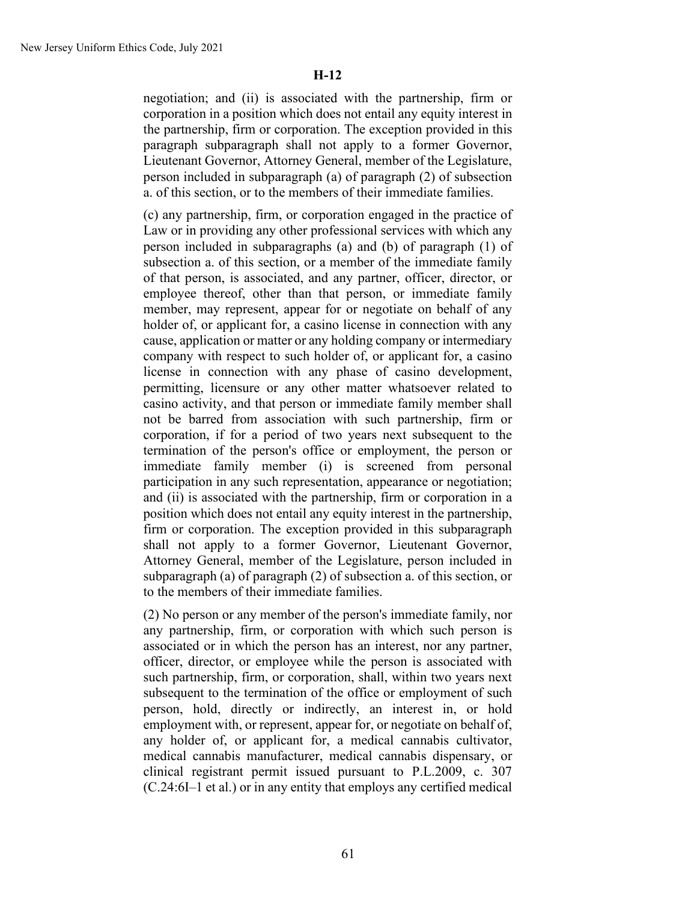negotiation; and (ii) is associated with the partnership, firm or corporation in a position which does not entail any equity interest in the partnership, firm or corporation. The exception provided in this paragraph subparagraph shall not apply to a former Governor, Lieutenant Governor, Attorney General, member of the Legislature, person included in subparagraph (a) of paragraph (2) of subsection a. of this section, or to the members of their immediate families.

(c) any partnership, firm, or corporation engaged in the practice of Law or in providing any other professional services with which any person included in subparagraphs (a) and (b) of paragraph (1) of subsection a. of this section, or a member of the immediate family of that person, is associated, and any partner, officer, director, or employee thereof, other than that person, or immediate family member, may represent, appear for or negotiate on behalf of any holder of, or applicant for, a casino license in connection with any cause, application or matter or any holding company or intermediary company with respect to such holder of, or applicant for, a casino license in connection with any phase of casino development, permitting, licensure or any other matter whatsoever related to casino activity, and that person or immediate family member shall not be barred from association with such partnership, firm or corporation, if for a period of two years next subsequent to the termination of the person's office or employment, the person or immediate family member (i) is screened from personal participation in any such representation, appearance or negotiation; and (ii) is associated with the partnership, firm or corporation in a position which does not entail any equity interest in the partnership, firm or corporation. The exception provided in this subparagraph shall not apply to a former Governor, Lieutenant Governor, Attorney General, member of the Legislature, person included in subparagraph (a) of paragraph (2) of subsection a. of this section, or to the members of their immediate families.

(2) No person or any member of the person's immediate family, nor any partnership, firm, or corporation with which such person is associated or in which the person has an interest, nor any partner, officer, director, or employee while the person is associated with such partnership, firm, or corporation, shall, within two years next subsequent to the termination of the office or employment of such person, hold, directly or indirectly, an interest in, or hold employment with, or represent, appear for, or negotiate on behalf of, any holder of, or applicant for, a medical cannabis cultivator, medical cannabis manufacturer, medical cannabis dispensary, or clinical registrant permit issued pursuant to P.L.2009, c. 307 (C.24:6I–1 et al.) or in any entity that employs any certified medical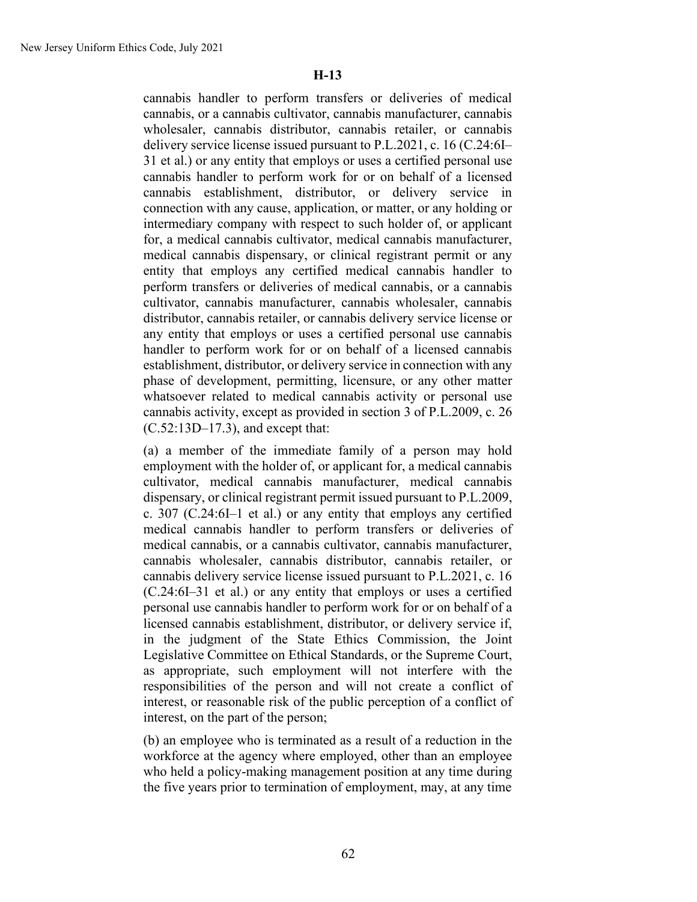cannabis handler to perform transfers or deliveries of medical cannabis, or a cannabis cultivator, cannabis manufacturer, cannabis wholesaler, cannabis distributor, cannabis retailer, or cannabis delivery service license issued pursuant to P.L.2021, c. 16 (C.24:6I– 31 et al.) or any entity that employs or uses a certified personal use cannabis handler to perform work for or on behalf of a licensed cannabis establishment, distributor, or delivery service in connection with any cause, application, or matter, or any holding or intermediary company with respect to such holder of, or applicant for, a medical cannabis cultivator, medical cannabis manufacturer, medical cannabis dispensary, or clinical registrant permit or any entity that employs any certified medical cannabis handler to perform transfers or deliveries of medical cannabis, or a cannabis cultivator, cannabis manufacturer, cannabis wholesaler, cannabis distributor, cannabis retailer, or cannabis delivery service license or any entity that employs or uses a certified personal use cannabis handler to perform work for or on behalf of a licensed cannabis establishment, distributor, or delivery service in connection with any phase of development, permitting, licensure, or any other matter whatsoever related to medical cannabis activity or personal use cannabis activity, except as provided in section 3 of P.L.2009, c. 26 (C.52:13D–17.3), and except that:

(a) a member of the immediate family of a person may hold employment with the holder of, or applicant for, a medical cannabis cultivator, medical cannabis manufacturer, medical cannabis dispensary, or clinical registrant permit issued pursuant to P.L.2009, c. 307 (C.24:6I–1 et al.) or any entity that employs any certified medical cannabis handler to perform transfers or deliveries of medical cannabis, or a cannabis cultivator, cannabis manufacturer, cannabis wholesaler, cannabis distributor, cannabis retailer, or cannabis delivery service license issued pursuant to P.L.2021, c. 16 (C.24:6I–31 et al.) or any entity that employs or uses a certified personal use cannabis handler to perform work for or on behalf of a licensed cannabis establishment, distributor, or delivery service if, in the judgment of the State Ethics Commission, the Joint Legislative Committee on Ethical Standards, or the Supreme Court, as appropriate, such employment will not interfere with the responsibilities of the person and will not create a conflict of interest, or reasonable risk of the public perception of a conflict of interest, on the part of the person;

(b) an employee who is terminated as a result of a reduction in the workforce at the agency where employed, other than an employee who held a policy-making management position at any time during the five years prior to termination of employment, may, at any time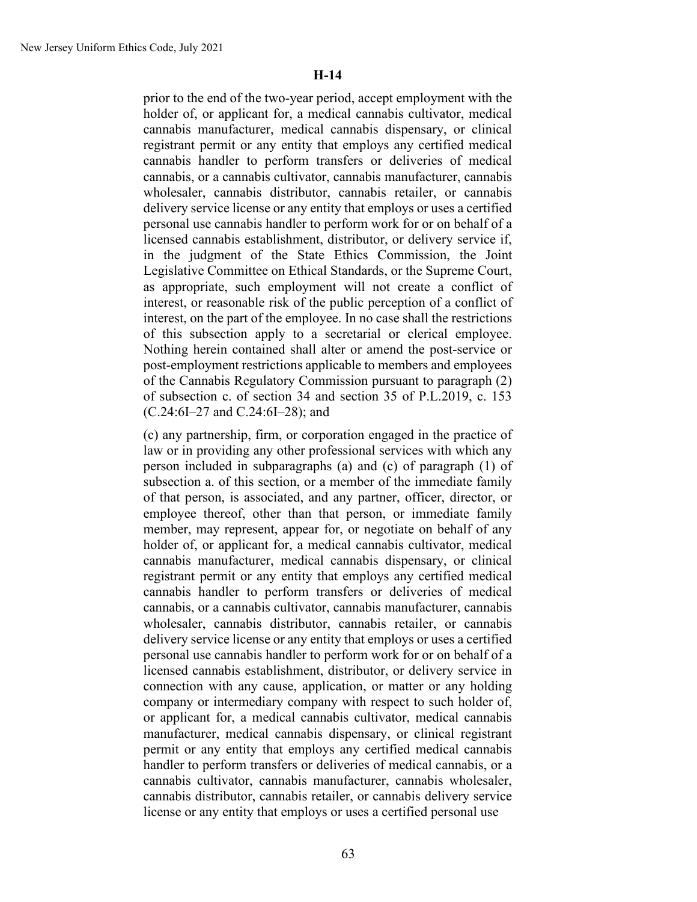prior to the end of the two-year period, accept employment with the holder of, or applicant for, a medical cannabis cultivator, medical cannabis manufacturer, medical cannabis dispensary, or clinical registrant permit or any entity that employs any certified medical cannabis handler to perform transfers or deliveries of medical cannabis, or a cannabis cultivator, cannabis manufacturer, cannabis wholesaler, cannabis distributor, cannabis retailer, or cannabis delivery service license or any entity that employs or uses a certified personal use cannabis handler to perform work for or on behalf of a licensed cannabis establishment, distributor, or delivery service if, in the judgment of the State Ethics Commission, the Joint Legislative Committee on Ethical Standards, or the Supreme Court, as appropriate, such employment will not create a conflict of interest, or reasonable risk of the public perception of a conflict of interest, on the part of the employee. In no case shall the restrictions of this subsection apply to a secretarial or clerical employee. Nothing herein contained shall alter or amend the post-service or post-employment restrictions applicable to members and employees of the Cannabis Regulatory Commission pursuant to paragraph (2) of subsection c. of section 34 and section 35 of P.L.2019, c. 153 (C.24:6I–27 and C.24:6I–28); and

(c) any partnership, firm, or corporation engaged in the practice of law or in providing any other professional services with which any person included in subparagraphs (a) and (c) of paragraph (1) of subsection a. of this section, or a member of the immediate family of that person, is associated, and any partner, officer, director, or employee thereof, other than that person, or immediate family member, may represent, appear for, or negotiate on behalf of any holder of, or applicant for, a medical cannabis cultivator, medical cannabis manufacturer, medical cannabis dispensary, or clinical registrant permit or any entity that employs any certified medical cannabis handler to perform transfers or deliveries of medical cannabis, or a cannabis cultivator, cannabis manufacturer, cannabis wholesaler, cannabis distributor, cannabis retailer, or cannabis delivery service license or any entity that employs or uses a certified personal use cannabis handler to perform work for or on behalf of a licensed cannabis establishment, distributor, or delivery service in connection with any cause, application, or matter or any holding company or intermediary company with respect to such holder of, or applicant for, a medical cannabis cultivator, medical cannabis manufacturer, medical cannabis dispensary, or clinical registrant permit or any entity that employs any certified medical cannabis handler to perform transfers or deliveries of medical cannabis, or a cannabis cultivator, cannabis manufacturer, cannabis wholesaler, cannabis distributor, cannabis retailer, or cannabis delivery service license or any entity that employs or uses a certified personal use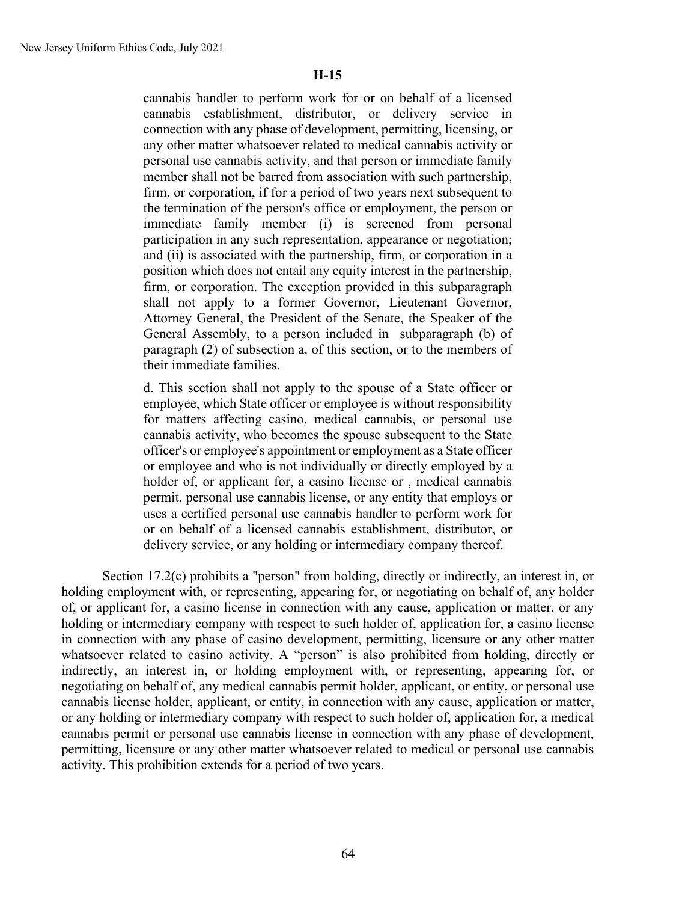cannabis handler to perform work for or on behalf of a licensed cannabis establishment, distributor, or delivery service in connection with any phase of development, permitting, licensing, or any other matter whatsoever related to medical cannabis activity or personal use cannabis activity, and that person or immediate family member shall not be barred from association with such partnership, firm, or corporation, if for a period of two years next subsequent to the termination of the person's office or employment, the person or immediate family member (i) is screened from personal participation in any such representation, appearance or negotiation; and (ii) is associated with the partnership, firm, or corporation in a position which does not entail any equity interest in the partnership, firm, or corporation. The exception provided in this subparagraph shall not apply to a former Governor, Lieutenant Governor, Attorney General, the President of the Senate, the Speaker of the General Assembly, to a person included in subparagraph (b) of paragraph (2) of subsection a. of this section, or to the members of their immediate families.

d. This section shall not apply to the spouse of a State officer or employee, which State officer or employee is without responsibility for matters affecting casino, medical cannabis, or personal use cannabis activity, who becomes the spouse subsequent to the State officer's or employee's appointment or employment as a State officer or employee and who is not individually or directly employed by a holder of, or applicant for, a casino license or , medical cannabis permit, personal use cannabis license, or any entity that employs or uses a certified personal use cannabis handler to perform work for or on behalf of a licensed cannabis establishment, distributor, or delivery service, or any holding or intermediary company thereof.

Section 17.2(c) prohibits a "person" from holding, directly or indirectly, an interest in, or holding employment with, or representing, appearing for, or negotiating on behalf of, any holder of, or applicant for, a casino license in connection with any cause, application or matter, or any holding or intermediary company with respect to such holder of, application for, a casino license in connection with any phase of casino development, permitting, licensure or any other matter whatsoever related to casino activity. A "person" is also prohibited from holding, directly or indirectly, an interest in, or holding employment with, or representing, appearing for, or negotiating on behalf of, any medical cannabis permit holder, applicant, or entity, or personal use cannabis license holder, applicant, or entity, in connection with any cause, application or matter, or any holding or intermediary company with respect to such holder of, application for, a medical cannabis permit or personal use cannabis license in connection with any phase of development, permitting, licensure or any other matter whatsoever related to medical or personal use cannabis activity. This prohibition extends for a period of two years.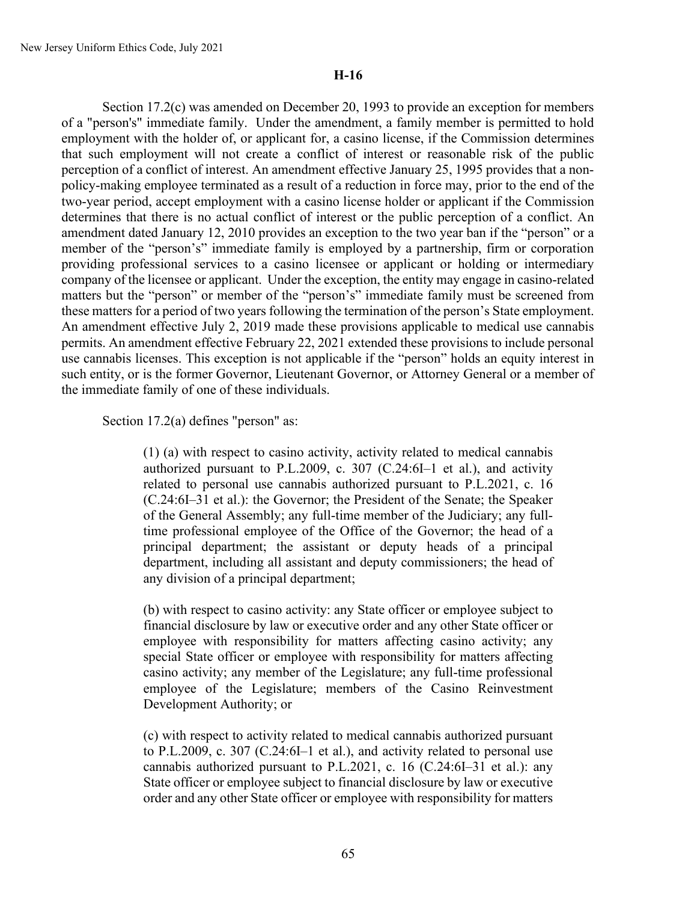Section 17.2(c) was amended on December 20, 1993 to provide an exception for members of a "person's" immediate family. Under the amendment, a family member is permitted to hold employment with the holder of, or applicant for, a casino license, if the Commission determines that such employment will not create a conflict of interest or reasonable risk of the public perception of a conflict of interest. An amendment effective January 25, 1995 provides that a nonpolicy-making employee terminated as a result of a reduction in force may, prior to the end of the two-year period, accept employment with a casino license holder or applicant if the Commission determines that there is no actual conflict of interest or the public perception of a conflict. An amendment dated January 12, 2010 provides an exception to the two year ban if the "person" or a member of the "person's" immediate family is employed by a partnership, firm or corporation providing professional services to a casino licensee or applicant or holding or intermediary company of the licensee or applicant. Under the exception, the entity may engage in casino-related matters but the "person" or member of the "person's" immediate family must be screened from these matters for a period of two years following the termination of the person's State employment. An amendment effective July 2, 2019 made these provisions applicable to medical use cannabis permits. An amendment effective February 22, 2021 extended these provisions to include personal use cannabis licenses. This exception is not applicable if the "person" holds an equity interest in such entity, or is the former Governor, Lieutenant Governor, or Attorney General or a member of the immediate family of one of these individuals.

Section 17.2(a) defines "person" as:

(1) (a) with respect to casino activity, activity related to medical cannabis authorized pursuant to P.L.2009, c. 307 (C.24:6I–1 et al.), and activity related to personal use cannabis authorized pursuant to P.L.2021, c. 16 (C.24:6I–31 et al.): the Governor; the President of the Senate; the Speaker of the General Assembly; any full-time member of the Judiciary; any fulltime professional employee of the Office of the Governor; the head of a principal department; the assistant or deputy heads of a principal department, including all assistant and deputy commissioners; the head of any division of a principal department;

(b) with respect to casino activity: any State officer or employee subject to financial disclosure by law or executive order and any other State officer or employee with responsibility for matters affecting casino activity; any special State officer or employee with responsibility for matters affecting casino activity; any member of the Legislature; any full-time professional employee of the Legislature; members of the Casino Reinvestment Development Authority; or

(c) with respect to activity related to medical cannabis authorized pursuant to P.L.2009, c. 307 (C.24:6I–1 et al.), and activity related to personal use cannabis authorized pursuant to P.L.2021, c. 16 (C.24:6I–31 et al.): any State officer or employee subject to financial disclosure by law or executive order and any other State officer or employee with responsibility for matters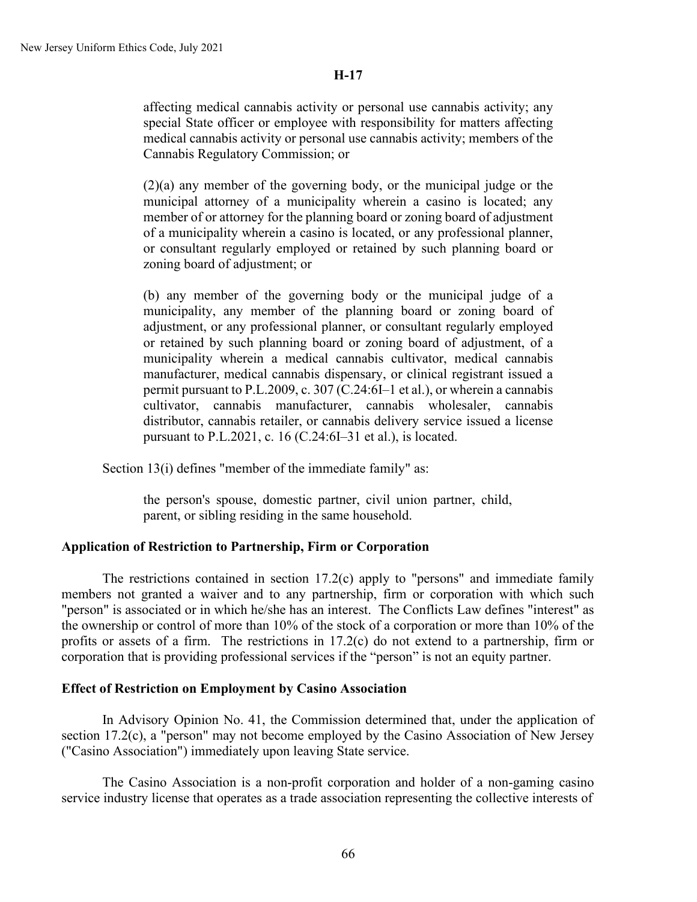affecting medical cannabis activity or personal use cannabis activity; any special State officer or employee with responsibility for matters affecting medical cannabis activity or personal use cannabis activity; members of the Cannabis Regulatory Commission; or

(2)(a) any member of the governing body, or the municipal judge or the municipal attorney of a municipality wherein a casino is located; any member of or attorney for the planning board or zoning board of adjustment of a municipality wherein a casino is located, or any professional planner, or consultant regularly employed or retained by such planning board or zoning board of adjustment; or

(b) any member of the governing body or the municipal judge of a municipality, any member of the planning board or zoning board of adjustment, or any professional planner, or consultant regularly employed or retained by such planning board or zoning board of adjustment, of a municipality wherein a medical cannabis cultivator, medical cannabis manufacturer, medical cannabis dispensary, or clinical registrant issued a permit pursuant to P.L.2009, c. 307 (C.24:6I–1 et al.), or wherein a cannabis cultivator, cannabis manufacturer, cannabis wholesaler, cannabis distributor, cannabis retailer, or cannabis delivery service issued a license pursuant to P.L.2021, c. 16 (C.24:6I–31 et al.), is located.

Section 13(i) defines "member of the immediate family" as:

the person's spouse, domestic partner, civil union partner, child, parent, or sibling residing in the same household.

## **Application of Restriction to Partnership, Firm or Corporation**

The restrictions contained in section 17.2(c) apply to "persons" and immediate family members not granted a waiver and to any partnership, firm or corporation with which such "person" is associated or in which he/she has an interest. The Conflicts Law defines "interest" as the ownership or control of more than 10% of the stock of a corporation or more than 10% of the profits or assets of a firm. The restrictions in 17.2(c) do not extend to a partnership, firm or corporation that is providing professional services if the "person" is not an equity partner.

## **Effect of Restriction on Employment by Casino Association**

In Advisory Opinion No. 41, the Commission determined that, under the application of section 17.2(c), a "person" may not become employed by the Casino Association of New Jersey ("Casino Association") immediately upon leaving State service.

The Casino Association is a non-profit corporation and holder of a non-gaming casino service industry license that operates as a trade association representing the collective interests of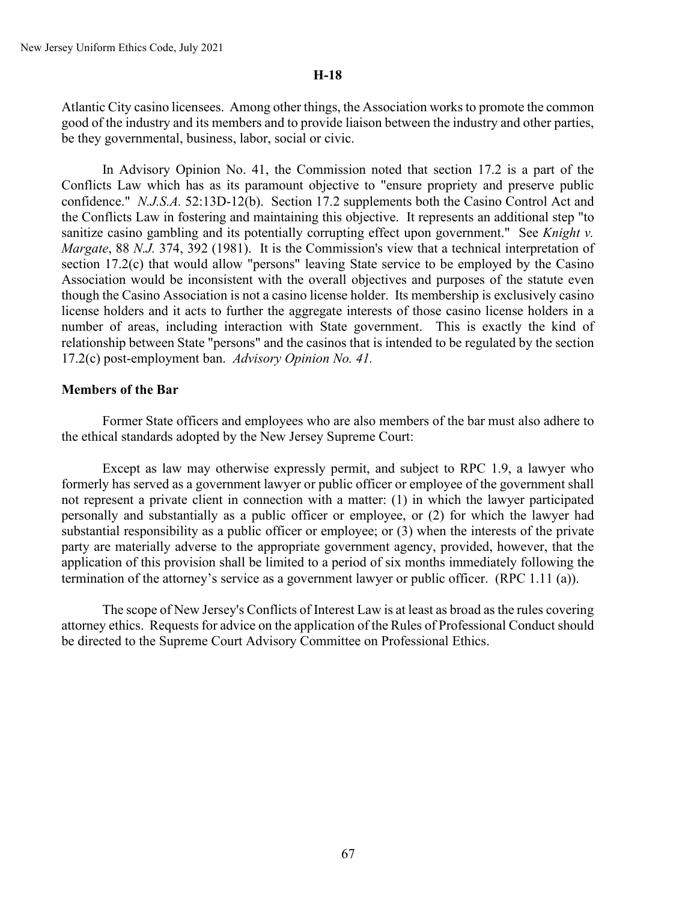Atlantic City casino licensees. Among other things, the Association works to promote the common good of the industry and its members and to provide liaison between the industry and other parties, be they governmental, business, labor, social or civic.

In Advisory Opinion No. 41, the Commission noted that section 17.2 is a part of the Conflicts Law which has as its paramount objective to "ensure propriety and preserve public confidence." *N.J.S.A.* 52:13D-12(b). Section 17.2 supplements both the Casino Control Act and the Conflicts Law in fostering and maintaining this objective. It represents an additional step "to sanitize casino gambling and its potentially corrupting effect upon government." See *Knight v. Margate*, 88 *N.J.* 374, 392 (1981). It is the Commission's view that a technical interpretation of section 17.2(c) that would allow "persons" leaving State service to be employed by the Casino Association would be inconsistent with the overall objectives and purposes of the statute even though the Casino Association is not a casino license holder. Its membership is exclusively casino license holders and it acts to further the aggregate interests of those casino license holders in a number of areas, including interaction with State government. This is exactly the kind of relationship between State "persons" and the casinos that is intended to be regulated by the section 17.2(c) post-employment ban. *Advisory Opinion No. 41.*

### **Members of the Bar**

Former State officers and employees who are also members of the bar must also adhere to the ethical standards adopted by the New Jersey Supreme Court:

Except as law may otherwise expressly permit, and subject to RPC 1.9, a lawyer who formerly has served as a government lawyer or public officer or employee of the government shall not represent a private client in connection with a matter: (1) in which the lawyer participated personally and substantially as a public officer or employee, or (2) for which the lawyer had substantial responsibility as a public officer or employee; or (3) when the interests of the private party are materially adverse to the appropriate government agency, provided, however, that the application of this provision shall be limited to a period of six months immediately following the termination of the attorney's service as a government lawyer or public officer. (RPC 1.11 (a)).

The scope of New Jersey's Conflicts of Interest Law is at least as broad as the rules covering attorney ethics. Requests for advice on the application of the Rules of Professional Conduct should be directed to the Supreme Court Advisory Committee on Professional Ethics.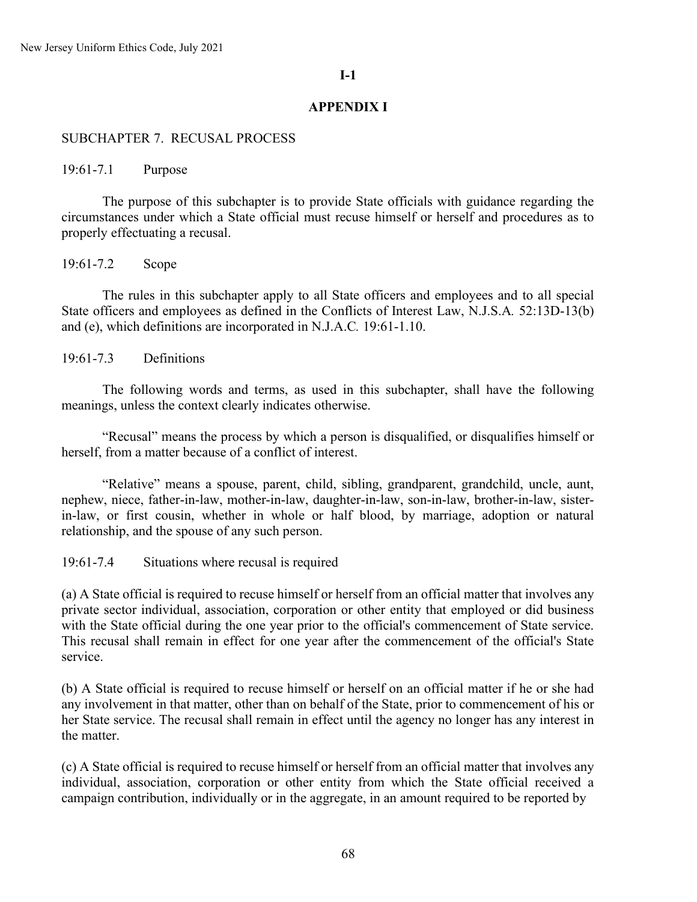### **I-1**

### **APPENDIX I**

### SUBCHAPTER 7. RECUSAL PROCESS

19:61-7.1 Purpose

The purpose of this subchapter is to provide State officials with guidance regarding the circumstances under which a State official must recuse himself or herself and procedures as to properly effectuating a recusal.

19:61-7.2 Scope

The rules in this subchapter apply to all State officers and employees and to all special State officers and employees as defined in the Conflicts of Interest Law, N.J.S.A*.* 52:13D-13(b) and (e), which definitions are incorporated in N.J.A.C*.* 19:61-1.10.

19:61-7.3 Definitions

The following words and terms, as used in this subchapter, shall have the following meanings, unless the context clearly indicates otherwise.

"Recusal" means the process by which a person is disqualified, or disqualifies himself or herself, from a matter because of a conflict of interest.

"Relative" means a spouse, parent, child, sibling, grandparent, grandchild, uncle, aunt, nephew, niece, father-in-law, mother-in-law, daughter-in-law, son-in-law, brother-in-law, sisterin-law, or first cousin, whether in whole or half blood, by marriage, adoption or natural relationship, and the spouse of any such person.

19:61-7.4 Situations where recusal is required

(a) A State official is required to recuse himself or herself from an official matter that involves any private sector individual, association, corporation or other entity that employed or did business with the State official during the one year prior to the official's commencement of State service. This recusal shall remain in effect for one year after the commencement of the official's State service.

(b) A State official is required to recuse himself or herself on an official matter if he or she had any involvement in that matter, other than on behalf of the State, prior to commencement of his or her State service. The recusal shall remain in effect until the agency no longer has any interest in the matter.

(c) A State official is required to recuse himself or herself from an official matter that involves any individual, association, corporation or other entity from which the State official received a campaign contribution, individually or in the aggregate, in an amount required to be reported by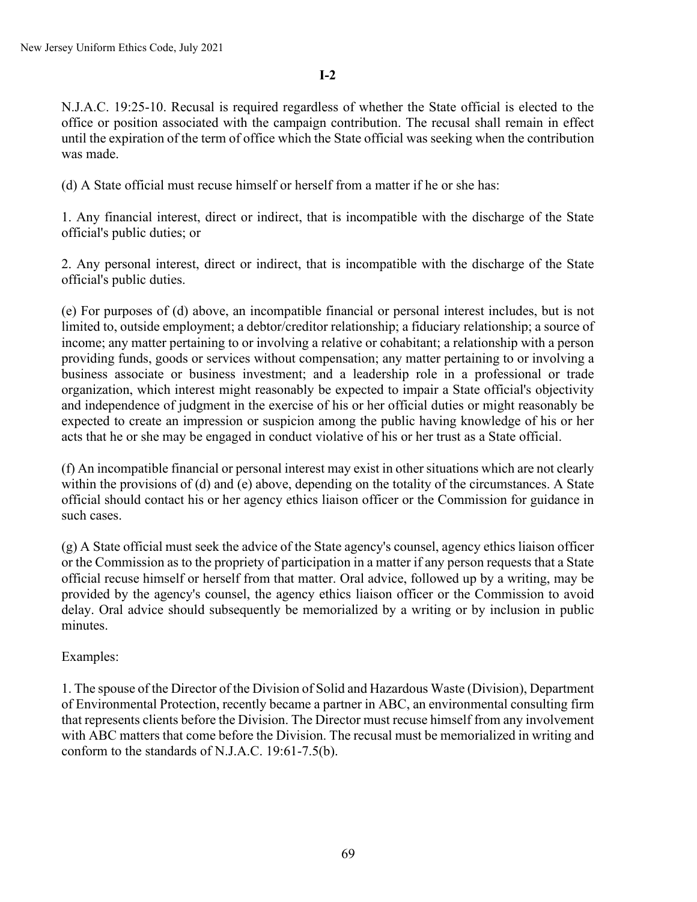**I-2**

N.J.A.C. 19:25-10. Recusal is required regardless of whether the State official is elected to the office or position associated with the campaign contribution. The recusal shall remain in effect until the expiration of the term of office which the State official was seeking when the contribution was made.

(d) A State official must recuse himself or herself from a matter if he or she has:

1. Any financial interest, direct or indirect, that is incompatible with the discharge of the State official's public duties; or

2. Any personal interest, direct or indirect, that is incompatible with the discharge of the State official's public duties.

(e) For purposes of (d) above, an incompatible financial or personal interest includes, but is not limited to, outside employment; a debtor/creditor relationship; a fiduciary relationship; a source of income; any matter pertaining to or involving a relative or cohabitant; a relationship with a person providing funds, goods or services without compensation; any matter pertaining to or involving a business associate or business investment; and a leadership role in a professional or trade organization, which interest might reasonably be expected to impair a State official's objectivity and independence of judgment in the exercise of his or her official duties or might reasonably be expected to create an impression or suspicion among the public having knowledge of his or her acts that he or she may be engaged in conduct violative of his or her trust as a State official.

(f) An incompatible financial or personal interest may exist in other situations which are not clearly within the provisions of (d) and (e) above, depending on the totality of the circumstances. A State official should contact his or her agency ethics liaison officer or the Commission for guidance in such cases.

(g) A State official must seek the advice of the State agency's counsel, agency ethics liaison officer or the Commission as to the propriety of participation in a matter if any person requests that a State official recuse himself or herself from that matter. Oral advice, followed up by a writing, may be provided by the agency's counsel, the agency ethics liaison officer or the Commission to avoid delay. Oral advice should subsequently be memorialized by a writing or by inclusion in public minutes.

# Examples:

1. The spouse of the Director of the Division of Solid and Hazardous Waste (Division), Department of Environmental Protection, recently became a partner in ABC, an environmental consulting firm that represents clients before the Division. The Director must recuse himself from any involvement with ABC matters that come before the Division. The recusal must be memorialized in writing and conform to the standards of N.J.A.C. 19:61-7.5(b).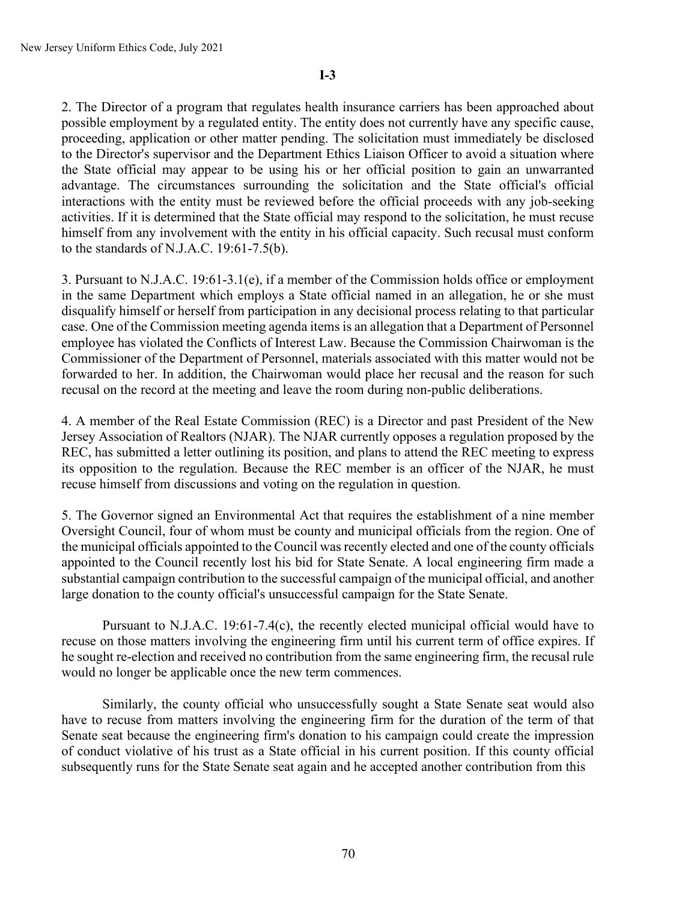2. The Director of a program that regulates health insurance carriers has been approached about possible employment by a regulated entity. The entity does not currently have any specific cause, proceeding, application or other matter pending. The solicitation must immediately be disclosed to the Director's supervisor and the Department Ethics Liaison Officer to avoid a situation where the State official may appear to be using his or her official position to gain an unwarranted advantage. The circumstances surrounding the solicitation and the State official's official interactions with the entity must be reviewed before the official proceeds with any job-seeking activities. If it is determined that the State official may respond to the solicitation, he must recuse himself from any involvement with the entity in his official capacity. Such recusal must conform to the standards of N.J.A.C. 19:61-7.5(b).

3. Pursuant to N.J.A.C. 19:61-3.1(e), if a member of the Commission holds office or employment in the same Department which employs a State official named in an allegation, he or she must disqualify himself or herself from participation in any decisional process relating to that particular case. One of the Commission meeting agenda items is an allegation that a Department of Personnel employee has violated the Conflicts of Interest Law. Because the Commission Chairwoman is the Commissioner of the Department of Personnel, materials associated with this matter would not be forwarded to her. In addition, the Chairwoman would place her recusal and the reason for such recusal on the record at the meeting and leave the room during non-public deliberations.

4. A member of the Real Estate Commission (REC) is a Director and past President of the New Jersey Association of Realtors (NJAR). The NJAR currently opposes a regulation proposed by the REC, has submitted a letter outlining its position, and plans to attend the REC meeting to express its opposition to the regulation. Because the REC member is an officer of the NJAR, he must recuse himself from discussions and voting on the regulation in question.

5. The Governor signed an Environmental Act that requires the establishment of a nine member Oversight Council, four of whom must be county and municipal officials from the region. One of the municipal officials appointed to the Council was recently elected and one of the county officials appointed to the Council recently lost his bid for State Senate. A local engineering firm made a substantial campaign contribution to the successful campaign of the municipal official, and another large donation to the county official's unsuccessful campaign for the State Senate.

Pursuant to N.J.A.C. 19:61-7.4(c), the recently elected municipal official would have to recuse on those matters involving the engineering firm until his current term of office expires. If he sought re-election and received no contribution from the same engineering firm, the recusal rule would no longer be applicable once the new term commences.

Similarly, the county official who unsuccessfully sought a State Senate seat would also have to recuse from matters involving the engineering firm for the duration of the term of that Senate seat because the engineering firm's donation to his campaign could create the impression of conduct violative of his trust as a State official in his current position. If this county official subsequently runs for the State Senate seat again and he accepted another contribution from this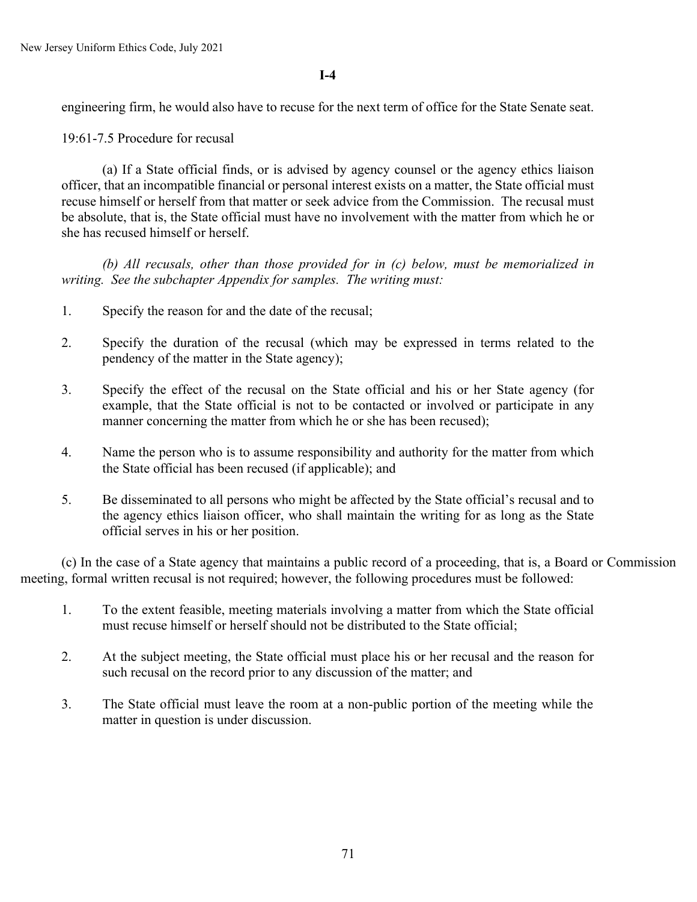**I-4**

engineering firm, he would also have to recuse for the next term of office for the State Senate seat.

19:61-7.5 Procedure for recusal

(a) If a State official finds, or is advised by agency counsel or the agency ethics liaison officer, that an incompatible financial or personal interest exists on a matter, the State official must recuse himself or herself from that matter or seek advice from the Commission. The recusal must be absolute, that is, the State official must have no involvement with the matter from which he or she has recused himself or herself.

*(b) All recusals, other than those provided for in (c) below, must be memorialized in writing. See the subchapter Appendix for samples. The writing must:* 

- 1. Specify the reason for and the date of the recusal;
- 2. Specify the duration of the recusal (which may be expressed in terms related to the pendency of the matter in the State agency);
- 3. Specify the effect of the recusal on the State official and his or her State agency (for example, that the State official is not to be contacted or involved or participate in any manner concerning the matter from which he or she has been recused);
- 4. Name the person who is to assume responsibility and authority for the matter from which the State official has been recused (if applicable); and
- 5. Be disseminated to all persons who might be affected by the State official's recusal and to the agency ethics liaison officer, who shall maintain the writing for as long as the State official serves in his or her position.

(c) In the case of a State agency that maintains a public record of a proceeding, that is, a Board or Commission meeting, formal written recusal is not required; however, the following procedures must be followed:

- 1. To the extent feasible, meeting materials involving a matter from which the State official must recuse himself or herself should not be distributed to the State official;
- 2. At the subject meeting, the State official must place his or her recusal and the reason for such recusal on the record prior to any discussion of the matter; and
- 3. The State official must leave the room at a non-public portion of the meeting while the matter in question is under discussion.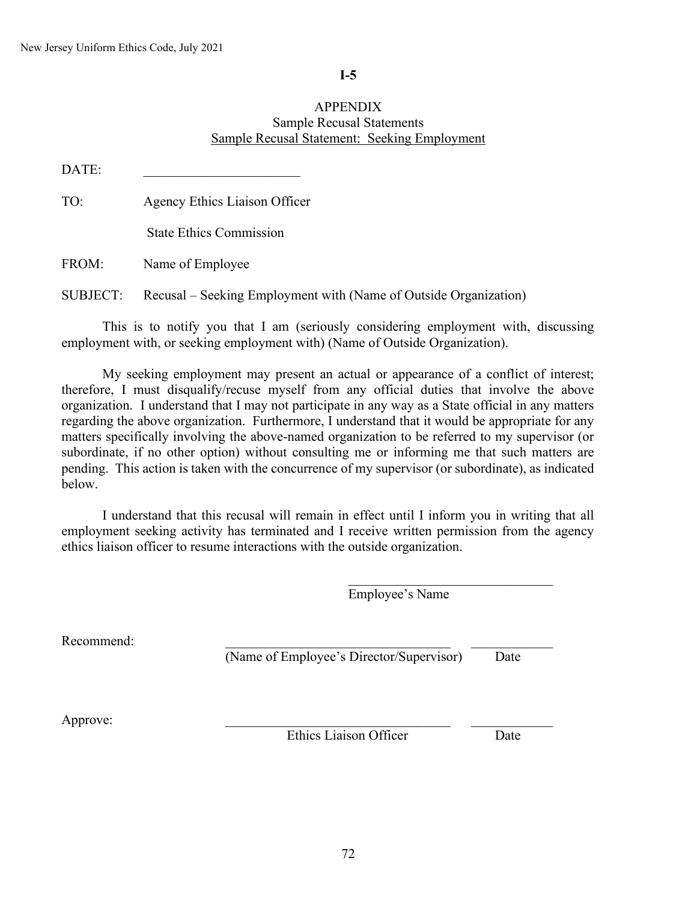## **I-5**

## APPENDIX Sample Recusal Statements Sample Recusal Statement: Seeking Employment

| DATE:           |                                                                  |
|-----------------|------------------------------------------------------------------|
| TO:             | Agency Ethics Liaison Officer                                    |
|                 | <b>State Ethics Commission</b>                                   |
| FROM:           | Name of Employee                                                 |
| <b>SUBJECT:</b> | Recusal – Seeking Employment with (Name of Outside Organization) |

This is to notify you that I am (seriously considering employment with, discussing employment with, or seeking employment with) (Name of Outside Organization).

My seeking employment may present an actual or appearance of a conflict of interest; therefore, I must disqualify/recuse myself from any official duties that involve the above organization. I understand that I may not participate in any way as a State official in any matters regarding the above organization. Furthermore, I understand that it would be appropriate for any matters specifically involving the above-named organization to be referred to my supervisor (or subordinate, if no other option) without consulting me or informing me that such matters are pending. This action is taken with the concurrence of my supervisor (or subordinate), as indicated below.

I understand that this recusal will remain in effect until I inform you in writing that all employment seeking activity has terminated and I receive written permission from the agency ethics liaison officer to resume interactions with the outside organization.

Employee's Name

\_\_\_\_\_\_\_\_\_\_\_\_\_\_\_\_\_\_\_\_\_\_\_\_\_\_\_\_\_\_

Recommend:

(Name of Employee's Director/Supervisor) Date

Approve:

Ethics Liaison Officer Date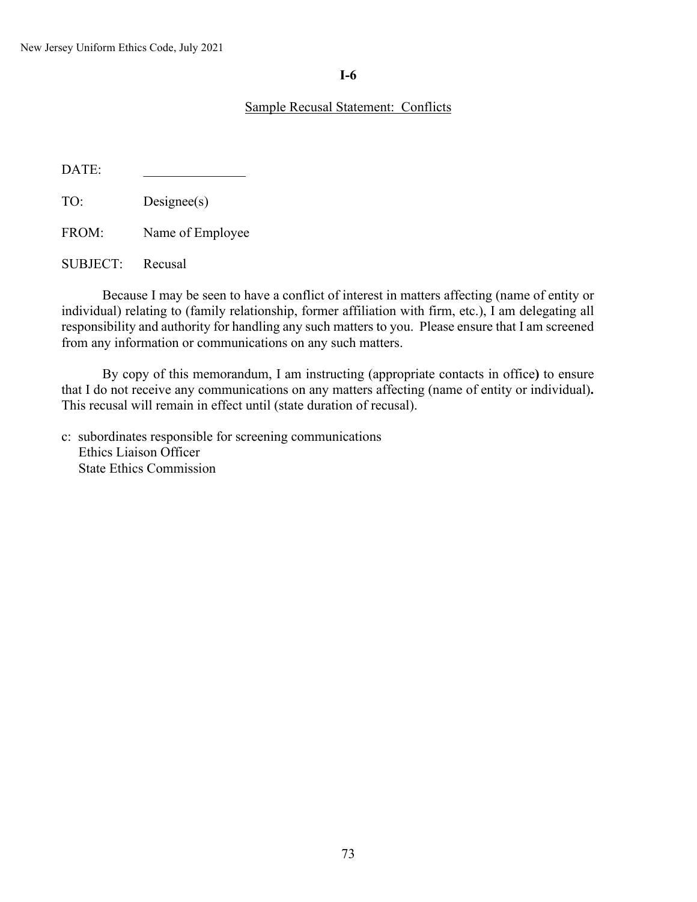# **I-6**

# Sample Recusal Statement: Conflicts

DATE:

TO: Designee(s)

FROM: Name of Employee

SUBJECT: Recusal

Because I may be seen to have a conflict of interest in matters affecting (name of entity or individual) relating to (family relationship, former affiliation with firm, etc.), I am delegating all responsibility and authority for handling any such matters to you. Please ensure that I am screened from any information or communications on any such matters.

By copy of this memorandum, I am instructing (appropriate contacts in office**)** to ensure that I do not receive any communications on any matters affecting (name of entity or individual)**.** This recusal will remain in effect until (state duration of recusal).

c: subordinates responsible for screening communications Ethics Liaison Officer State Ethics Commission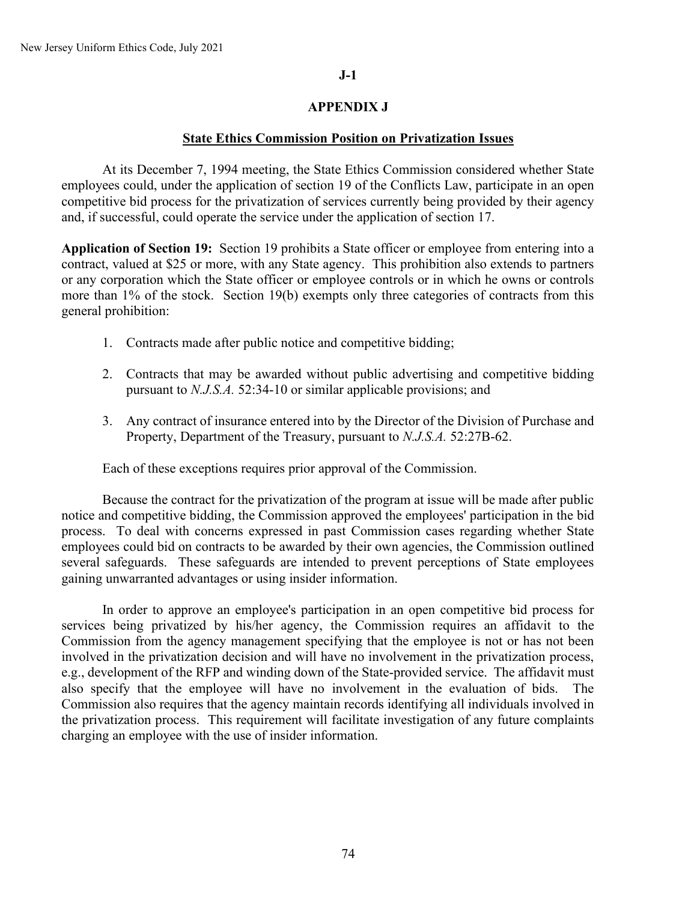# **J-1**

# **APPENDIX J**

### **State Ethics Commission Position on Privatization Issues**

At its December 7, 1994 meeting, the State Ethics Commission considered whether State employees could, under the application of section 19 of the Conflicts Law, participate in an open competitive bid process for the privatization of services currently being provided by their agency and, if successful, could operate the service under the application of section 17.

**Application of Section 19:** Section 19 prohibits a State officer or employee from entering into a contract, valued at \$25 or more, with any State agency. This prohibition also extends to partners or any corporation which the State officer or employee controls or in which he owns or controls more than 1% of the stock. Section 19(b) exempts only three categories of contracts from this general prohibition:

- 1. Contracts made after public notice and competitive bidding;
- 2. Contracts that may be awarded without public advertising and competitive bidding pursuant to *N.J.S.A.* 52:34-10 or similar applicable provisions; and
- 3. Any contract of insurance entered into by the Director of the Division of Purchase and Property, Department of the Treasury, pursuant to *N.J.S.A.* 52:27B-62.

Each of these exceptions requires prior approval of the Commission.

Because the contract for the privatization of the program at issue will be made after public notice and competitive bidding, the Commission approved the employees' participation in the bid process. To deal with concerns expressed in past Commission cases regarding whether State employees could bid on contracts to be awarded by their own agencies, the Commission outlined several safeguards. These safeguards are intended to prevent perceptions of State employees gaining unwarranted advantages or using insider information.

In order to approve an employee's participation in an open competitive bid process for services being privatized by his/her agency, the Commission requires an affidavit to the Commission from the agency management specifying that the employee is not or has not been involved in the privatization decision and will have no involvement in the privatization process, e.g., development of the RFP and winding down of the State-provided service. The affidavit must also specify that the employee will have no involvement in the evaluation of bids. The Commission also requires that the agency maintain records identifying all individuals involved in the privatization process. This requirement will facilitate investigation of any future complaints charging an employee with the use of insider information.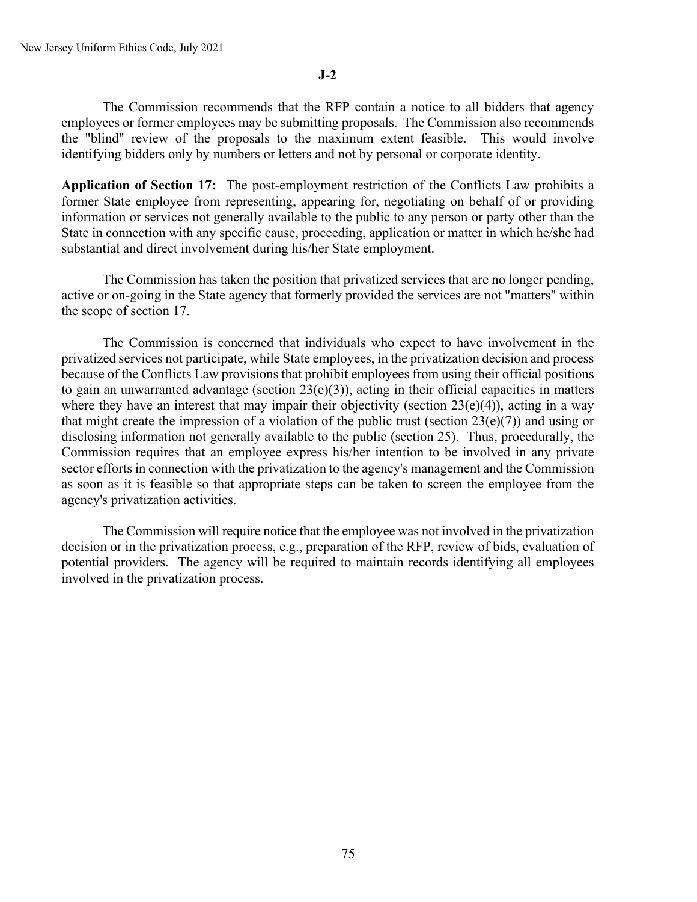The Commission recommends that the RFP contain a notice to all bidders that agency employees or former employees may be submitting proposals. The Commission also recommends the "blind" review of the proposals to the maximum extent feasible. This would involve identifying bidders only by numbers or letters and not by personal or corporate identity.

**Application of Section 17:** The post-employment restriction of the Conflicts Law prohibits a former State employee from representing, appearing for, negotiating on behalf of or providing information or services not generally available to the public to any person or party other than the State in connection with any specific cause, proceeding, application or matter in which he/she had substantial and direct involvement during his/her State employment.

The Commission has taken the position that privatized services that are no longer pending, active or on-going in the State agency that formerly provided the services are not "matters" within the scope of section 17.

The Commission is concerned that individuals who expect to have involvement in the privatized services not participate, while State employees, in the privatization decision and process because of the Conflicts Law provisions that prohibit employees from using their official positions to gain an unwarranted advantage (section 23(e)(3)), acting in their official capacities in matters where they have an interest that may impair their objectivity (section  $23(e)(4)$ ), acting in a way that might create the impression of a violation of the public trust (section  $23(e)(7)$ ) and using or disclosing information not generally available to the public (section 25). Thus, procedurally, the Commission requires that an employee express his/her intention to be involved in any private sector efforts in connection with the privatization to the agency's management and the Commission as soon as it is feasible so that appropriate steps can be taken to screen the employee from the agency's privatization activities.

The Commission will require notice that the employee was not involved in the privatization decision or in the privatization process, e.g., preparation of the RFP, review of bids, evaluation of potential providers. The agency will be required to maintain records identifying all employees involved in the privatization process.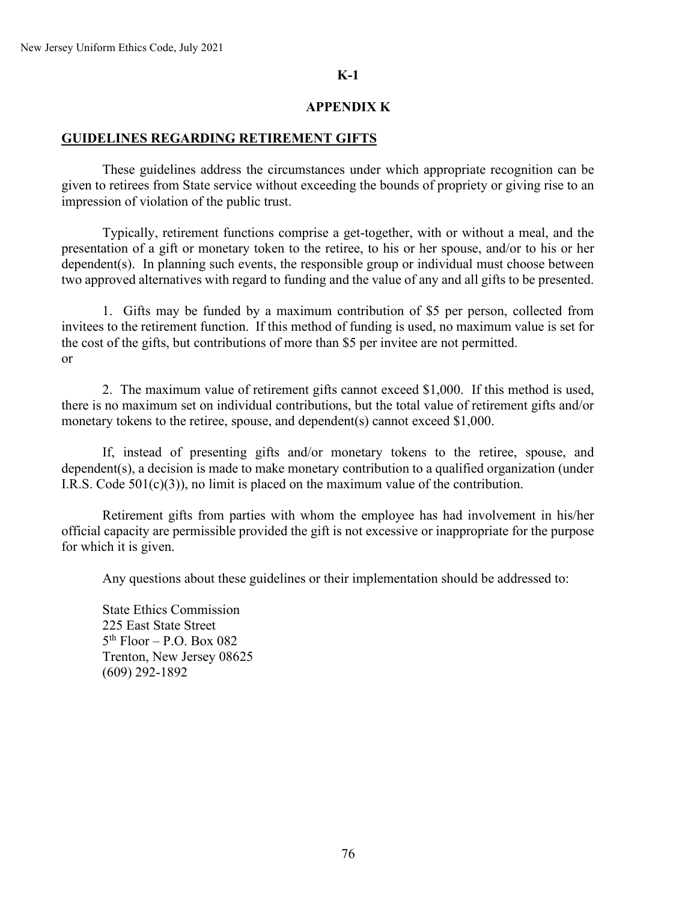### **K-1**

# **APPENDIX K**

# **GUIDELINES REGARDING RETIREMENT GIFTS**

These guidelines address the circumstances under which appropriate recognition can be given to retirees from State service without exceeding the bounds of propriety or giving rise to an impression of violation of the public trust.

Typically, retirement functions comprise a get-together, with or without a meal, and the presentation of a gift or monetary token to the retiree, to his or her spouse, and/or to his or her dependent(s). In planning such events, the responsible group or individual must choose between two approved alternatives with regard to funding and the value of any and all gifts to be presented.

1. Gifts may be funded by a maximum contribution of \$5 per person, collected from invitees to the retirement function. If this method of funding is used, no maximum value is set for the cost of the gifts, but contributions of more than \$5 per invitee are not permitted. or

2. The maximum value of retirement gifts cannot exceed \$1,000. If this method is used, there is no maximum set on individual contributions, but the total value of retirement gifts and/or monetary tokens to the retiree, spouse, and dependent(s) cannot exceed \$1,000.

If, instead of presenting gifts and/or monetary tokens to the retiree, spouse, and dependent(s), a decision is made to make monetary contribution to a qualified organization (under I.R.S. Code  $501(c)(3)$ , no limit is placed on the maximum value of the contribution.

Retirement gifts from parties with whom the employee has had involvement in his/her official capacity are permissible provided the gift is not excessive or inappropriate for the purpose for which it is given.

Any questions about these guidelines or their implementation should be addressed to:

State Ethics Commission 225 East State Street  $5<sup>th</sup>$  Floor – P.O. Box 082 Trenton, New Jersey 08625 (609) 292-1892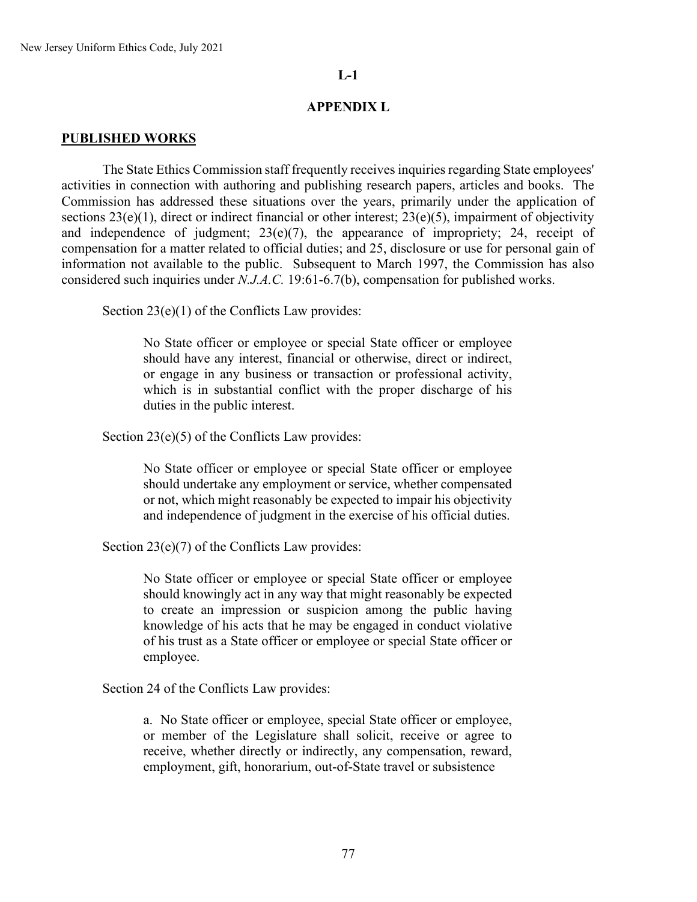# **APPENDIX L**

### **PUBLISHED WORKS**

The State Ethics Commission staff frequently receives inquiries regarding State employees' activities in connection with authoring and publishing research papers, articles and books. The Commission has addressed these situations over the years, primarily under the application of sections 23(e)(1), direct or indirect financial or other interest; 23(e)(5), impairment of objectivity and independence of judgment; 23(e)(7), the appearance of impropriety; 24, receipt of compensation for a matter related to official duties; and 25, disclosure or use for personal gain of information not available to the public. Subsequent to March 1997, the Commission has also considered such inquiries under *N.J.A.C.* 19:61-6.7(b), compensation for published works.

Section 23(e)(1) of the Conflicts Law provides:

No State officer or employee or special State officer or employee should have any interest, financial or otherwise, direct or indirect, or engage in any business or transaction or professional activity, which is in substantial conflict with the proper discharge of his duties in the public interest.

Section 23(e)(5) of the Conflicts Law provides:

No State officer or employee or special State officer or employee should undertake any employment or service, whether compensated or not, which might reasonably be expected to impair his objectivity and independence of judgment in the exercise of his official duties.

Section 23(e)(7) of the Conflicts Law provides:

No State officer or employee or special State officer or employee should knowingly act in any way that might reasonably be expected to create an impression or suspicion among the public having knowledge of his acts that he may be engaged in conduct violative of his trust as a State officer or employee or special State officer or employee.

Section 24 of the Conflicts Law provides:

a. No State officer or employee, special State officer or employee, or member of the Legislature shall solicit, receive or agree to receive, whether directly or indirectly, any compensation, reward, employment, gift, honorarium, out-of-State travel or subsistence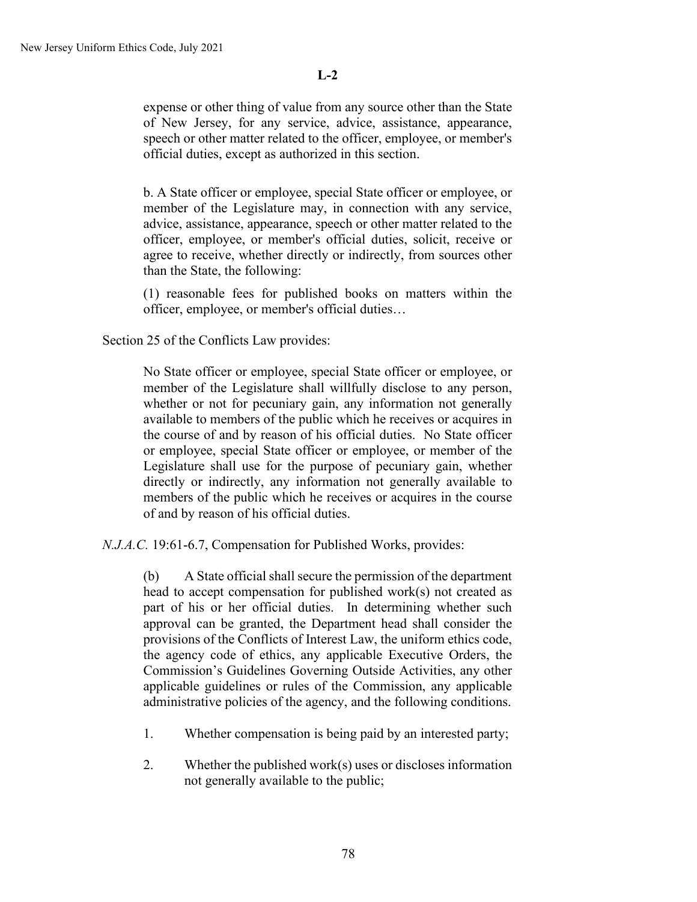expense or other thing of value from any source other than the State of New Jersey, for any service, advice, assistance, appearance, speech or other matter related to the officer, employee, or member's official duties, except as authorized in this section.

b. A State officer or employee, special State officer or employee, or member of the Legislature may, in connection with any service, advice, assistance, appearance, speech or other matter related to the officer, employee, or member's official duties, solicit, receive or agree to receive, whether directly or indirectly, from sources other than the State, the following:

(1) reasonable fees for published books on matters within the officer, employee, or member's official duties…

Section 25 of the Conflicts Law provides:

No State officer or employee, special State officer or employee, or member of the Legislature shall willfully disclose to any person, whether or not for pecuniary gain, any information not generally available to members of the public which he receives or acquires in the course of and by reason of his official duties. No State officer or employee, special State officer or employee, or member of the Legislature shall use for the purpose of pecuniary gain, whether directly or indirectly, any information not generally available to members of the public which he receives or acquires in the course of and by reason of his official duties.

*N.J.A.C.* 19:61-6.7, Compensation for Published Works, provides:

(b) A State official shall secure the permission of the department head to accept compensation for published work(s) not created as part of his or her official duties. In determining whether such approval can be granted, the Department head shall consider the provisions of the Conflicts of Interest Law, the uniform ethics code, the agency code of ethics, any applicable Executive Orders, the Commission's Guidelines Governing Outside Activities, any other applicable guidelines or rules of the Commission, any applicable administrative policies of the agency, and the following conditions.

- 1. Whether compensation is being paid by an interested party;
- 2. Whether the published work(s) uses or discloses information not generally available to the public;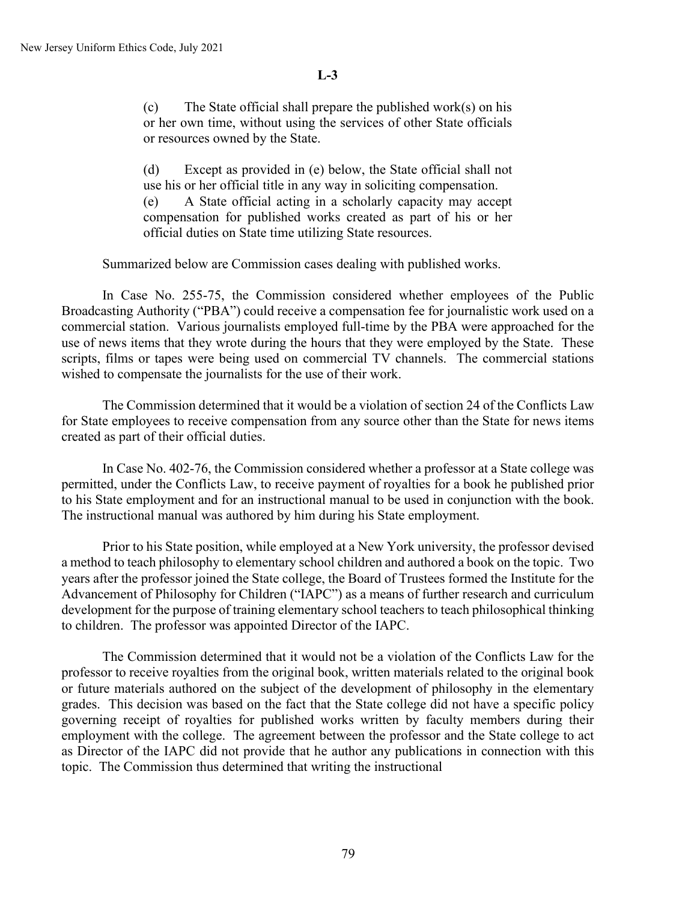(c) The State official shall prepare the published work(s) on his or her own time, without using the services of other State officials or resources owned by the State.

(d) Except as provided in (e) below, the State official shall not use his or her official title in any way in soliciting compensation. (e) A State official acting in a scholarly capacity may accept compensation for published works created as part of his or her official duties on State time utilizing State resources.

Summarized below are Commission cases dealing with published works.

In Case No. 255-75, the Commission considered whether employees of the Public Broadcasting Authority ("PBA") could receive a compensation fee for journalistic work used on a commercial station. Various journalists employed full-time by the PBA were approached for the use of news items that they wrote during the hours that they were employed by the State. These scripts, films or tapes were being used on commercial TV channels. The commercial stations wished to compensate the journalists for the use of their work.

The Commission determined that it would be a violation of section 24 of the Conflicts Law for State employees to receive compensation from any source other than the State for news items created as part of their official duties.

In Case No. 402-76, the Commission considered whether a professor at a State college was permitted, under the Conflicts Law, to receive payment of royalties for a book he published prior to his State employment and for an instructional manual to be used in conjunction with the book. The instructional manual was authored by him during his State employment.

Prior to his State position, while employed at a New York university, the professor devised a method to teach philosophy to elementary school children and authored a book on the topic. Two years after the professor joined the State college, the Board of Trustees formed the Institute for the Advancement of Philosophy for Children ("IAPC") as a means of further research and curriculum development for the purpose of training elementary school teachers to teach philosophical thinking to children. The professor was appointed Director of the IAPC.

The Commission determined that it would not be a violation of the Conflicts Law for the professor to receive royalties from the original book, written materials related to the original book or future materials authored on the subject of the development of philosophy in the elementary grades. This decision was based on the fact that the State college did not have a specific policy governing receipt of royalties for published works written by faculty members during their employment with the college. The agreement between the professor and the State college to act as Director of the IAPC did not provide that he author any publications in connection with this topic. The Commission thus determined that writing the instructional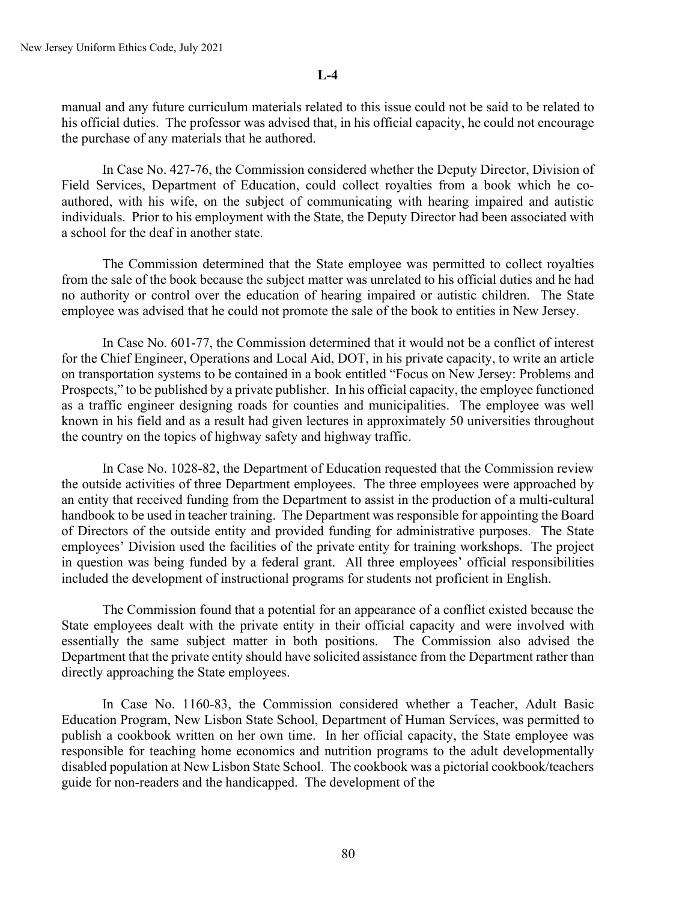manual and any future curriculum materials related to this issue could not be said to be related to his official duties. The professor was advised that, in his official capacity, he could not encourage the purchase of any materials that he authored.

In Case No. 427-76, the Commission considered whether the Deputy Director, Division of Field Services, Department of Education, could collect royalties from a book which he coauthored, with his wife, on the subject of communicating with hearing impaired and autistic individuals. Prior to his employment with the State, the Deputy Director had been associated with a school for the deaf in another state.

The Commission determined that the State employee was permitted to collect royalties from the sale of the book because the subject matter was unrelated to his official duties and he had no authority or control over the education of hearing impaired or autistic children. The State employee was advised that he could not promote the sale of the book to entities in New Jersey.

In Case No. 601-77, the Commission determined that it would not be a conflict of interest for the Chief Engineer, Operations and Local Aid, DOT, in his private capacity, to write an article on transportation systems to be contained in a book entitled "Focus on New Jersey: Problems and Prospects," to be published by a private publisher. In his official capacity, the employee functioned as a traffic engineer designing roads for counties and municipalities. The employee was well known in his field and as a result had given lectures in approximately 50 universities throughout the country on the topics of highway safety and highway traffic.

In Case No. 1028-82, the Department of Education requested that the Commission review the outside activities of three Department employees. The three employees were approached by an entity that received funding from the Department to assist in the production of a multi-cultural handbook to be used in teacher training. The Department was responsible for appointing the Board of Directors of the outside entity and provided funding for administrative purposes. The State employees' Division used the facilities of the private entity for training workshops. The project in question was being funded by a federal grant. All three employees' official responsibilities included the development of instructional programs for students not proficient in English.

The Commission found that a potential for an appearance of a conflict existed because the State employees dealt with the private entity in their official capacity and were involved with essentially the same subject matter in both positions. The Commission also advised the Department that the private entity should have solicited assistance from the Department rather than directly approaching the State employees.

In Case No. 1160-83, the Commission considered whether a Teacher, Adult Basic Education Program, New Lisbon State School, Department of Human Services, was permitted to publish a cookbook written on her own time. In her official capacity, the State employee was responsible for teaching home economics and nutrition programs to the adult developmentally disabled population at New Lisbon State School. The cookbook was a pictorial cookbook/teachers guide for non-readers and the handicapped. The development of the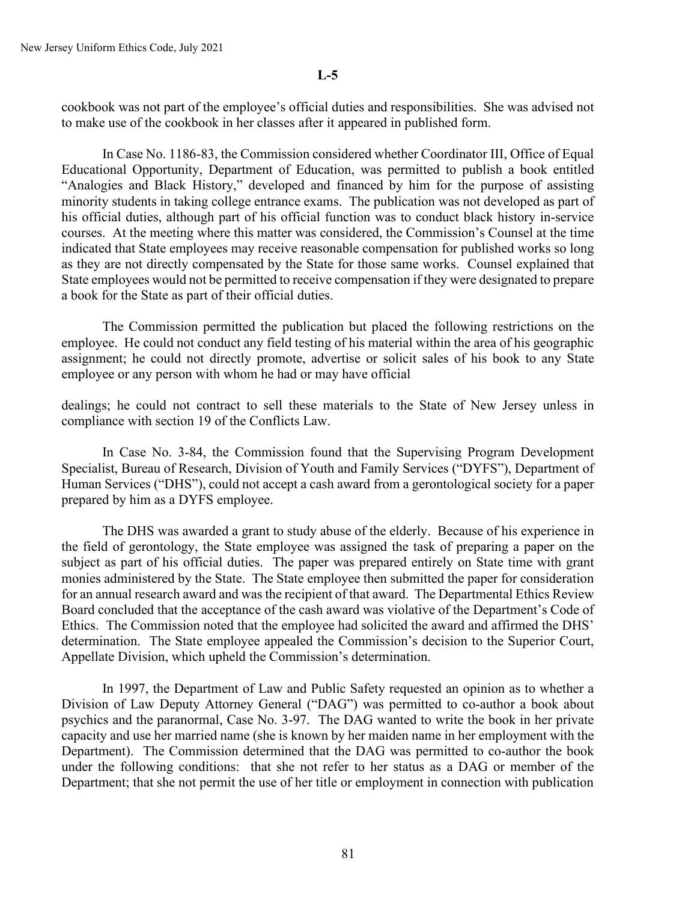cookbook was not part of the employee's official duties and responsibilities. She was advised not to make use of the cookbook in her classes after it appeared in published form.

In Case No. 1186-83, the Commission considered whether Coordinator III, Office of Equal Educational Opportunity, Department of Education, was permitted to publish a book entitled "Analogies and Black History," developed and financed by him for the purpose of assisting minority students in taking college entrance exams. The publication was not developed as part of his official duties, although part of his official function was to conduct black history in-service courses. At the meeting where this matter was considered, the Commission's Counsel at the time indicated that State employees may receive reasonable compensation for published works so long as they are not directly compensated by the State for those same works. Counsel explained that State employees would not be permitted to receive compensation if they were designated to prepare a book for the State as part of their official duties.

The Commission permitted the publication but placed the following restrictions on the employee. He could not conduct any field testing of his material within the area of his geographic assignment; he could not directly promote, advertise or solicit sales of his book to any State employee or any person with whom he had or may have official

dealings; he could not contract to sell these materials to the State of New Jersey unless in compliance with section 19 of the Conflicts Law.

In Case No. 3-84, the Commission found that the Supervising Program Development Specialist, Bureau of Research, Division of Youth and Family Services ("DYFS"), Department of Human Services ("DHS"), could not accept a cash award from a gerontological society for a paper prepared by him as a DYFS employee.

The DHS was awarded a grant to study abuse of the elderly. Because of his experience in the field of gerontology, the State employee was assigned the task of preparing a paper on the subject as part of his official duties. The paper was prepared entirely on State time with grant monies administered by the State. The State employee then submitted the paper for consideration for an annual research award and was the recipient of that award. The Departmental Ethics Review Board concluded that the acceptance of the cash award was violative of the Department's Code of Ethics. The Commission noted that the employee had solicited the award and affirmed the DHS' determination. The State employee appealed the Commission's decision to the Superior Court, Appellate Division, which upheld the Commission's determination.

In 1997, the Department of Law and Public Safety requested an opinion as to whether a Division of Law Deputy Attorney General ("DAG") was permitted to co-author a book about psychics and the paranormal, Case No. 3-97. The DAG wanted to write the book in her private capacity and use her married name (she is known by her maiden name in her employment with the Department). The Commission determined that the DAG was permitted to co-author the book under the following conditions: that she not refer to her status as a DAG or member of the Department; that she not permit the use of her title or employment in connection with publication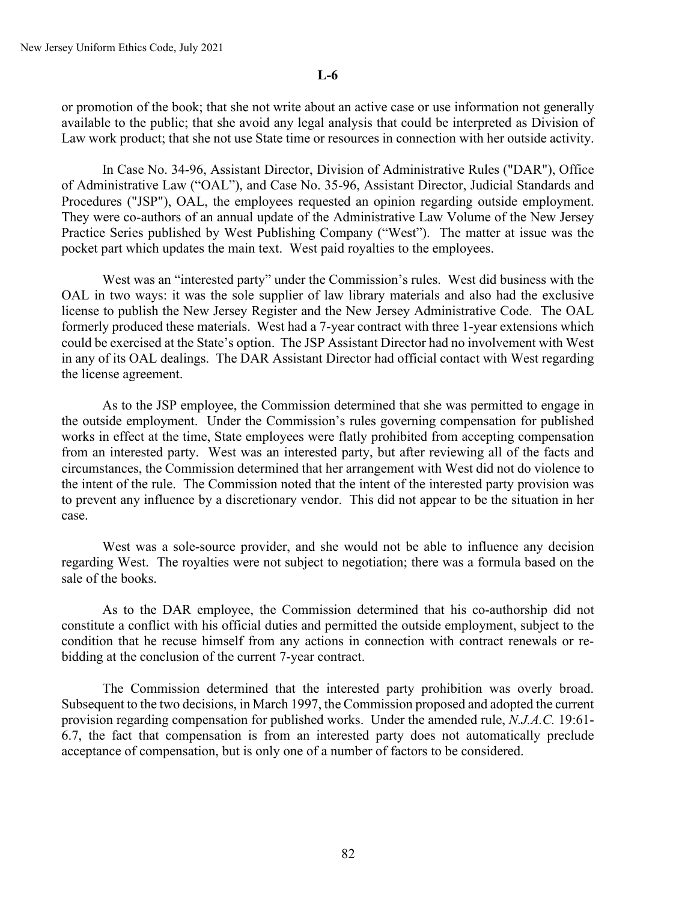or promotion of the book; that she not write about an active case or use information not generally available to the public; that she avoid any legal analysis that could be interpreted as Division of Law work product; that she not use State time or resources in connection with her outside activity.

In Case No. 34-96, Assistant Director, Division of Administrative Rules ("DAR"), Office of Administrative Law ("OAL"), and Case No. 35-96, Assistant Director, Judicial Standards and Procedures ("JSP"), OAL, the employees requested an opinion regarding outside employment. They were co-authors of an annual update of the Administrative Law Volume of the New Jersey Practice Series published by West Publishing Company ("West"). The matter at issue was the pocket part which updates the main text. West paid royalties to the employees.

West was an "interested party" under the Commission's rules. West did business with the OAL in two ways: it was the sole supplier of law library materials and also had the exclusive license to publish the New Jersey Register and the New Jersey Administrative Code. The OAL formerly produced these materials. West had a 7-year contract with three 1-year extensions which could be exercised at the State's option. The JSP Assistant Director had no involvement with West in any of its OAL dealings. The DAR Assistant Director had official contact with West regarding the license agreement.

As to the JSP employee, the Commission determined that she was permitted to engage in the outside employment. Under the Commission's rules governing compensation for published works in effect at the time, State employees were flatly prohibited from accepting compensation from an interested party. West was an interested party, but after reviewing all of the facts and circumstances, the Commission determined that her arrangement with West did not do violence to the intent of the rule. The Commission noted that the intent of the interested party provision was to prevent any influence by a discretionary vendor. This did not appear to be the situation in her case.

West was a sole-source provider, and she would not be able to influence any decision regarding West. The royalties were not subject to negotiation; there was a formula based on the sale of the books.

As to the DAR employee, the Commission determined that his co-authorship did not constitute a conflict with his official duties and permitted the outside employment, subject to the condition that he recuse himself from any actions in connection with contract renewals or rebidding at the conclusion of the current 7-year contract.

The Commission determined that the interested party prohibition was overly broad. Subsequent to the two decisions, in March 1997, the Commission proposed and adopted the current provision regarding compensation for published works. Under the amended rule, *N.J.A.C.* 19:61- 6.7, the fact that compensation is from an interested party does not automatically preclude acceptance of compensation, but is only one of a number of factors to be considered.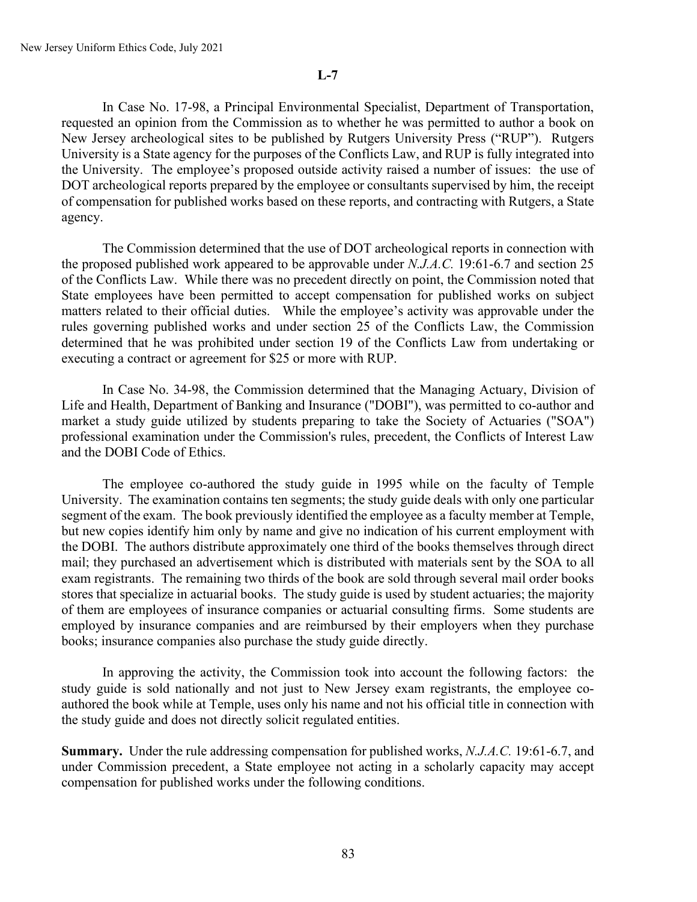In Case No. 17-98, a Principal Environmental Specialist, Department of Transportation, requested an opinion from the Commission as to whether he was permitted to author a book on New Jersey archeological sites to be published by Rutgers University Press ("RUP"). Rutgers University is a State agency for the purposes of the Conflicts Law, and RUP is fully integrated into the University. The employee's proposed outside activity raised a number of issues: the use of DOT archeological reports prepared by the employee or consultants supervised by him, the receipt of compensation for published works based on these reports, and contracting with Rutgers, a State agency.

The Commission determined that the use of DOT archeological reports in connection with the proposed published work appeared to be approvable under *N.J.A.C.* 19:61-6.7 and section 25 of the Conflicts Law. While there was no precedent directly on point, the Commission noted that State employees have been permitted to accept compensation for published works on subject matters related to their official duties. While the employee's activity was approvable under the rules governing published works and under section 25 of the Conflicts Law, the Commission determined that he was prohibited under section 19 of the Conflicts Law from undertaking or executing a contract or agreement for \$25 or more with RUP.

In Case No. 34-98, the Commission determined that the Managing Actuary, Division of Life and Health, Department of Banking and Insurance ("DOBI"), was permitted to co-author and market a study guide utilized by students preparing to take the Society of Actuaries ("SOA") professional examination under the Commission's rules, precedent, the Conflicts of Interest Law and the DOBI Code of Ethics.

The employee co-authored the study guide in 1995 while on the faculty of Temple University. The examination contains ten segments; the study guide deals with only one particular segment of the exam. The book previously identified the employee as a faculty member at Temple, but new copies identify him only by name and give no indication of his current employment with the DOBI. The authors distribute approximately one third of the books themselves through direct mail; they purchased an advertisement which is distributed with materials sent by the SOA to all exam registrants. The remaining two thirds of the book are sold through several mail order books stores that specialize in actuarial books. The study guide is used by student actuaries; the majority of them are employees of insurance companies or actuarial consulting firms. Some students are employed by insurance companies and are reimbursed by their employers when they purchase books; insurance companies also purchase the study guide directly.

In approving the activity, the Commission took into account the following factors: the study guide is sold nationally and not just to New Jersey exam registrants, the employee coauthored the book while at Temple, uses only his name and not his official title in connection with the study guide and does not directly solicit regulated entities.

**Summary.** Under the rule addressing compensation for published works, *N.J.A.C.* 19:61-6.7, and under Commission precedent, a State employee not acting in a scholarly capacity may accept compensation for published works under the following conditions.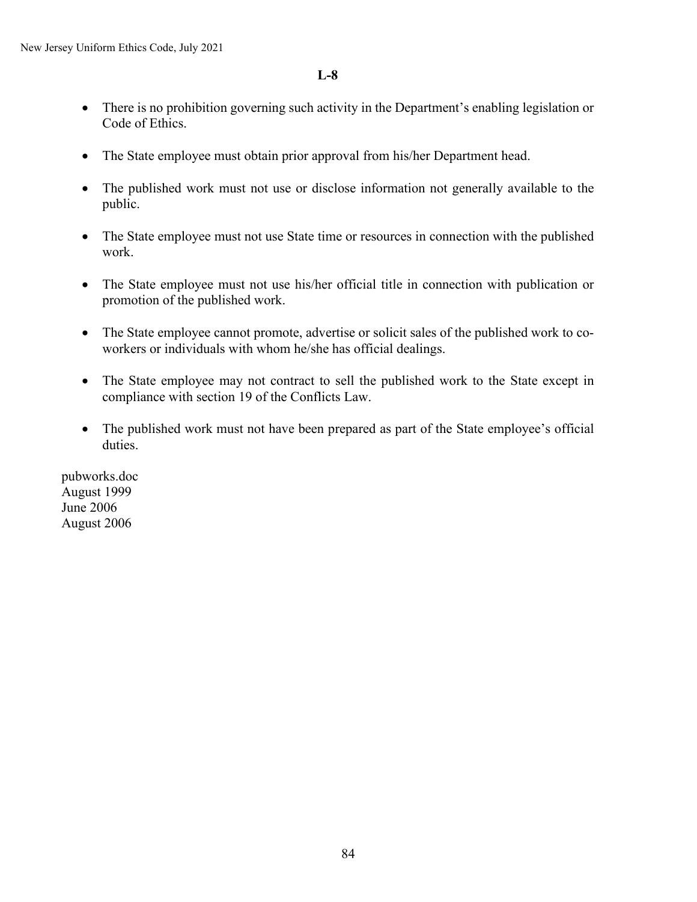- There is no prohibition governing such activity in the Department's enabling legislation or Code of Ethics.
- The State employee must obtain prior approval from his/her Department head.
- The published work must not use or disclose information not generally available to the public.
- The State employee must not use State time or resources in connection with the published work.
- The State employee must not use his/her official title in connection with publication or promotion of the published work.
- The State employee cannot promote, advertise or solicit sales of the published work to coworkers or individuals with whom he/she has official dealings.
- The State employee may not contract to sell the published work to the State except in compliance with section 19 of the Conflicts Law.
- The published work must not have been prepared as part of the State employee's official duties.

pubworks.doc August 1999 June 2006 August 2006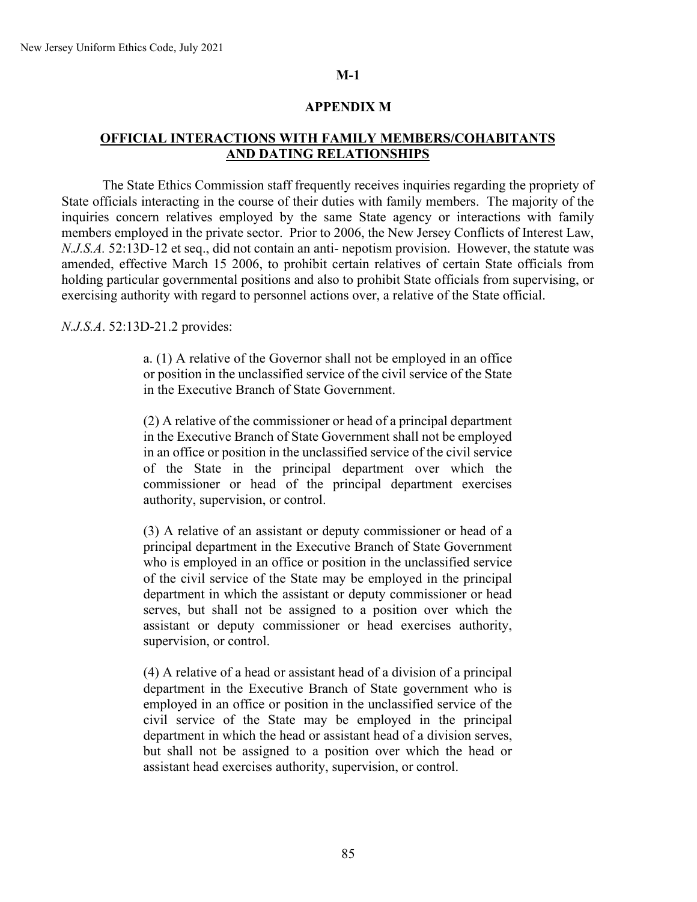# **APPENDIX M**

# **OFFICIAL INTERACTIONS WITH FAMILY MEMBERS/COHABITANTS AND DATING RELATIONSHIPS**

The State Ethics Commission staff frequently receives inquiries regarding the propriety of State officials interacting in the course of their duties with family members. The majority of the inquiries concern relatives employed by the same State agency or interactions with family members employed in the private sector. Prior to 2006, the New Jersey Conflicts of Interest Law, *N.J.S.A.* 52:13D-12 et seq., did not contain an anti- nepotism provision. However, the statute was amended, effective March 15 2006, to prohibit certain relatives of certain State officials from holding particular governmental positions and also to prohibit State officials from supervising, or exercising authority with regard to personnel actions over, a relative of the State official.

*N.J.S.A*. 52:13D-21.2 provides:

a. (1) A relative of the Governor shall not be employed in an office or position in the unclassified service of the civil service of the State in the Executive Branch of State Government.

(2) A relative of the commissioner or head of a principal department in the Executive Branch of State Government shall not be employed in an office or position in the unclassified service of the civil service of the State in the principal department over which the commissioner or head of the principal department exercises authority, supervision, or control.

(3) A relative of an assistant or deputy commissioner or head of a principal department in the Executive Branch of State Government who is employed in an office or position in the unclassified service of the civil service of the State may be employed in the principal department in which the assistant or deputy commissioner or head serves, but shall not be assigned to a position over which the assistant or deputy commissioner or head exercises authority, supervision, or control.

(4) A relative of a head or assistant head of a division of a principal department in the Executive Branch of State government who is employed in an office or position in the unclassified service of the civil service of the State may be employed in the principal department in which the head or assistant head of a division serves, but shall not be assigned to a position over which the head or assistant head exercises authority, supervision, or control.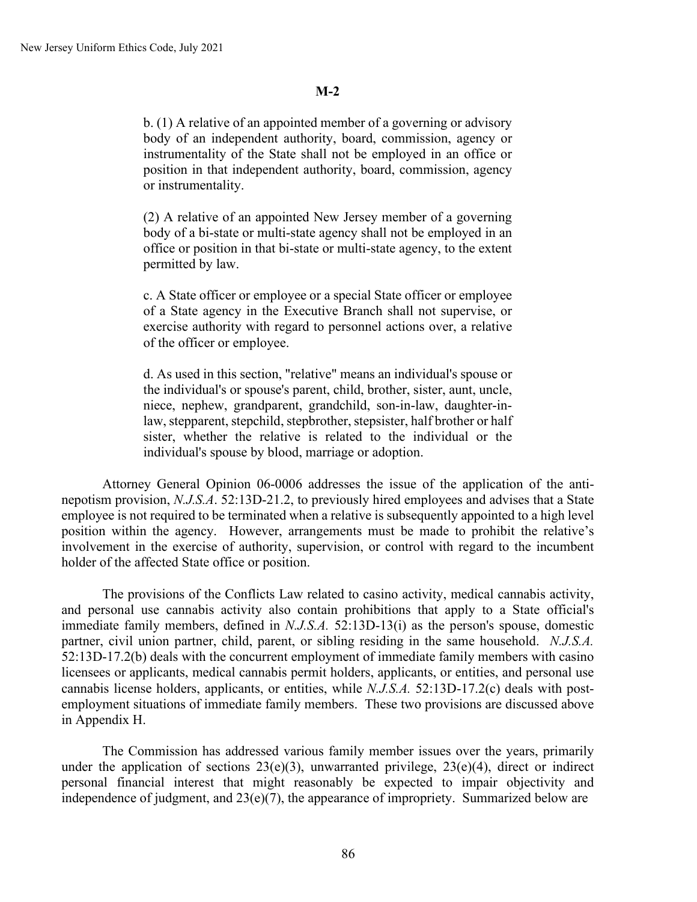b. (1) A relative of an appointed member of a governing or advisory body of an independent authority, board, commission, agency or instrumentality of the State shall not be employed in an office or position in that independent authority, board, commission, agency or instrumentality.

(2) A relative of an appointed New Jersey member of a governing body of a bi-state or multi-state agency shall not be employed in an office or position in that bi-state or multi-state agency, to the extent permitted by law.

c. A State officer or employee or a special State officer or employee of a State agency in the Executive Branch shall not supervise, or exercise authority with regard to personnel actions over, a relative of the officer or employee.

d. As used in this section, "relative" means an individual's spouse or the individual's or spouse's parent, child, brother, sister, aunt, uncle, niece, nephew, grandparent, grandchild, son-in-law, daughter-inlaw, stepparent, stepchild, stepbrother, stepsister, half brother or half sister, whether the relative is related to the individual or the individual's spouse by blood, marriage or adoption.

Attorney General Opinion 06-0006 addresses the issue of the application of the antinepotism provision, *N.J.S.A*. 52:13D-21.2, to previously hired employees and advises that a State employee is not required to be terminated when a relative is subsequently appointed to a high level position within the agency. However, arrangements must be made to prohibit the relative's involvement in the exercise of authority, supervision, or control with regard to the incumbent holder of the affected State office or position.

The provisions of the Conflicts Law related to casino activity, medical cannabis activity, and personal use cannabis activity also contain prohibitions that apply to a State official's immediate family members, defined in *N.J.S.A.* 52:13D-13(i) as the person's spouse, domestic partner, civil union partner, child, parent, or sibling residing in the same household. *N.J.S.A.* 52:13D-17.2(b) deals with the concurrent employment of immediate family members with casino licensees or applicants, medical cannabis permit holders, applicants, or entities, and personal use cannabis license holders, applicants, or entities, while *N.J.S.A.* 52:13D-17.2(c) deals with postemployment situations of immediate family members. These two provisions are discussed above in Appendix H.

The Commission has addressed various family member issues over the years, primarily under the application of sections  $23(e)(3)$ , unwarranted privilege,  $23(e)(4)$ , direct or indirect personal financial interest that might reasonably be expected to impair objectivity and independence of judgment, and 23(e)(7), the appearance of impropriety. Summarized below are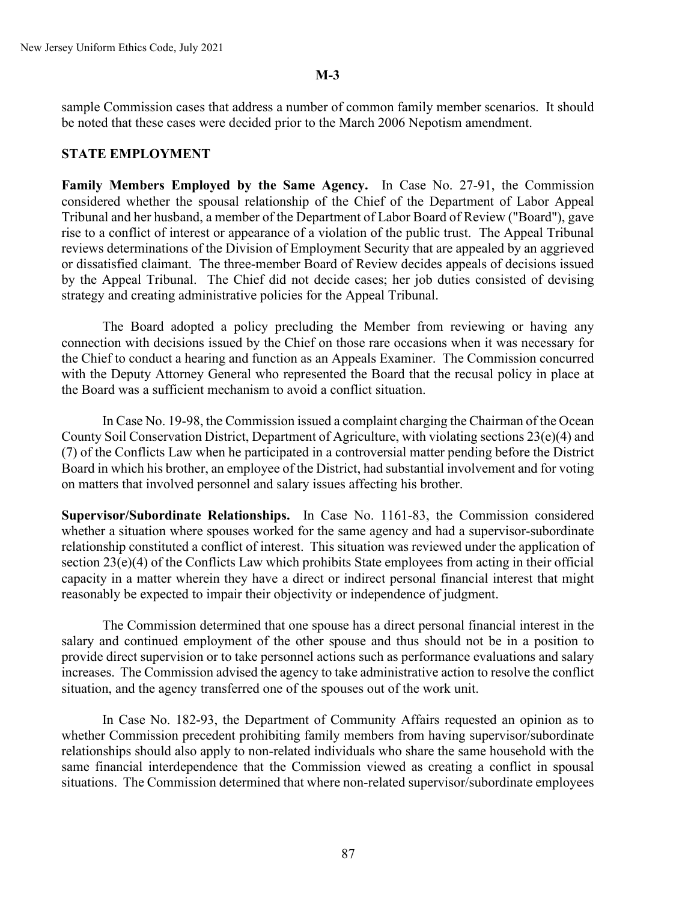sample Commission cases that address a number of common family member scenarios. It should be noted that these cases were decided prior to the March 2006 Nepotism amendment.

# **STATE EMPLOYMENT**

**Family Members Employed by the Same Agency.** In Case No. 27-91, the Commission considered whether the spousal relationship of the Chief of the Department of Labor Appeal Tribunal and her husband, a member of the Department of Labor Board of Review ("Board"), gave rise to a conflict of interest or appearance of a violation of the public trust. The Appeal Tribunal reviews determinations of the Division of Employment Security that are appealed by an aggrieved or dissatisfied claimant. The three-member Board of Review decides appeals of decisions issued by the Appeal Tribunal. The Chief did not decide cases; her job duties consisted of devising strategy and creating administrative policies for the Appeal Tribunal.

The Board adopted a policy precluding the Member from reviewing or having any connection with decisions issued by the Chief on those rare occasions when it was necessary for the Chief to conduct a hearing and function as an Appeals Examiner. The Commission concurred with the Deputy Attorney General who represented the Board that the recusal policy in place at the Board was a sufficient mechanism to avoid a conflict situation.

In Case No. 19-98, the Commission issued a complaint charging the Chairman of the Ocean County Soil Conservation District, Department of Agriculture, with violating sections 23(e)(4) and (7) of the Conflicts Law when he participated in a controversial matter pending before the District Board in which his brother, an employee of the District, had substantial involvement and for voting on matters that involved personnel and salary issues affecting his brother.

**Supervisor/Subordinate Relationships.** In Case No. 1161-83, the Commission considered whether a situation where spouses worked for the same agency and had a supervisor-subordinate relationship constituted a conflict of interest. This situation was reviewed under the application of section 23(e)(4) of the Conflicts Law which prohibits State employees from acting in their official capacity in a matter wherein they have a direct or indirect personal financial interest that might reasonably be expected to impair their objectivity or independence of judgment.

The Commission determined that one spouse has a direct personal financial interest in the salary and continued employment of the other spouse and thus should not be in a position to provide direct supervision or to take personnel actions such as performance evaluations and salary increases. The Commission advised the agency to take administrative action to resolve the conflict situation, and the agency transferred one of the spouses out of the work unit.

In Case No. 182-93, the Department of Community Affairs requested an opinion as to whether Commission precedent prohibiting family members from having supervisor/subordinate relationships should also apply to non-related individuals who share the same household with the same financial interdependence that the Commission viewed as creating a conflict in spousal situations. The Commission determined that where non-related supervisor/subordinate employees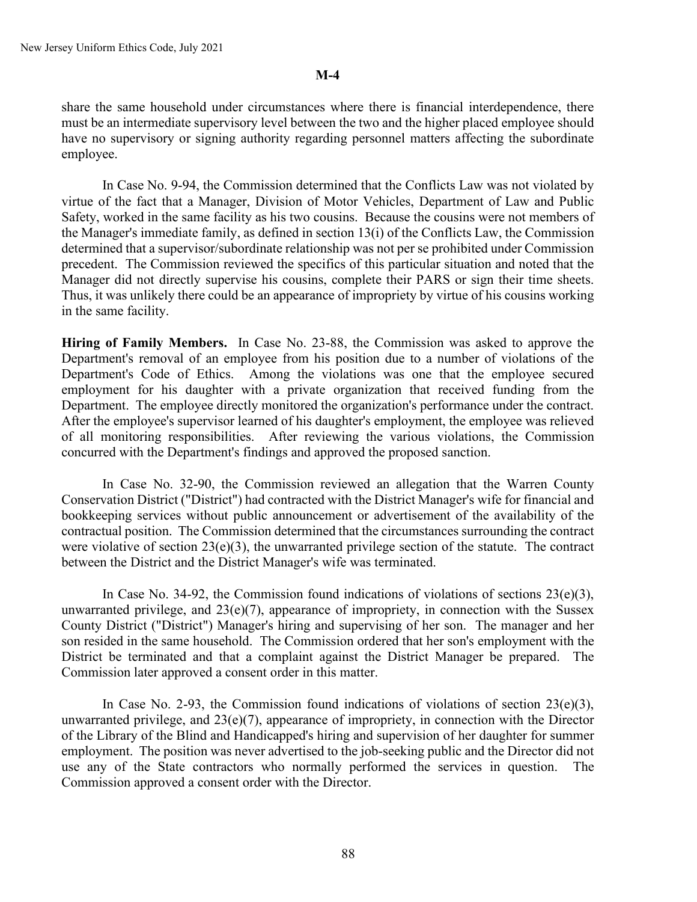share the same household under circumstances where there is financial interdependence, there must be an intermediate supervisory level between the two and the higher placed employee should have no supervisory or signing authority regarding personnel matters affecting the subordinate employee.

In Case No. 9-94, the Commission determined that the Conflicts Law was not violated by virtue of the fact that a Manager, Division of Motor Vehicles, Department of Law and Public Safety, worked in the same facility as his two cousins. Because the cousins were not members of the Manager's immediate family, as defined in section 13(i) of the Conflicts Law, the Commission determined that a supervisor/subordinate relationship was not per se prohibited under Commission precedent. The Commission reviewed the specifics of this particular situation and noted that the Manager did not directly supervise his cousins, complete their PARS or sign their time sheets. Thus, it was unlikely there could be an appearance of impropriety by virtue of his cousins working in the same facility.

**Hiring of Family Members.** In Case No. 23-88, the Commission was asked to approve the Department's removal of an employee from his position due to a number of violations of the Department's Code of Ethics. Among the violations was one that the employee secured employment for his daughter with a private organization that received funding from the Department. The employee directly monitored the organization's performance under the contract. After the employee's supervisor learned of his daughter's employment, the employee was relieved of all monitoring responsibilities. After reviewing the various violations, the Commission concurred with the Department's findings and approved the proposed sanction.

In Case No. 32-90, the Commission reviewed an allegation that the Warren County Conservation District ("District") had contracted with the District Manager's wife for financial and bookkeeping services without public announcement or advertisement of the availability of the contractual position. The Commission determined that the circumstances surrounding the contract were violative of section 23(e)(3), the unwarranted privilege section of the statute. The contract between the District and the District Manager's wife was terminated.

In Case No. 34-92, the Commission found indications of violations of sections  $23(e)(3)$ , unwarranted privilege, and  $23(e)(7)$ , appearance of impropriety, in connection with the Sussex County District ("District") Manager's hiring and supervising of her son. The manager and her son resided in the same household. The Commission ordered that her son's employment with the District be terminated and that a complaint against the District Manager be prepared. The Commission later approved a consent order in this matter.

In Case No. 2-93, the Commission found indications of violations of section  $23(e)(3)$ , unwarranted privilege, and 23(e)(7), appearance of impropriety, in connection with the Director of the Library of the Blind and Handicapped's hiring and supervision of her daughter for summer employment. The position was never advertised to the job-seeking public and the Director did not use any of the State contractors who normally performed the services in question. Commission approved a consent order with the Director.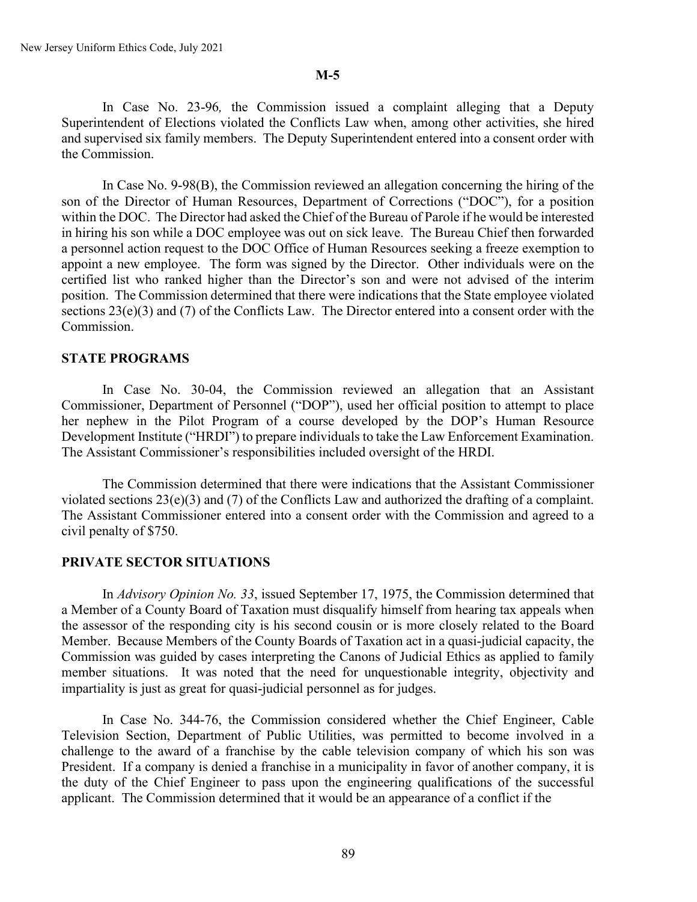In Case No. 23-96*,* the Commission issued a complaint alleging that a Deputy Superintendent of Elections violated the Conflicts Law when, among other activities, she hired and supervised six family members. The Deputy Superintendent entered into a consent order with the Commission.

In Case No. 9-98(B), the Commission reviewed an allegation concerning the hiring of the son of the Director of Human Resources, Department of Corrections ("DOC"), for a position within the DOC. The Director had asked the Chief of the Bureau of Parole if he would be interested in hiring his son while a DOC employee was out on sick leave. The Bureau Chief then forwarded a personnel action request to the DOC Office of Human Resources seeking a freeze exemption to appoint a new employee. The form was signed by the Director. Other individuals were on the certified list who ranked higher than the Director's son and were not advised of the interim position. The Commission determined that there were indications that the State employee violated sections 23(e)(3) and (7) of the Conflicts Law. The Director entered into a consent order with the Commission.

### **STATE PROGRAMS**

In Case No. 30-04, the Commission reviewed an allegation that an Assistant Commissioner, Department of Personnel ("DOP"), used her official position to attempt to place her nephew in the Pilot Program of a course developed by the DOP's Human Resource Development Institute ("HRDI") to prepare individuals to take the Law Enforcement Examination. The Assistant Commissioner's responsibilities included oversight of the HRDI.

The Commission determined that there were indications that the Assistant Commissioner violated sections 23(e)(3) and (7) of the Conflicts Law and authorized the drafting of a complaint. The Assistant Commissioner entered into a consent order with the Commission and agreed to a civil penalty of \$750.

### **PRIVATE SECTOR SITUATIONS**

In *Advisory Opinion No. 33*, issued September 17, 1975, the Commission determined that a Member of a County Board of Taxation must disqualify himself from hearing tax appeals when the assessor of the responding city is his second cousin or is more closely related to the Board Member. Because Members of the County Boards of Taxation act in a quasi-judicial capacity, the Commission was guided by cases interpreting the Canons of Judicial Ethics as applied to family member situations. It was noted that the need for unquestionable integrity, objectivity and impartiality is just as great for quasi-judicial personnel as for judges.

In Case No. 344-76, the Commission considered whether the Chief Engineer, Cable Television Section, Department of Public Utilities, was permitted to become involved in a challenge to the award of a franchise by the cable television company of which his son was President. If a company is denied a franchise in a municipality in favor of another company, it is the duty of the Chief Engineer to pass upon the engineering qualifications of the successful applicant. The Commission determined that it would be an appearance of a conflict if the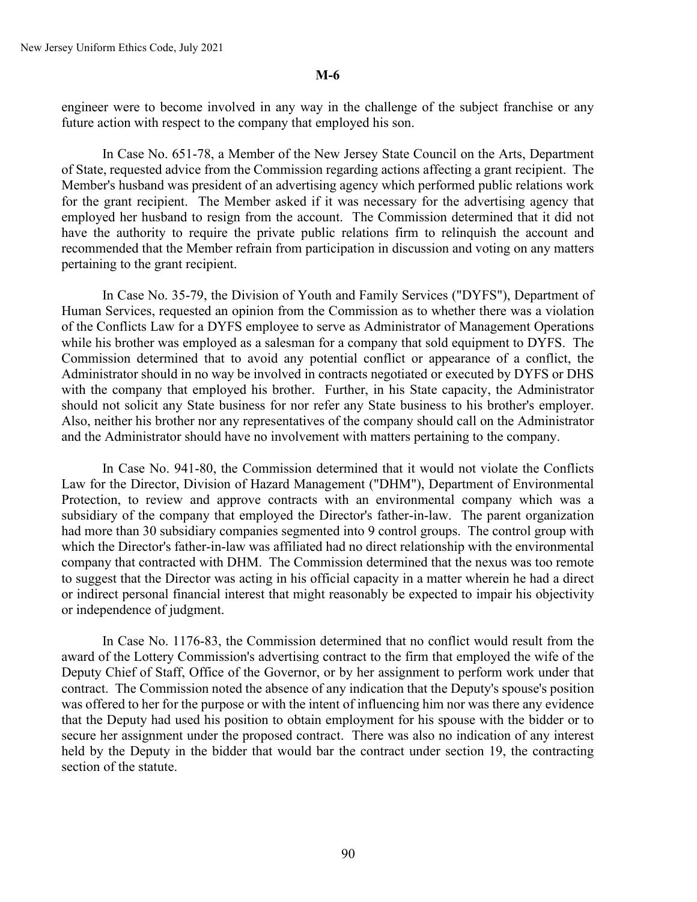engineer were to become involved in any way in the challenge of the subject franchise or any future action with respect to the company that employed his son.

In Case No. 651-78, a Member of the New Jersey State Council on the Arts, Department of State, requested advice from the Commission regarding actions affecting a grant recipient. The Member's husband was president of an advertising agency which performed public relations work for the grant recipient. The Member asked if it was necessary for the advertising agency that employed her husband to resign from the account. The Commission determined that it did not have the authority to require the private public relations firm to relinquish the account and recommended that the Member refrain from participation in discussion and voting on any matters pertaining to the grant recipient.

In Case No. 35-79, the Division of Youth and Family Services ("DYFS"), Department of Human Services, requested an opinion from the Commission as to whether there was a violation of the Conflicts Law for a DYFS employee to serve as Administrator of Management Operations while his brother was employed as a salesman for a company that sold equipment to DYFS. The Commission determined that to avoid any potential conflict or appearance of a conflict, the Administrator should in no way be involved in contracts negotiated or executed by DYFS or DHS with the company that employed his brother. Further, in his State capacity, the Administrator should not solicit any State business for nor refer any State business to his brother's employer. Also, neither his brother nor any representatives of the company should call on the Administrator and the Administrator should have no involvement with matters pertaining to the company.

In Case No. 941-80, the Commission determined that it would not violate the Conflicts Law for the Director, Division of Hazard Management ("DHM"), Department of Environmental Protection, to review and approve contracts with an environmental company which was a subsidiary of the company that employed the Director's father-in-law. The parent organization had more than 30 subsidiary companies segmented into 9 control groups. The control group with which the Director's father-in-law was affiliated had no direct relationship with the environmental company that contracted with DHM. The Commission determined that the nexus was too remote to suggest that the Director was acting in his official capacity in a matter wherein he had a direct or indirect personal financial interest that might reasonably be expected to impair his objectivity or independence of judgment.

In Case No. 1176-83, the Commission determined that no conflict would result from the award of the Lottery Commission's advertising contract to the firm that employed the wife of the Deputy Chief of Staff, Office of the Governor, or by her assignment to perform work under that contract. The Commission noted the absence of any indication that the Deputy's spouse's position was offered to her for the purpose or with the intent of influencing him nor was there any evidence that the Deputy had used his position to obtain employment for his spouse with the bidder or to secure her assignment under the proposed contract. There was also no indication of any interest held by the Deputy in the bidder that would bar the contract under section 19, the contracting section of the statute.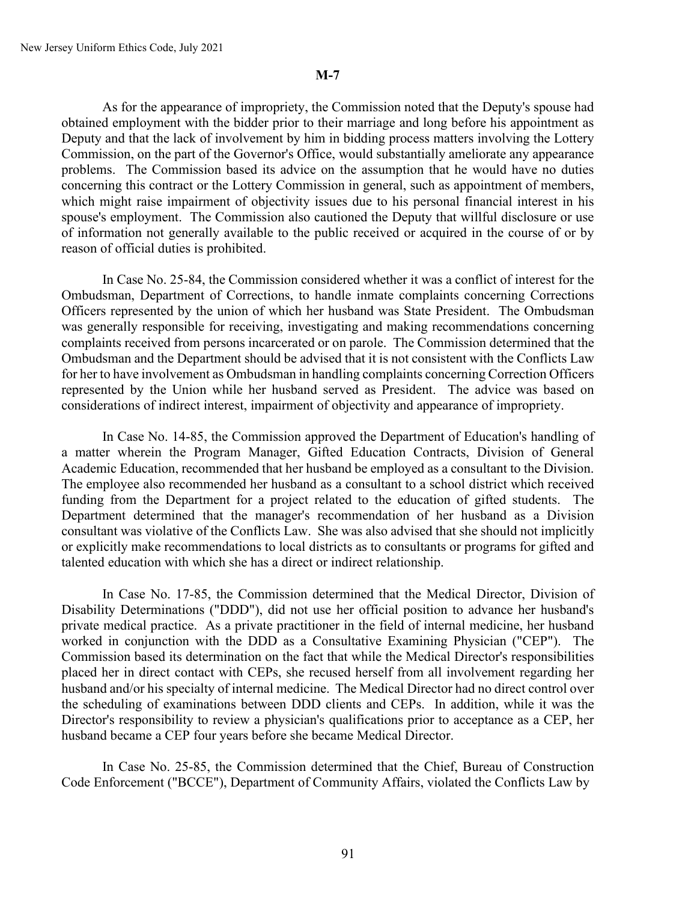As for the appearance of impropriety, the Commission noted that the Deputy's spouse had obtained employment with the bidder prior to their marriage and long before his appointment as Deputy and that the lack of involvement by him in bidding process matters involving the Lottery Commission, on the part of the Governor's Office, would substantially ameliorate any appearance problems. The Commission based its advice on the assumption that he would have no duties concerning this contract or the Lottery Commission in general, such as appointment of members, which might raise impairment of objectivity issues due to his personal financial interest in his spouse's employment. The Commission also cautioned the Deputy that willful disclosure or use of information not generally available to the public received or acquired in the course of or by reason of official duties is prohibited.

In Case No. 25-84, the Commission considered whether it was a conflict of interest for the Ombudsman, Department of Corrections, to handle inmate complaints concerning Corrections Officers represented by the union of which her husband was State President. The Ombudsman was generally responsible for receiving, investigating and making recommendations concerning complaints received from persons incarcerated or on parole. The Commission determined that the Ombudsman and the Department should be advised that it is not consistent with the Conflicts Law for her to have involvement as Ombudsman in handling complaints concerning Correction Officers represented by the Union while her husband served as President. The advice was based on considerations of indirect interest, impairment of objectivity and appearance of impropriety.

In Case No. 14-85, the Commission approved the Department of Education's handling of a matter wherein the Program Manager, Gifted Education Contracts, Division of General Academic Education, recommended that her husband be employed as a consultant to the Division. The employee also recommended her husband as a consultant to a school district which received funding from the Department for a project related to the education of gifted students. The Department determined that the manager's recommendation of her husband as a Division consultant was violative of the Conflicts Law. She was also advised that she should not implicitly or explicitly make recommendations to local districts as to consultants or programs for gifted and talented education with which she has a direct or indirect relationship.

In Case No. 17-85, the Commission determined that the Medical Director, Division of Disability Determinations ("DDD"), did not use her official position to advance her husband's private medical practice. As a private practitioner in the field of internal medicine, her husband worked in conjunction with the DDD as a Consultative Examining Physician ("CEP"). The Commission based its determination on the fact that while the Medical Director's responsibilities placed her in direct contact with CEPs, she recused herself from all involvement regarding her husband and/or his specialty of internal medicine. The Medical Director had no direct control over the scheduling of examinations between DDD clients and CEPs. In addition, while it was the Director's responsibility to review a physician's qualifications prior to acceptance as a CEP, her husband became a CEP four years before she became Medical Director.

In Case No. 25-85, the Commission determined that the Chief, Bureau of Construction Code Enforcement ("BCCE"), Department of Community Affairs, violated the Conflicts Law by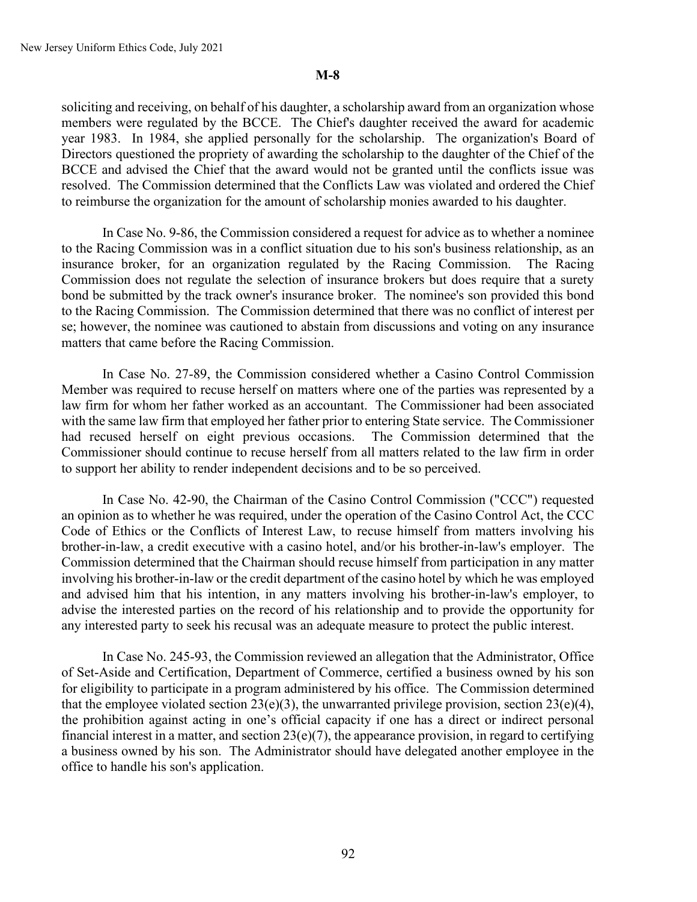soliciting and receiving, on behalf of his daughter, a scholarship award from an organization whose members were regulated by the BCCE. The Chief's daughter received the award for academic year 1983. In 1984, she applied personally for the scholarship. The organization's Board of Directors questioned the propriety of awarding the scholarship to the daughter of the Chief of the BCCE and advised the Chief that the award would not be granted until the conflicts issue was resolved. The Commission determined that the Conflicts Law was violated and ordered the Chief to reimburse the organization for the amount of scholarship monies awarded to his daughter.

In Case No. 9-86, the Commission considered a request for advice as to whether a nominee to the Racing Commission was in a conflict situation due to his son's business relationship, as an insurance broker, for an organization regulated by the Racing Commission. The Racing Commission does not regulate the selection of insurance brokers but does require that a surety bond be submitted by the track owner's insurance broker. The nominee's son provided this bond to the Racing Commission. The Commission determined that there was no conflict of interest per se; however, the nominee was cautioned to abstain from discussions and voting on any insurance matters that came before the Racing Commission.

In Case No. 27-89, the Commission considered whether a Casino Control Commission Member was required to recuse herself on matters where one of the parties was represented by a law firm for whom her father worked as an accountant. The Commissioner had been associated with the same law firm that employed her father prior to entering State service. The Commissioner had recused herself on eight previous occasions. The Commission determined that the Commissioner should continue to recuse herself from all matters related to the law firm in order to support her ability to render independent decisions and to be so perceived.

In Case No. 42-90, the Chairman of the Casino Control Commission ("CCC") requested an opinion as to whether he was required, under the operation of the Casino Control Act, the CCC Code of Ethics or the Conflicts of Interest Law, to recuse himself from matters involving his brother-in-law, a credit executive with a casino hotel, and/or his brother-in-law's employer. The Commission determined that the Chairman should recuse himself from participation in any matter involving his brother-in-law or the credit department of the casino hotel by which he was employed and advised him that his intention, in any matters involving his brother-in-law's employer, to advise the interested parties on the record of his relationship and to provide the opportunity for any interested party to seek his recusal was an adequate measure to protect the public interest.

In Case No. 245-93, the Commission reviewed an allegation that the Administrator, Office of Set-Aside and Certification, Department of Commerce, certified a business owned by his son for eligibility to participate in a program administered by his office. The Commission determined that the employee violated section  $23(e)(3)$ , the unwarranted privilege provision, section  $23(e)(4)$ , the prohibition against acting in one's official capacity if one has a direct or indirect personal financial interest in a matter, and section  $23(e)(7)$ , the appearance provision, in regard to certifying a business owned by his son. The Administrator should have delegated another employee in the office to handle his son's application.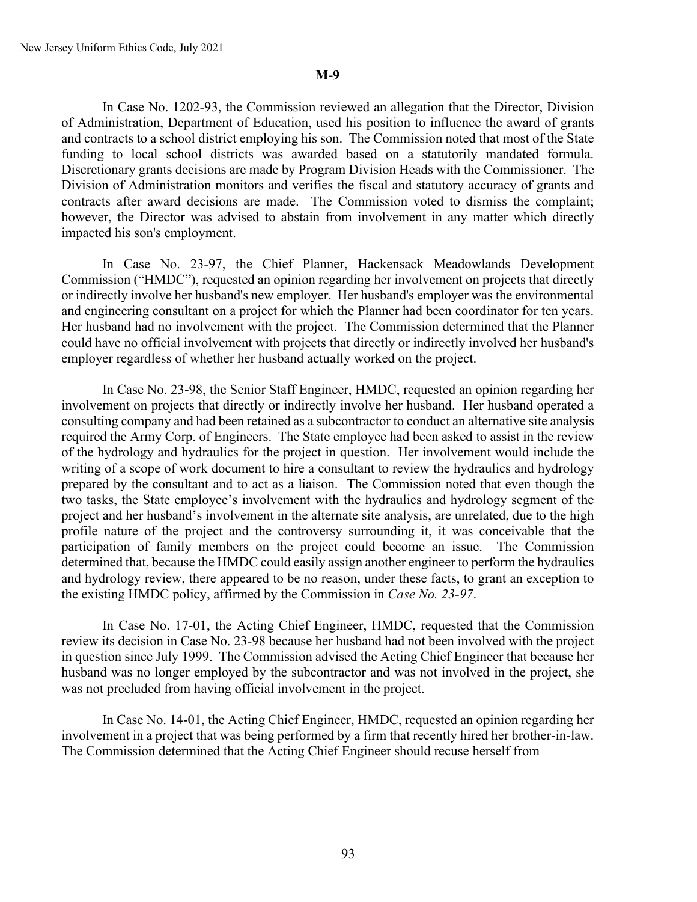In Case No. 1202-93, the Commission reviewed an allegation that the Director, Division of Administration, Department of Education, used his position to influence the award of grants and contracts to a school district employing his son. The Commission noted that most of the State funding to local school districts was awarded based on a statutorily mandated formula. Discretionary grants decisions are made by Program Division Heads with the Commissioner. The Division of Administration monitors and verifies the fiscal and statutory accuracy of grants and contracts after award decisions are made. The Commission voted to dismiss the complaint; however, the Director was advised to abstain from involvement in any matter which directly impacted his son's employment.

In Case No. 23-97, the Chief Planner, Hackensack Meadowlands Development Commission ("HMDC"), requested an opinion regarding her involvement on projects that directly or indirectly involve her husband's new employer. Her husband's employer was the environmental and engineering consultant on a project for which the Planner had been coordinator for ten years. Her husband had no involvement with the project. The Commission determined that the Planner could have no official involvement with projects that directly or indirectly involved her husband's employer regardless of whether her husband actually worked on the project.

In Case No. 23-98, the Senior Staff Engineer, HMDC, requested an opinion regarding her involvement on projects that directly or indirectly involve her husband. Her husband operated a consulting company and had been retained as a subcontractor to conduct an alternative site analysis required the Army Corp. of Engineers. The State employee had been asked to assist in the review of the hydrology and hydraulics for the project in question. Her involvement would include the writing of a scope of work document to hire a consultant to review the hydraulics and hydrology prepared by the consultant and to act as a liaison. The Commission noted that even though the two tasks, the State employee's involvement with the hydraulics and hydrology segment of the project and her husband's involvement in the alternate site analysis, are unrelated, due to the high profile nature of the project and the controversy surrounding it, it was conceivable that the participation of family members on the project could become an issue. The Commission determined that, because the HMDC could easily assign another engineer to perform the hydraulics and hydrology review, there appeared to be no reason, under these facts, to grant an exception to the existing HMDC policy, affirmed by the Commission in *Case No. 23-97*.

In Case No. 17-01, the Acting Chief Engineer, HMDC, requested that the Commission review its decision in Case No. 23-98 because her husband had not been involved with the project in question since July 1999. The Commission advised the Acting Chief Engineer that because her husband was no longer employed by the subcontractor and was not involved in the project, she was not precluded from having official involvement in the project.

In Case No. 14-01, the Acting Chief Engineer, HMDC, requested an opinion regarding her involvement in a project that was being performed by a firm that recently hired her brother-in-law. The Commission determined that the Acting Chief Engineer should recuse herself from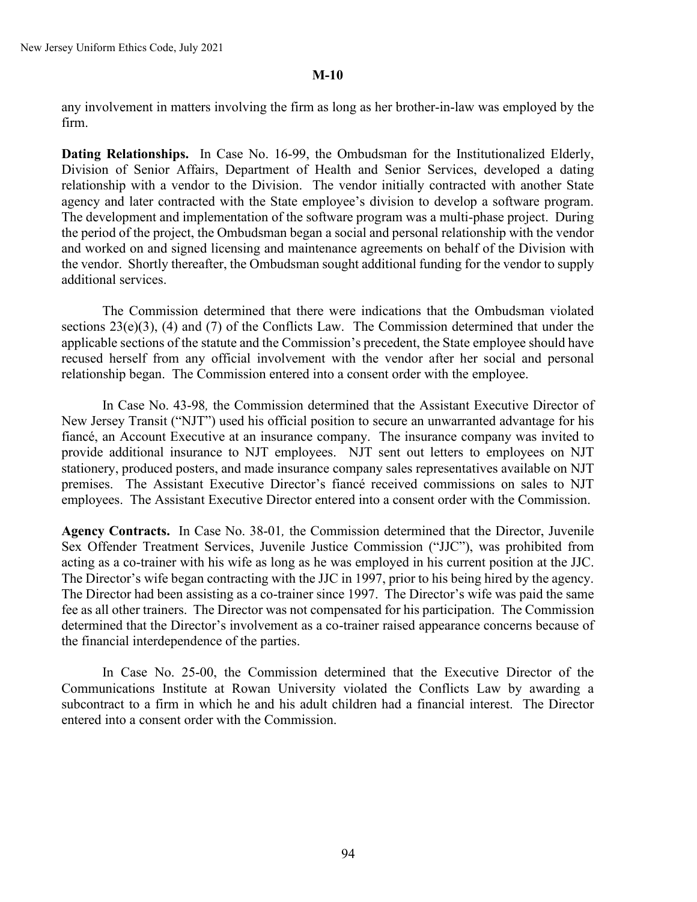any involvement in matters involving the firm as long as her brother-in-law was employed by the firm.

**Dating Relationships.** In Case No. 16-99, the Ombudsman for the Institutionalized Elderly, Division of Senior Affairs, Department of Health and Senior Services, developed a dating relationship with a vendor to the Division. The vendor initially contracted with another State agency and later contracted with the State employee's division to develop a software program. The development and implementation of the software program was a multi-phase project. During the period of the project, the Ombudsman began a social and personal relationship with the vendor and worked on and signed licensing and maintenance agreements on behalf of the Division with the vendor. Shortly thereafter, the Ombudsman sought additional funding for the vendor to supply additional services.

The Commission determined that there were indications that the Ombudsman violated sections  $23(e)(3)$ , (4) and (7) of the Conflicts Law. The Commission determined that under the applicable sections of the statute and the Commission's precedent, the State employee should have recused herself from any official involvement with the vendor after her social and personal relationship began. The Commission entered into a consent order with the employee.

In Case No. 43-98*,* the Commission determined that the Assistant Executive Director of New Jersey Transit ("NJT") used his official position to secure an unwarranted advantage for his fiancé, an Account Executive at an insurance company. The insurance company was invited to provide additional insurance to NJT employees. NJT sent out letters to employees on NJT stationery, produced posters, and made insurance company sales representatives available on NJT premises. The Assistant Executive Director's fiancé received commissions on sales to NJT employees. The Assistant Executive Director entered into a consent order with the Commission.

**Agency Contracts.** In Case No. 38-01*,* the Commission determined that the Director, Juvenile Sex Offender Treatment Services, Juvenile Justice Commission ("JJC"), was prohibited from acting as a co-trainer with his wife as long as he was employed in his current position at the JJC. The Director's wife began contracting with the JJC in 1997, prior to his being hired by the agency. The Director had been assisting as a co-trainer since 1997. The Director's wife was paid the same fee as all other trainers. The Director was not compensated for his participation. The Commission determined that the Director's involvement as a co-trainer raised appearance concerns because of the financial interdependence of the parties.

In Case No. 25-00, the Commission determined that the Executive Director of the Communications Institute at Rowan University violated the Conflicts Law by awarding a subcontract to a firm in which he and his adult children had a financial interest. The Director entered into a consent order with the Commission.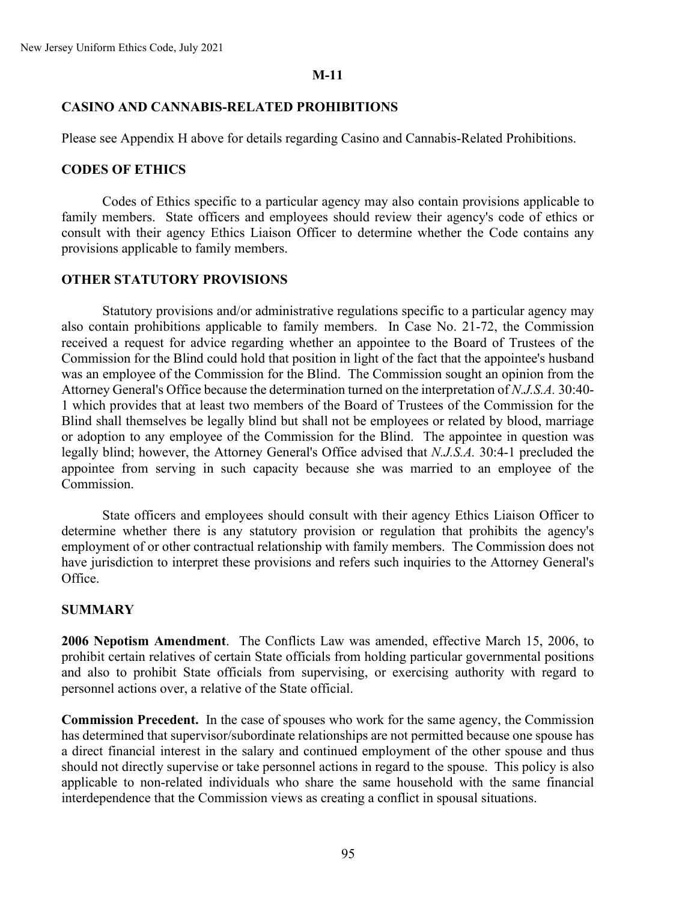# **CASINO AND CANNABIS-RELATED PROHIBITIONS**

Please see Appendix H above for details regarding Casino and Cannabis-Related Prohibitions.

# **CODES OF ETHICS**

Codes of Ethics specific to a particular agency may also contain provisions applicable to family members. State officers and employees should review their agency's code of ethics or consult with their agency Ethics Liaison Officer to determine whether the Code contains any provisions applicable to family members.

# **OTHER STATUTORY PROVISIONS**

Statutory provisions and/or administrative regulations specific to a particular agency may also contain prohibitions applicable to family members. In Case No. 21-72, the Commission received a request for advice regarding whether an appointee to the Board of Trustees of the Commission for the Blind could hold that position in light of the fact that the appointee's husband was an employee of the Commission for the Blind. The Commission sought an opinion from the Attorney General's Office because the determination turned on the interpretation of *N.J.S.A.* 30:40- 1 which provides that at least two members of the Board of Trustees of the Commission for the Blind shall themselves be legally blind but shall not be employees or related by blood, marriage or adoption to any employee of the Commission for the Blind. The appointee in question was legally blind; however, the Attorney General's Office advised that *N.J.S.A.* 30:4-1 precluded the appointee from serving in such capacity because she was married to an employee of the Commission.

State officers and employees should consult with their agency Ethics Liaison Officer to determine whether there is any statutory provision or regulation that prohibits the agency's employment of or other contractual relationship with family members. The Commission does not have jurisdiction to interpret these provisions and refers such inquiries to the Attorney General's Office.

# **SUMMARY**

**2006 Nepotism Amendment**. The Conflicts Law was amended, effective March 15, 2006, to prohibit certain relatives of certain State officials from holding particular governmental positions and also to prohibit State officials from supervising, or exercising authority with regard to personnel actions over, a relative of the State official.

**Commission Precedent.** In the case of spouses who work for the same agency, the Commission has determined that supervisor/subordinate relationships are not permitted because one spouse has a direct financial interest in the salary and continued employment of the other spouse and thus should not directly supervise or take personnel actions in regard to the spouse. This policy is also applicable to non-related individuals who share the same household with the same financial interdependence that the Commission views as creating a conflict in spousal situations.